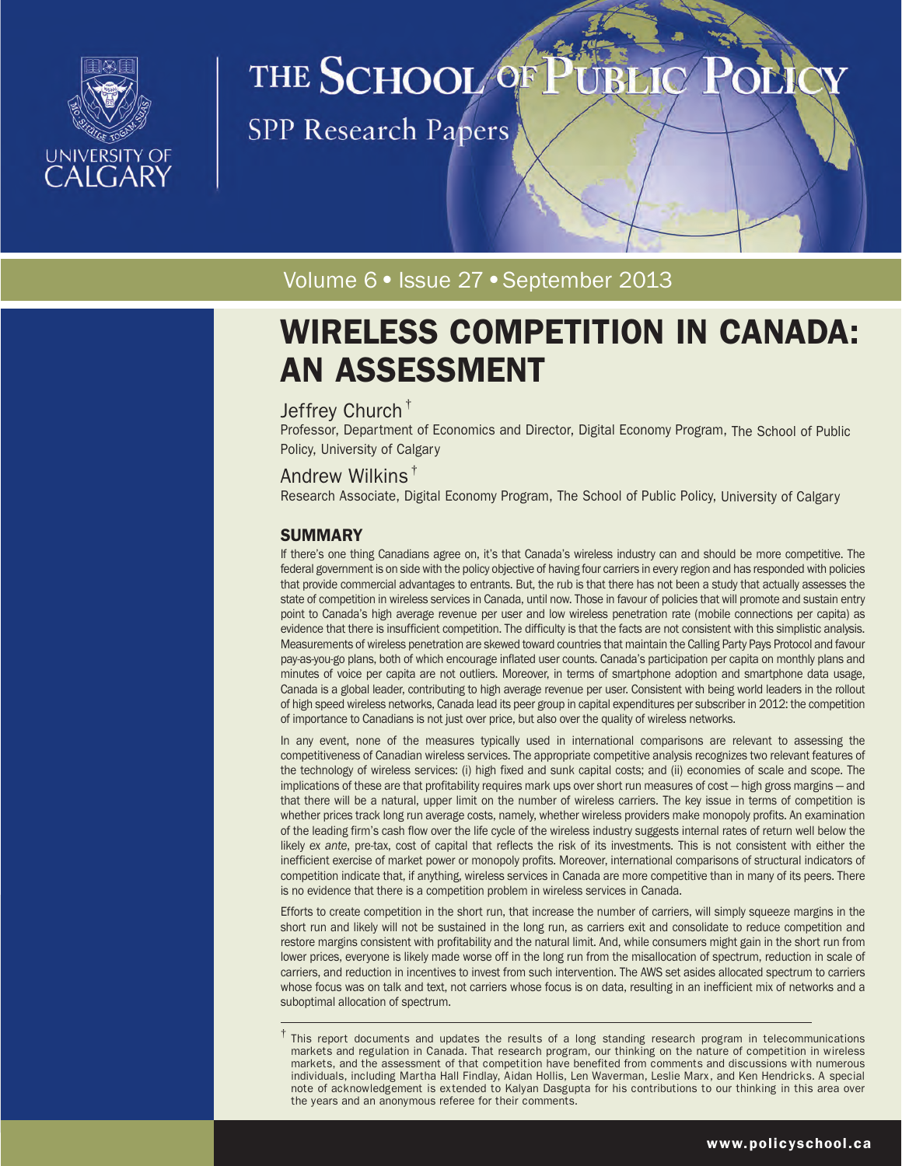

# THE SCHOOL OF

SPP Research Papers

Volume 6 · Issue 27 · September 2013

## WIRELESS COMPETITION IN CANADA: AN ASSESSMENT

#### Jeffrey Church †

Professor, Department of Economics and Director, Digital Economy Program, The School of Public Policy, University of Calgary

#### Andrew Wilkins †

Research Associate, Digital Economy Program, The School of Public Policy, University of Calgary

#### **SUMMARY**

If there's one thing Canadians agree on, it's that Canada's wireless industry can and should be more competitive. The federal government is on side with the policy objective of having four carriers in every region and has responded with policies that provide commercial advantages to entrants. But, the rub is that there has not been a study that actually assesses the state of competition in wireless services in Canada, until now. Those in favour of policies that will promote and sustain entry point to Canada's high average revenue per user and low wireless penetration rate (mobile connections per capita) as evidence that there is insufficient competition. The difficulty is that the facts are not consistent with this simplistic analysis. Measurements of wireless penetration are skewed toward countries that maintain the Calling Party Pays Protocol and favour pay-as-you-go plans, both of which encourage inflated user counts. Canada's participation per capita on monthly plans and minutes of voice per capita are not outliers. Moreover, in terms of smartphone adoption and smartphone data usage, Canada is a global leader, contributing to high average revenue per user. Consistent with being world leaders in the rollout of high speed wireless networks, Canada lead its peer group in capital expenditures per subscriber in 2012: the competition of importance to Canadians is not just over price, but also over the quality of wireless networks.

In any event, none of the measures typically used in international comparisons are relevant to assessing the competitiveness of Canadian wireless services. The appropriate competitive analysis recognizes two relevant features of the technology of wireless services: (i) high fixed and sunk capital costs; and (ii) economies of scale and scope. The implications of these are that profitability requires mark ups over short run measures of cost — high gross margins — and that there will be a natural, upper limit on the number of wireless carriers. The key issue in terms of competition is whether prices track long run average costs, namely, whether wireless providers make monopoly profits. An examination of the leading firm's cash flow over the life cycle of the wireless industry suggests internal rates of return well below the likely *ex ante*, pre-tax, cost of capital that reflects the risk of its investments. This is not consistent with either the inefficient exercise of market power or monopoly profits. Moreover, international comparisons of structural indicators of competition indicate that, if anything, wireless services in Canada are more competitive than in many of its peers. There is no evidence that there is a competition problem in wireless services in Canada.

Efforts to create competition in the short run, that increase the number of carriers, will simply squeeze margins in the short run and likely will not be sustained in the long run, as carriers exit and consolidate to reduce competition and restore margins consistent with profitability and the natural limit. And, while consumers might gain in the short run from lower prices, everyone is likely made worse off in the long run from the misallocation of spectrum, reduction in scale of carriers, and reduction in incentives to invest from such intervention. The AWS set asides allocated spectrum to carriers whose focus was on talk and text, not carriers whose focus is on data, resulting in an inefficient mix of networks and a suboptimal allocation of spectrum.

 $\dagger$  This report documents and updates the results of a long standing research program in telecommunications markets and regulation in Canada. That research program, our thinking on the nature of competition in wireless markets, and the assessment of that competition have benefited from comments and discussions with numerous individuals, including Martha Hall Findlay, Aidan Hollis, Len Waverman, Leslie Marx, and Ken Hendricks. A special note of acknowledgement is extended to Kalyan Dasgupta for his contributions to our thinking in this area over the years and an anonymous referee for their comments.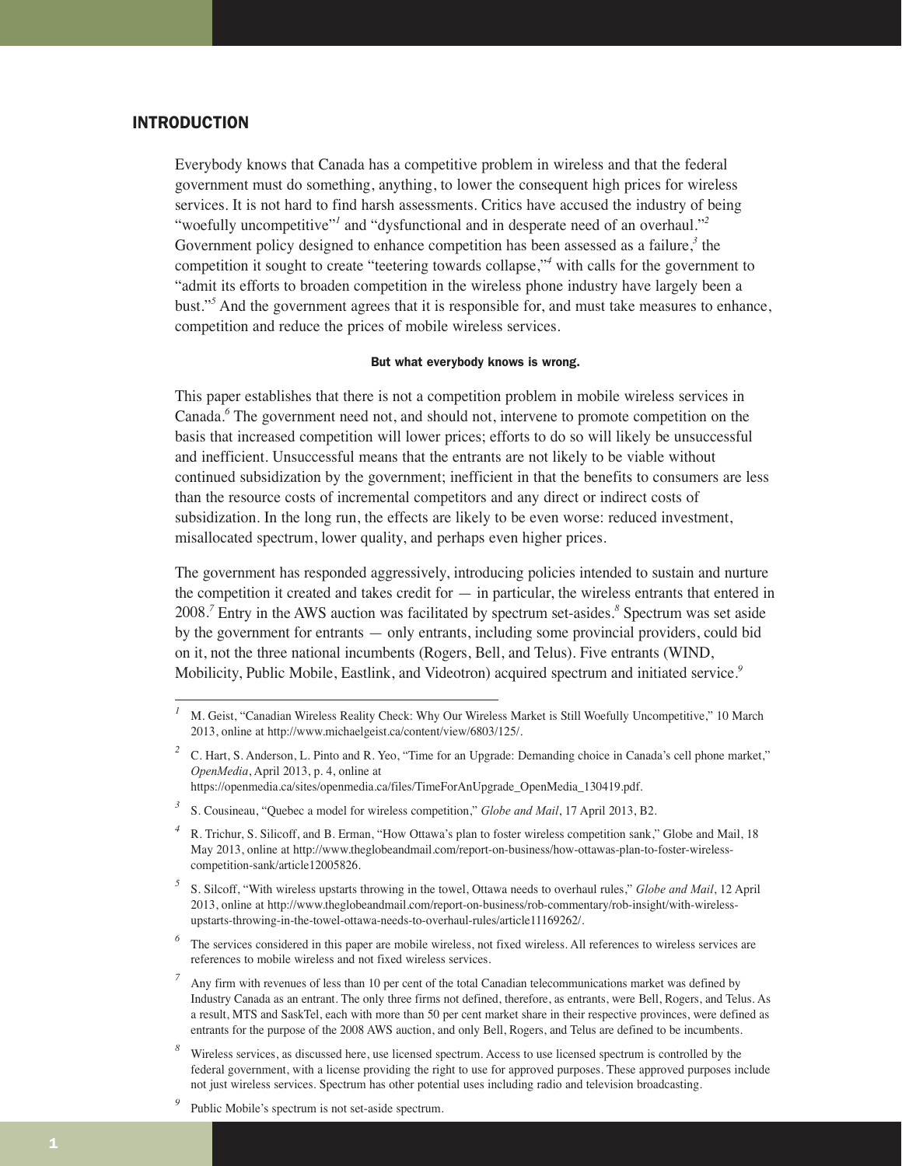#### INTRODUCTION

Everybody knows that Canada has a competitive problem in wireless and that the federal government must do something, anything, to lower the consequent high prices for wireless services. It is not hard to find harsh assessments. Critics have accused the industry of being "woefully uncompetitive"*<sup>1</sup>* and "dysfunctional and in desperate need of an overhaul."*<sup>2</sup>* Government policy designed to enhance competition has been assessed as a failure,*<sup>3</sup>* the competition it sought to create "teetering towards collapse,"*<sup>4</sup>* with calls for the government to "admit its efforts to broaden competition in the wireless phone industry have largely been a bust."*<sup>5</sup>* And the government agrees that it is responsible for, and must take measures to enhance, competition and reduce the prices of mobile wireless services.

#### But what everybody knows is wrong.

This paper establishes that there is not a competition problem in mobile wireless services in Canada.*<sup>6</sup>* The government need not, and should not, intervene to promote competition on the basis that increased competition will lower prices; efforts to do so will likely be unsuccessful and inefficient. Unsuccessful means that the entrants are not likely to be viable without continued subsidization by the government; inefficient in that the benefits to consumers are less than the resource costs of incremental competitors and any direct or indirect costs of subsidization. In the long run, the effects are likely to be even worse: reduced investment, misallocated spectrum, lower quality, and perhaps even higher prices.

The government has responded aggressively, introducing policies intended to sustain and nurture the competition it created and takes credit for — in particular, the wireless entrants that entered in 2008.*<sup>7</sup>* Entry in the AWS auction was facilitated by spectrum set-asides.*<sup>8</sup>* Spectrum was set aside by the government for entrants — only entrants, including some provincial providers, could bid on it, not the three national incumbents (Rogers, Bell, and Telus). Five entrants (WIND, Mobilicity, Public Mobile, Eastlink, and Videotron) acquired spectrum and initiated service.*<sup>9</sup>*

<sup>2</sup> C. Hart, S. Anderson, L. Pinto and R. Yeo, "Time for an Upgrade: Demanding choice in Canada's cell phone market," *OpenMedia*, April 2013, p. 4, online at https://openmedia.ca/sites/openmedia.ca/files/TimeForAnUpgrade\_OpenMedia\_130419.pdf.

*<sup>1</sup>* M. Geist, "Canadian Wireless Reality Check: Why Our Wireless Market is Still Woefully Uncompetitive," 10 March 2013, online at http://www.michaelgeist.ca/content/view/6803/125/.

<sup>&</sup>lt;sup>3</sup> S. Cousineau, "Quebec a model for wireless competition," *Globe and Mail*, 17 April 2013, B2.

*<sup>4</sup>* R. Trichur, S. Silicoff, and B. Erman, "How Ottawa's plan to foster wireless competition sank," Globe and Mail, 18 May 2013, online at http://www.theglobeandmail.com/report-on-business/how-ottawas-plan-to-foster-wirelesscompetition-sank/article12005826.

*<sup>5</sup>* S. Silcoff, "With wireless upstarts throwing in the towel, Ottawa needs to overhaul rules," *Globe and Mail*, 12 April 2013, online at http://www.theglobeandmail.com/report-on-business/rob-commentary/rob-insight/with-wirelessupstarts-throwing-in-the-towel-ottawa-needs-to-overhaul-rules/article11169262/.

<sup>&</sup>lt;sup>6</sup> The services considered in this paper are mobile wireless, not fixed wireless. All references to wireless services are references to mobile wireless and not fixed wireless services.

*<sup>7</sup>* Any firm with revenues of less than 10 per cent of the total Canadian telecommunications market was defined by Industry Canada as an entrant. The only three firms not defined, therefore, as entrants, were Bell, Rogers, and Telus. As a result, MTS and SaskTel, each with more than 50 per cent market share in their respective provinces, were defined as entrants for the purpose of the 2008 AWS auction, and only Bell, Rogers, and Telus are defined to be incumbents.

Wireless services, as discussed here, use licensed spectrum. Access to use licensed spectrum is controlled by the federal government, with a license providing the right to use for approved purposes. These approved purposes include not just wireless services. Spectrum has other potential uses including radio and television broadcasting.

Public Mobile's spectrum is not set-aside spectrum.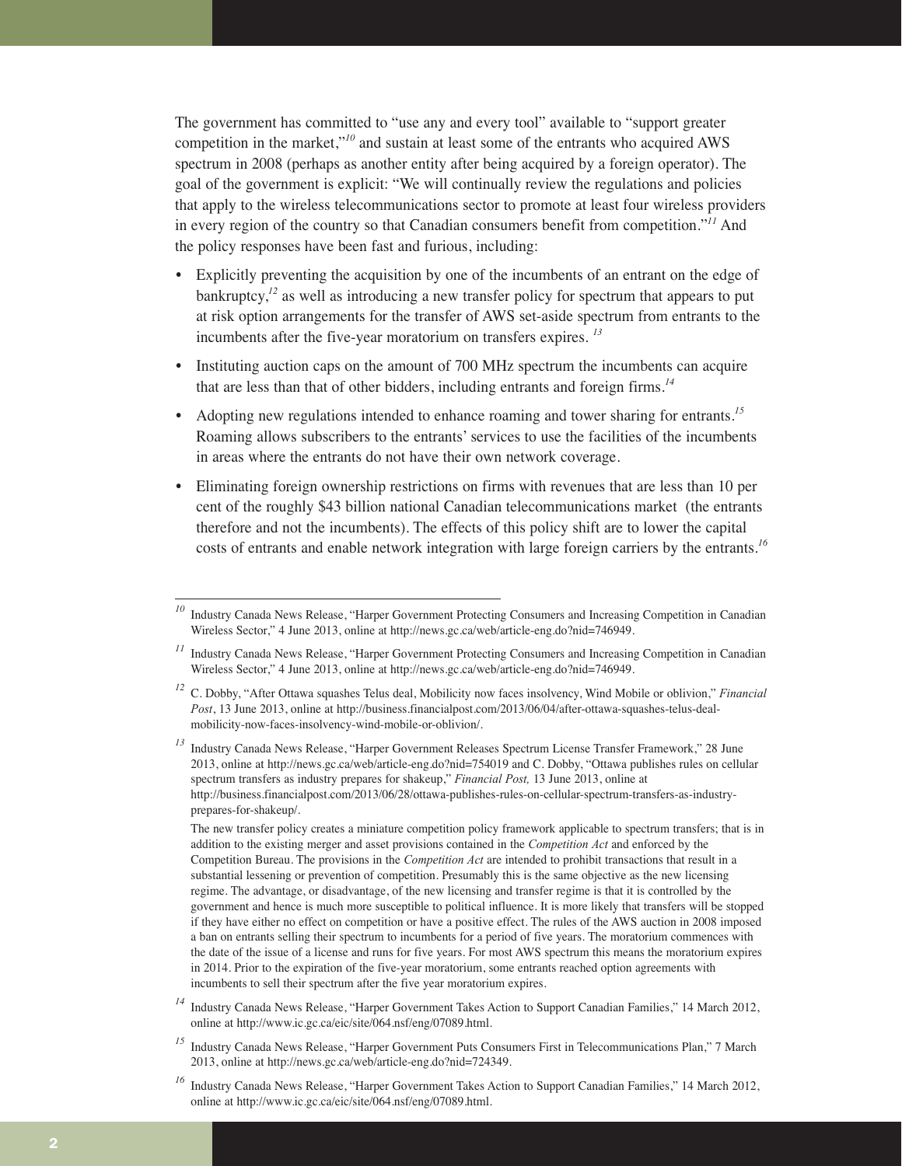The government has committed to "use any and every tool" available to "support greater competition in the market,"*<sup>10</sup>* and sustain at least some of the entrants who acquired AWS spectrum in 2008 (perhaps as another entity after being acquired by a foreign operator). The goal of the government is explicit: "We will continually review the regulations and policies that apply to the wireless telecommunications sector to promote at least four wireless providers in every region of the country so that Canadian consumers benefit from competition."*<sup>11</sup>* And the policy responses have been fast and furious, including:

- Explicitly preventing the acquisition by one of the incumbents of an entrant on the edge of bankruptcy,<sup> $12$ </sup> as well as introducing a new transfer policy for spectrum that appears to put at risk option arrangements for the transfer of AWS set-aside spectrum from entrants to the incumbents after the five-year moratorium on transfers expires. *<sup>13</sup>*
- Instituting auction caps on the amount of 700 MHz spectrum the incumbents can acquire that are less than that of other bidders, including entrants and foreign firms.*<sup>14</sup>*
- Adopting new regulations intended to enhance roaming and tower sharing for entrants.<sup>15</sup> Roaming allows subscribers to the entrants' services to use the facilities of the incumbents in areas where the entrants do not have their own network coverage.
- Eliminating foreign ownership restrictions on firms with revenues that are less than 10 per cent of the roughly \$43 billion national Canadian telecommunications market (the entrants therefore and not the incumbents). The effects of this policy shift are to lower the capital costs of entrants and enable network integration with large foreign carriers by the entrants.*<sup>16</sup>*

- *<sup>14</sup>* Industry Canada News Release, "Harper Government Takes Action to Support Canadian Families," 14 March 2012, online at http://www.ic.gc.ca/eic/site/064.nsf/eng/07089.html.
- <sup>15</sup> Industry Canada News Release, "Harper Government Puts Consumers First in Telecommunications Plan," 7 March 2013, online at http://news.gc.ca/web/article-eng.do?nid=724349.

<sup>&</sup>lt;sup>10</sup> Industry Canada News Release, "Harper Government Protecting Consumers and Increasing Competition in Canadian Wireless Sector," 4 June 2013, online at http://news.gc.ca/web/article-eng.do?nid=746949.

*<sup>11</sup>* Industry Canada News Release, "Harper Government Protecting Consumers and Increasing Competition in Canadian Wireless Sector," 4 June 2013, online at http://news.gc.ca/web/article-eng.do?nid=746949.

*<sup>12</sup>* C. Dobby, "After Ottawa squashes Telus deal, Mobilicity now faces insolvency, Wind Mobile or oblivion," *Financial Post*, 13 June 2013, online at http://business.financialpost.com/2013/06/04/after-ottawa-squashes-telus-dealmobilicity-now-faces-insolvency-wind-mobile-or-oblivion/.

*<sup>13</sup>* Industry Canada News Release, "Harper Government Releases Spectrum License Transfer Framework," 28 June 2013, online at http://news.gc.ca/web/article-eng.do?nid=754019 and C. Dobby, "Ottawa publishes rules on cellular spectrum transfers as industry prepares for shakeup," *Financial Post,* 13 June 2013, online at http://business.financialpost.com/2013/06/28/ottawa-publishes-rules-on-cellular-spectrum-transfers-as-industryprepares-for-shakeup/.

The new transfer policy creates a miniature competition policy framework applicable to spectrum transfers; that is in addition to the existing merger and asset provisions contained in the *Competition Act* and enforced by the Competition Bureau. The provisions in the *Competition Act* are intended to prohibit transactions that result in a substantial lessening or prevention of competition. Presumably this is the same objective as the new licensing regime. The advantage, or disadvantage, of the new licensing and transfer regime is that it is controlled by the government and hence is much more susceptible to political influence. It is more likely that transfers will be stopped if they have either no effect on competition or have a positive effect. The rules of the AWS auction in 2008 imposed a ban on entrants selling their spectrum to incumbents for a period of five years. The moratorium commences with the date of the issue of a license and runs for five years. For most AWS spectrum this means the moratorium expires in 2014. Prior to the expiration of the five-year moratorium, some entrants reached option agreements with incumbents to sell their spectrum after the five year moratorium expires.

*<sup>16</sup>* Industry Canada News Release, "Harper Government Takes Action to Support Canadian Families," 14 March 2012, online at http://www.ic.gc.ca/eic/site/064.nsf/eng/07089.html.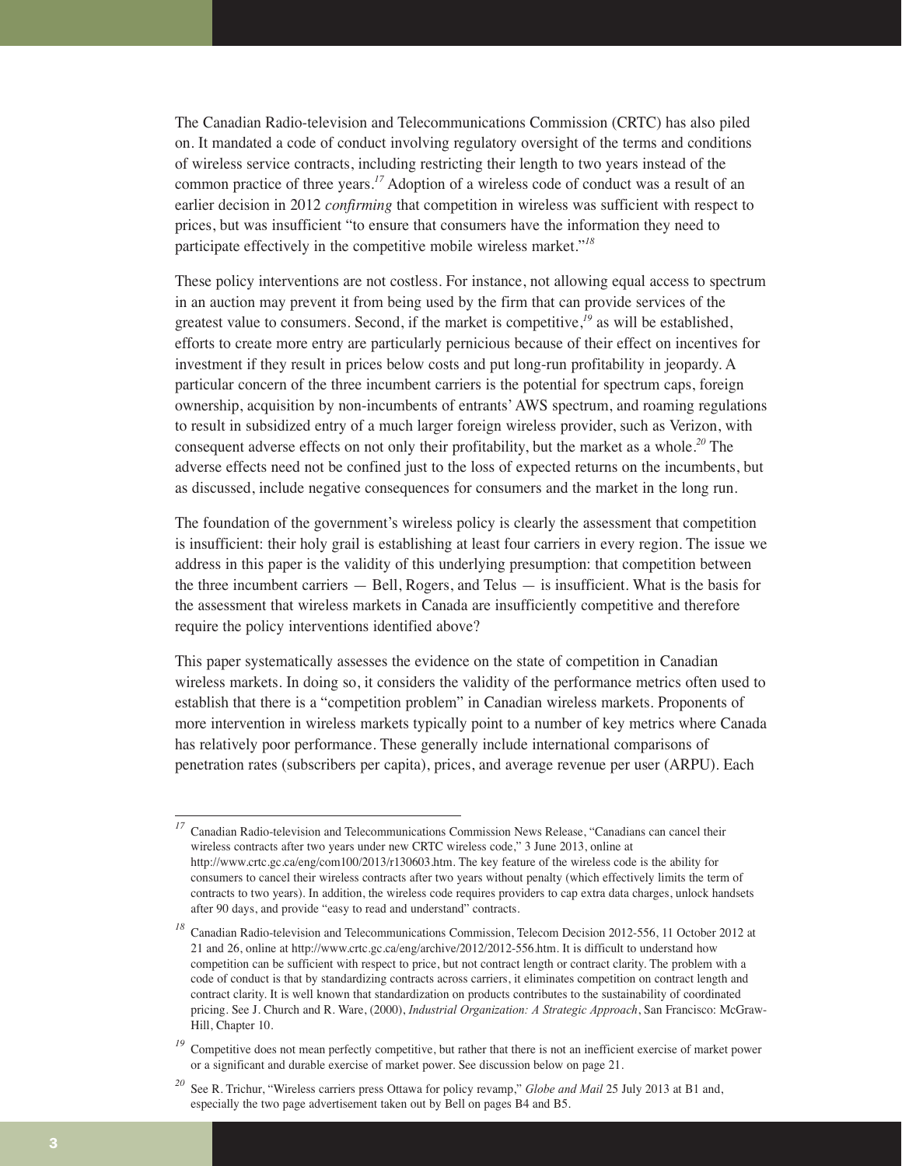The Canadian Radio-television and Telecommunications Commission (CRTC) has also piled on. It mandated a code of conduct involving regulatory oversight of the terms and conditions of wireless service contracts, including restricting their length to two years instead of the common practice of three years.*<sup>17</sup>* Adoption of a wireless code of conduct was a result of an earlier decision in 2012 *confirming* that competition in wireless was sufficient with respect to prices, but was insufficient "to ensure that consumers have the information they need to participate effectively in the competitive mobile wireless market."*<sup>18</sup>*

These policy interventions are not costless. For instance, not allowing equal access to spectrum in an auction may prevent it from being used by the firm that can provide services of the greatest value to consumers. Second, if the market is competitive,*<sup>19</sup>* as will be established, efforts to create more entry are particularly pernicious because of their effect on incentives for investment if they result in prices below costs and put long-run profitability in jeopardy. A particular concern of the three incumbent carriers is the potential for spectrum caps, foreign ownership, acquisition by non-incumbents of entrants' AWS spectrum, and roaming regulations to result in subsidized entry of a much larger foreign wireless provider, such as Verizon, with consequent adverse effects on not only their profitability, but the market as a whole.*<sup>20</sup>* The adverse effects need not be confined just to the loss of expected returns on the incumbents, but as discussed, include negative consequences for consumers and the market in the long run.

The foundation of the government's wireless policy is clearly the assessment that competition is insufficient: their holy grail is establishing at least four carriers in every region. The issue we address in this paper is the validity of this underlying presumption: that competition between the three incumbent carriers — Bell, Rogers, and Telus — is insufficient. What is the basis for the assessment that wireless markets in Canada are insufficiently competitive and therefore require the policy interventions identified above?

This paper systematically assesses the evidence on the state of competition in Canadian wireless markets. In doing so, it considers the validity of the performance metrics often used to establish that there is a "competition problem" in Canadian wireless markets. Proponents of more intervention in wireless markets typically point to a number of key metrics where Canada has relatively poor performance. These generally include international comparisons of penetration rates (subscribers per capita), prices, and average revenue per user (ARPU). Each

<sup>&</sup>lt;sup>17</sup> Canadian Radio-television and Telecommunications Commission News Release, "Canadians can cancel their wireless contracts after two years under new CRTC wireless code," 3 June 2013, online at http://www.crtc.gc.ca/eng/com100/2013/r130603.htm. The key feature of the wireless code is the ability for consumers to cancel their wireless contracts after two years without penalty (which effectively limits the term of contracts to two years). In addition, the wireless code requires providers to cap extra data charges, unlock handsets after 90 days, and provide "easy to read and understand" contracts.

*<sup>18</sup>* Canadian Radio-television and Telecommunications Commission, Telecom Decision 2012-556, 11 October 2012 at 21 and 26, online at http://www.crtc.gc.ca/eng/archive/2012/2012-556.htm. It is difficult to understand how competition can be sufficient with respect to price, but not contract length or contract clarity. The problem with a code of conduct is that by standardizing contracts across carriers, it eliminates competition on contract length and contract clarity. It is well known that standardization on products contributes to the sustainability of coordinated pricing. See J. Church and R. Ware, (2000), *Industrial Organization: A Strategic Approach*, San Francisco: McGraw-Hill, Chapter 10.

<sup>&</sup>lt;sup>19</sup> Competitive does not mean perfectly competitive, but rather that there is not an inefficient exercise of market power or a significant and durable exercise of market power. See discussion below on page 21.

*<sup>20</sup>* See R. Trichur, "Wireless carriers press Ottawa for policy revamp," *Globe and Mail* 25 July 2013 at B1 and, especially the two page advertisement taken out by Bell on pages B4 and B5.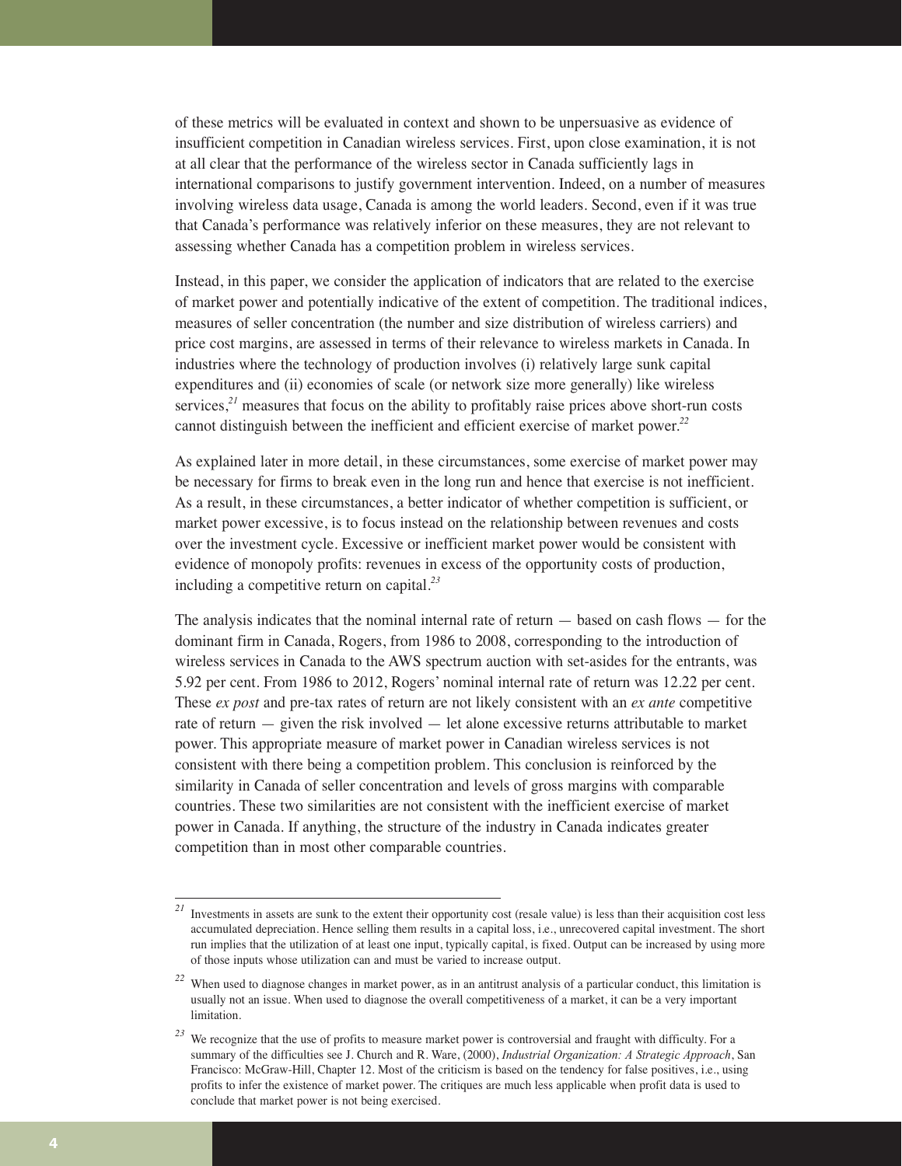of these metrics will be evaluated in context and shown to be unpersuasive as evidence of insufficient competition in Canadian wireless services. First, upon close examination, it is not at all clear that the performance of the wireless sector in Canada sufficiently lags in international comparisons to justify government intervention. Indeed, on a number of measures involving wireless data usage, Canada is among the world leaders. Second, even if it was true that Canada's performance was relatively inferior on these measures, they are not relevant to assessing whether Canada has a competition problem in wireless services.

Instead, in this paper, we consider the application of indicators that are related to the exercise of market power and potentially indicative of the extent of competition. The traditional indices, measures of seller concentration (the number and size distribution of wireless carriers) and price cost margins, are assessed in terms of their relevance to wireless markets in Canada. In industries where the technology of production involves (i) relatively large sunk capital expenditures and (ii) economies of scale (or network size more generally) like wireless services,<sup>21</sup> measures that focus on the ability to profitably raise prices above short-run costs cannot distinguish between the inefficient and efficient exercise of market power.*<sup>22</sup>*

As explained later in more detail, in these circumstances, some exercise of market power may be necessary for firms to break even in the long run and hence that exercise is not inefficient. As a result, in these circumstances, a better indicator of whether competition is sufficient, or market power excessive, is to focus instead on the relationship between revenues and costs over the investment cycle. Excessive or inefficient market power would be consistent with evidence of monopoly profits: revenues in excess of the opportunity costs of production, including a competitive return on capital.*<sup>23</sup>*

The analysis indicates that the nominal internal rate of return — based on cash flows — for the dominant firm in Canada, Rogers, from 1986 to 2008, corresponding to the introduction of wireless services in Canada to the AWS spectrum auction with set-asides for the entrants, was 5.92 per cent. From 1986 to 2012, Rogers' nominal internal rate of return was 12.22 per cent. These *ex post* and pre-tax rates of return are not likely consistent with an *ex ante* competitive rate of return — given the risk involved — let alone excessive returns attributable to market power. This appropriate measure of market power in Canadian wireless services is not consistent with there being a competition problem. This conclusion is reinforced by the similarity in Canada of seller concentration and levels of gross margins with comparable countries. These two similarities are not consistent with the inefficient exercise of market power in Canada. If anything, the structure of the industry in Canada indicates greater competition than in most other comparable countries.

<sup>&</sup>lt;sup>21</sup> Investments in assets are sunk to the extent their opportunity cost (resale value) is less than their acquisition cost less accumulated depreciation. Hence selling them results in a capital loss, i.e., unrecovered capital investment. The short run implies that the utilization of at least one input, typically capital, is fixed. Output can be increased by using more of those inputs whose utilization can and must be varied to increase output.

*<sup>22</sup>* When used to diagnose changes in market power, as in an antitrust analysis of a particular conduct, this limitation is usually not an issue. When used to diagnose the overall competitiveness of a market, it can be a very important limitation.

*<sup>23</sup>* We recognize that the use of profits to measure market power is controversial and fraught with difficulty. For a summary of the difficulties see J. Church and R. Ware, (2000), *Industrial Organization: A Strategic Approach*, San Francisco: McGraw-Hill, Chapter 12. Most of the criticism is based on the tendency for false positives, i.e., using profits to infer the existence of market power. The critiques are much less applicable when profit data is used to conclude that market power is not being exercised.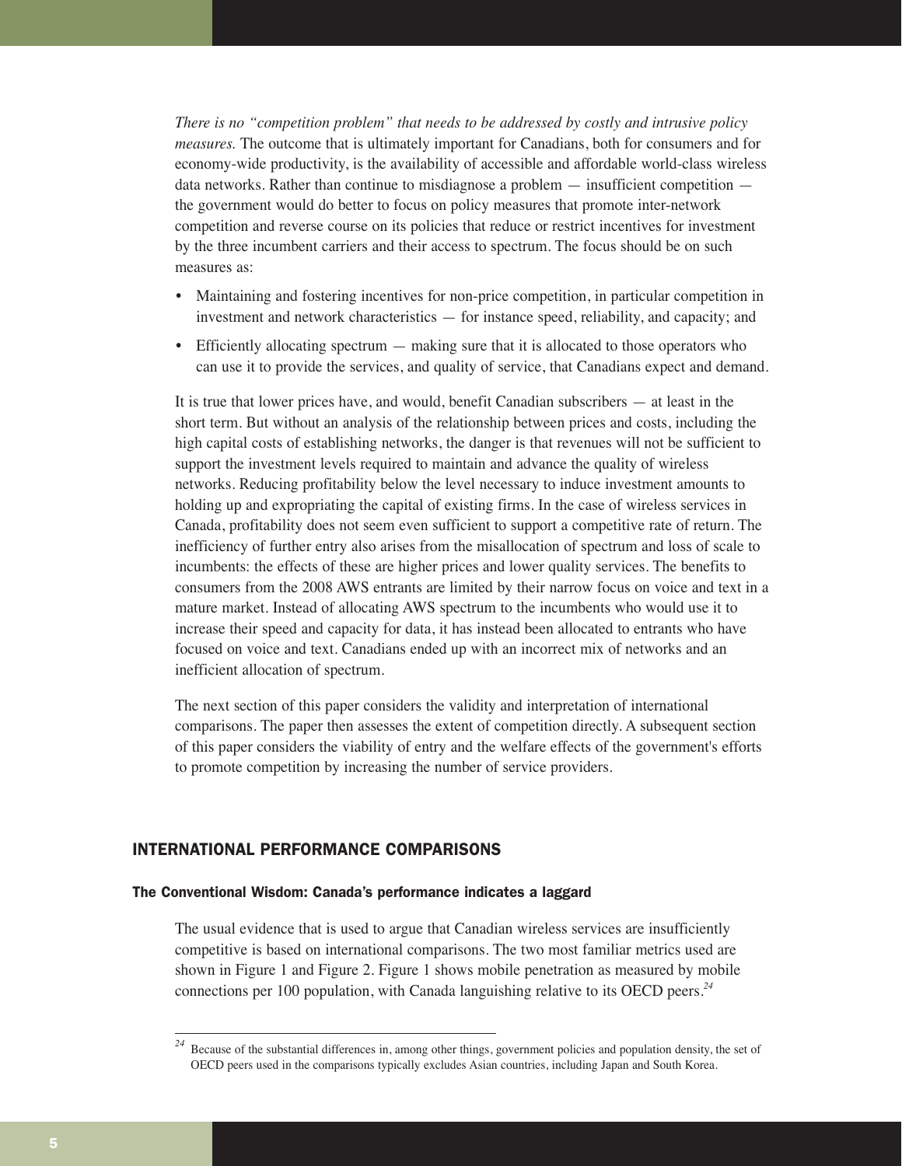*There is no "competition problem" that needs to be addressed by costly and intrusive policy measures.* The outcome that is ultimately important for Canadians, both for consumers and for economy-wide productivity, is the availability of accessible and affordable world-class wireless data networks. Rather than continue to misdiagnose a problem — insufficient competition the government would do better to focus on policy measures that promote inter-network competition and reverse course on its policies that reduce or restrict incentives for investment by the three incumbent carriers and their access to spectrum. The focus should be on such measures as:

- Maintaining and fostering incentives for non-price competition, in particular competition in investment and network characteristics — for instance speed, reliability, and capacity; and
- Efficiently allocating spectrum making sure that it is allocated to those operators who can use it to provide the services, and quality of service, that Canadians expect and demand.

It is true that lower prices have, and would, benefit Canadian subscribers — at least in the short term. But without an analysis of the relationship between prices and costs, including the high capital costs of establishing networks, the danger is that revenues will not be sufficient to support the investment levels required to maintain and advance the quality of wireless networks. Reducing profitability below the level necessary to induce investment amounts to holding up and expropriating the capital of existing firms. In the case of wireless services in Canada, profitability does not seem even sufficient to support a competitive rate of return. The inefficiency of further entry also arises from the misallocation of spectrum and loss of scale to incumbents: the effects of these are higher prices and lower quality services. The benefits to consumers from the 2008 AWS entrants are limited by their narrow focus on voice and text in a mature market. Instead of allocating AWS spectrum to the incumbents who would use it to increase their speed and capacity for data, it has instead been allocated to entrants who have focused on voice and text. Canadians ended up with an incorrect mix of networks and an inefficient allocation of spectrum.

The next section of this paper considers the validity and interpretation of international comparisons. The paper then assesses the extent of competition directly. A subsequent section of this paper considers the viability of entry and the welfare effects of the government's efforts to promote competition by increasing the number of service providers.

#### INTERNATIONAL PERFORMANCE COMPARISONS

#### The Conventional Wisdom: Canada's performance indicates a laggard

The usual evidence that is used to argue that Canadian wireless services are insufficiently competitive is based on international comparisons. The two most familiar metrics used are shown in Figure 1 and Figure 2. Figure 1 shows mobile penetration as measured by mobile connections per 100 population, with Canada languishing relative to its OECD peers.*<sup>24</sup>*

<sup>&</sup>lt;sup>24</sup> Because of the substantial differences in, among other things, government policies and population density, the set of OECD peers used in the comparisons typically excludes Asian countries, including Japan and South Korea.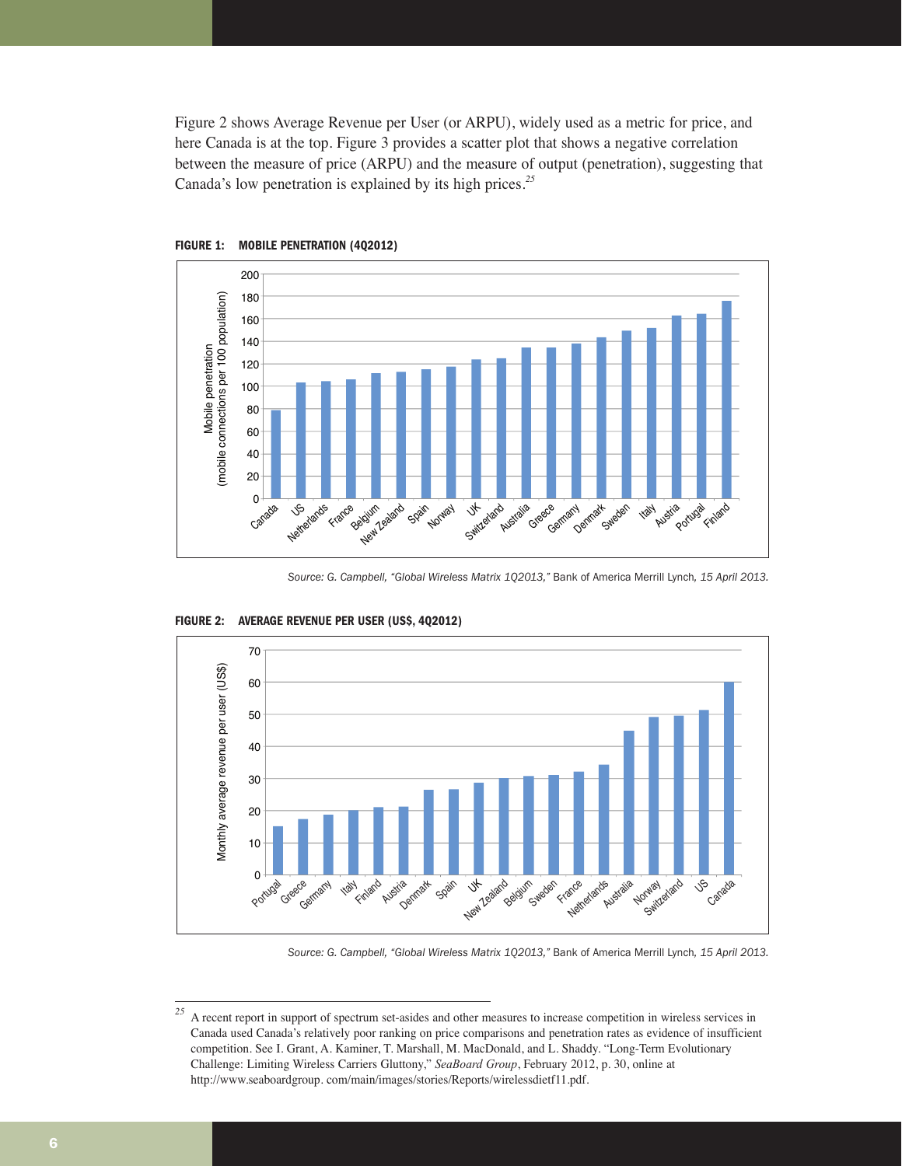Figure 2 shows Average Revenue per User (or ARPU), widely used as a metric for price, and here Canada is at the top. Figure 3 provides a scatter plot that shows a negative correlation between the measure of price (ARPU) and the measure of output (penetration), suggesting that Canada's low penetration is explained by its high prices.*<sup>25</sup>*





*Source: G. Campbell, "Global Wireless Matrix 1Q2013,"* Bank of America Merrill Lynch*, 15 April 2013.*



**FIGURE 2: AVERAGE REVENUE PER USER (US\$, 4Q2012)**

*Source: G. Campbell, "Global Wireless Matrix 1Q2013,"* Bank of America Merrill Lynch*, 15 April 2013.*

<sup>&</sup>lt;sup>25</sup> A recent report in support of spectrum set-asides and other measures to increase competition in wireless services in Canada used Canada's relatively poor ranking on price comparisons and penetration rates as evidence of insufficient competition. See I. Grant, A. Kaminer, T. Marshall, M. MacDonald, and L. Shaddy. "Long-Term Evolutionary Challenge: Limiting Wireless Carriers Gluttony," *SeaBoard Group*, February 2012, p. 30, online at http://www.seaboardgroup. com/main/images/stories/Reports/wirelessdietf11.pdf.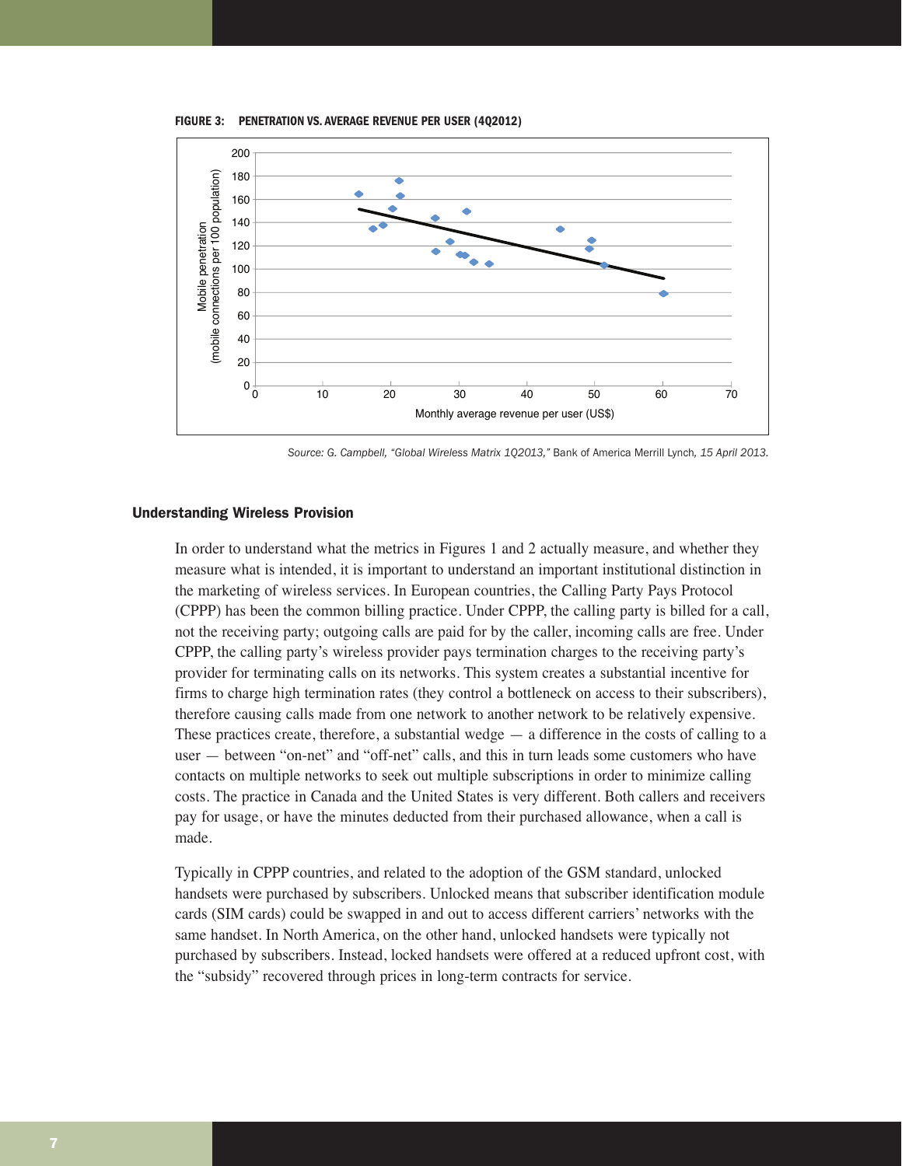**FIGURE 3: PENETRATION VS. AVERAGE REVENUE PER USER (4Q2012)**



*Source: G. Campbell, "Global Wireless Matrix 1Q2013,"* Bank of America Merrill Lynch*, 15 April 2013.*

#### Understanding Wireless Provision

In order to understand what the metrics in Figures 1 and 2 actually measure, and whether they measure what is intended, it is important to understand an important institutional distinction in the marketing of wireless services. In European countries, the Calling Party Pays Protocol (CPPP) has been the common billing practice. Under CPPP, the calling party is billed for a call, not the receiving party; outgoing calls are paid for by the caller, incoming calls are free. Under CPPP, the calling party's wireless provider pays termination charges to the receiving party's provider for terminating calls on its networks. This system creates a substantial incentive for firms to charge high termination rates (they control a bottleneck on access to their subscribers), therefore causing calls made from one network to another network to be relatively expensive. These practices create, therefore, a substantial wedge  $-$  a difference in the costs of calling to a user — between "on-net" and "off-net" calls, and this in turn leads some customers who have contacts on multiple networks to seek out multiple subscriptions in order to minimize calling costs. The practice in Canada and the United States is very different. Both callers and receivers pay for usage, or have the minutes deducted from their purchased allowance, when a call is made.

Typically in CPPP countries, and related to the adoption of the GSM standard, unlocked handsets were purchased by subscribers. Unlocked means that subscriber identification module cards (SIM cards) could be swapped in and out to access different carriers' networks with the same handset. In North America, on the other hand, unlocked handsets were typically not purchased by subscribers. Instead, locked handsets were offered at a reduced upfront cost, with the "subsidy" recovered through prices in long-term contracts for service.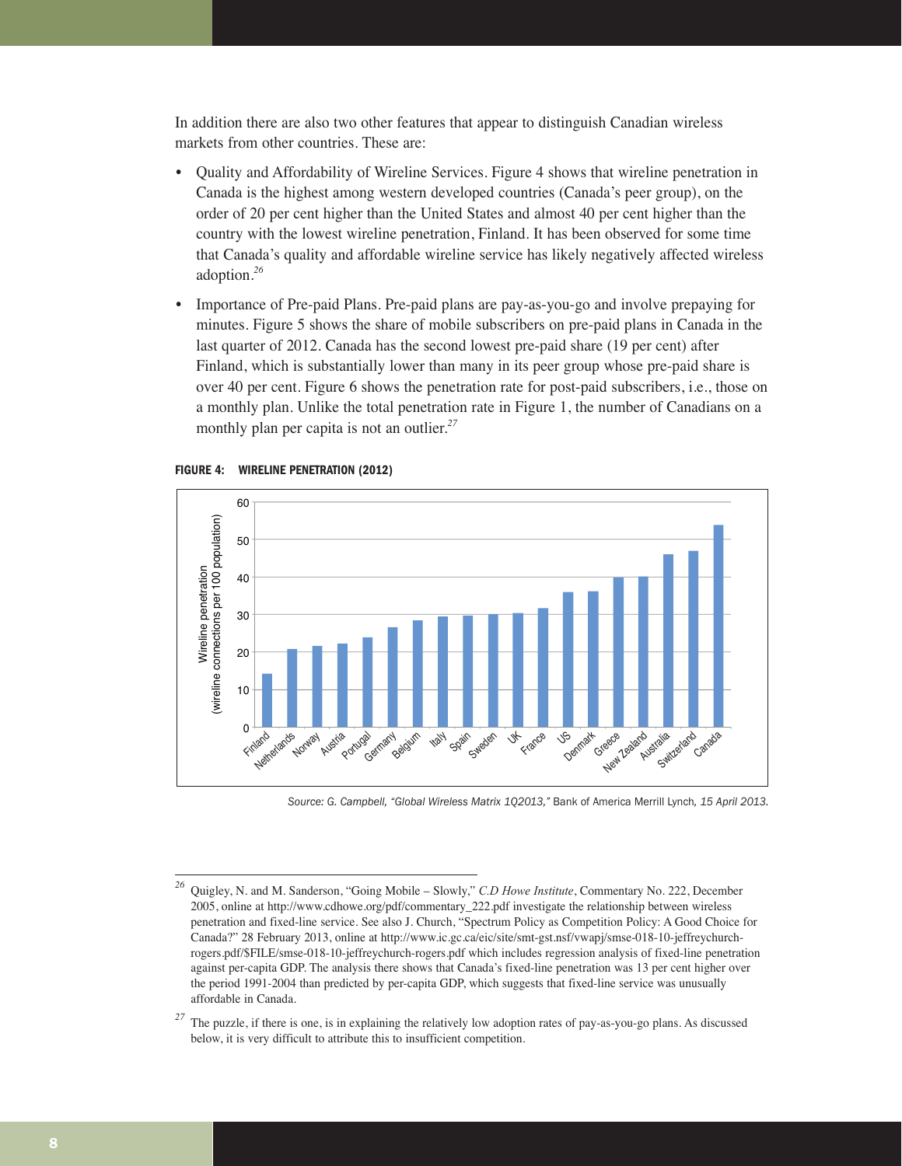In addition there are also two other features that appear to distinguish Canadian wireless markets from other countries. These are:

- Quality and Affordability of Wireline Services. Figure 4 shows that wireline penetration in Canada is the highest among western developed countries (Canada's peer group), on the order of 20 per cent higher than the United States and almost 40 per cent higher than the country with the lowest wireline penetration, Finland. It has been observed for some time that Canada's quality and affordable wireline service has likely negatively affected wireless adoption.*<sup>26</sup>*
- Importance of Pre-paid Plans. Pre-paid plans are pay-as-you-go and involve prepaying for minutes. Figure 5 shows the share of mobile subscribers on pre-paid plans in Canada in the last quarter of 2012. Canada has the second lowest pre-paid share (19 per cent) after Finland, which is substantially lower than many in its peer group whose pre-paid share is over 40 per cent. Figure 6 shows the penetration rate for post-paid subscribers, i.e., those on a monthly plan. Unlike the total penetration rate in Figure 1, the number of Canadians on a monthly plan per capita is not an outlier.*<sup>27</sup>*



#### **FIGURE 4: WIRELINE PENETRATION (2012)**

*Source: G. Campbell, "Global Wireless Matrix 1Q2013,"* Bank of America Merrill Lynch*, 15 April 2013.*

*<sup>26</sup>* Quigley, N. and M. Sanderson, "Going Mobile – Slowly," *C.D Howe Institute*, Commentary No. 222, December 2005, online at http://www.cdhowe.org/pdf/commentary\_222.pdf investigate the relationship between wireless penetration and fixed-line service. See also J. Church, "Spectrum Policy as Competition Policy: A Good Choice for Canada?" 28 February 2013, online at http://www.ic.gc.ca/eic/site/smt-gst.nsf/vwapj/smse-018-10-jeffreychurchrogers.pdf/\$FILE/smse-018-10-jeffreychurch-rogers.pdf which includes regression analysis of fixed-line penetration against per-capita GDP. The analysis there shows that Canada's fixed-line penetration was 13 per cent higher over the period 1991-2004 than predicted by per-capita GDP, which suggests that fixed-line service was unusually affordable in Canada.

*<sup>27</sup>* The puzzle, if there is one, is in explaining the relatively low adoption rates of pay-as-you-go plans. As discussed below, it is very difficult to attribute this to insufficient competition.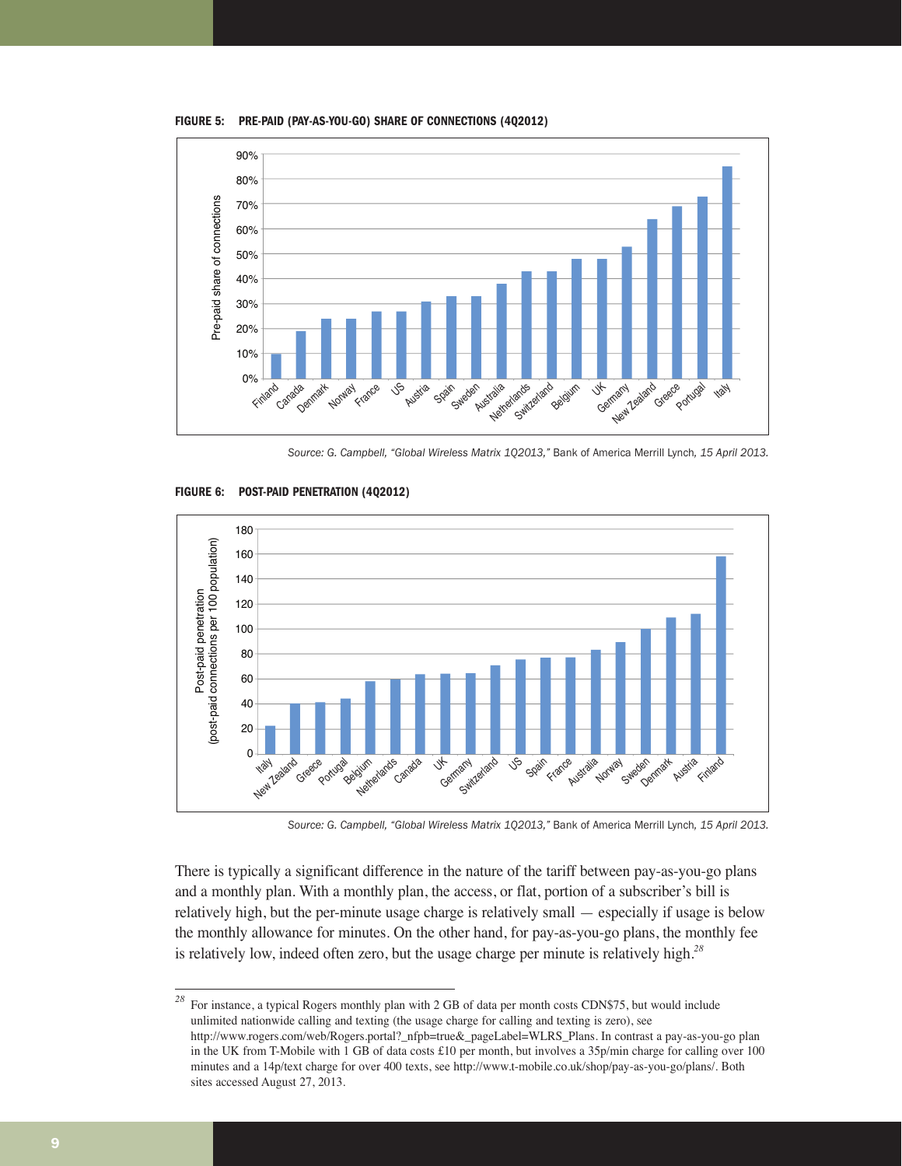**FIGURE 5: PRE-PAID (PAY-AS-YOU-GO) SHARE OF CONNECTIONS (4Q2012)**



*Source: G. Campbell, "Global Wireless Matrix 1Q2013,"* Bank of America Merrill Lynch*, 15 April 2013.*



**FIGURE 6: POST-PAID PENETRATION (4Q2012)**

*Source: G. Campbell, "Global Wireless Matrix 1Q2013,"* Bank of America Merrill Lynch*, 15 April 2013.*

There is typically a significant difference in the nature of the tariff between pay-as-you-go plans and a monthly plan. With a monthly plan, the access, or flat, portion of a subscriber's bill is relatively high, but the per-minute usage charge is relatively small — especially if usage is below the monthly allowance for minutes. On the other hand, for pay-as-you-go plans, the monthly fee is relatively low, indeed often zero, but the usage charge per minute is relatively high.*<sup>28</sup>*

<sup>28</sup> For instance, a typical Rogers monthly plan with 2 GB of data per month costs CDN\$75, but would include unlimited nationwide calling and texting (the usage charge for calling and texting is zero), see http://www.rogers.com/web/Rogers.portal?\_nfpb=true&\_pageLabel=WLRS\_Plans. In contrast a pay-as-you-go plan in the UK from T-Mobile with 1 GB of data costs £10 per month, but involves a 35p/min charge for calling over 100 minutes and a 14p/text charge for over 400 texts, see http://www.t-mobile.co.uk/shop/pay-as-you-go/plans/. Both sites accessed August 27, 2013.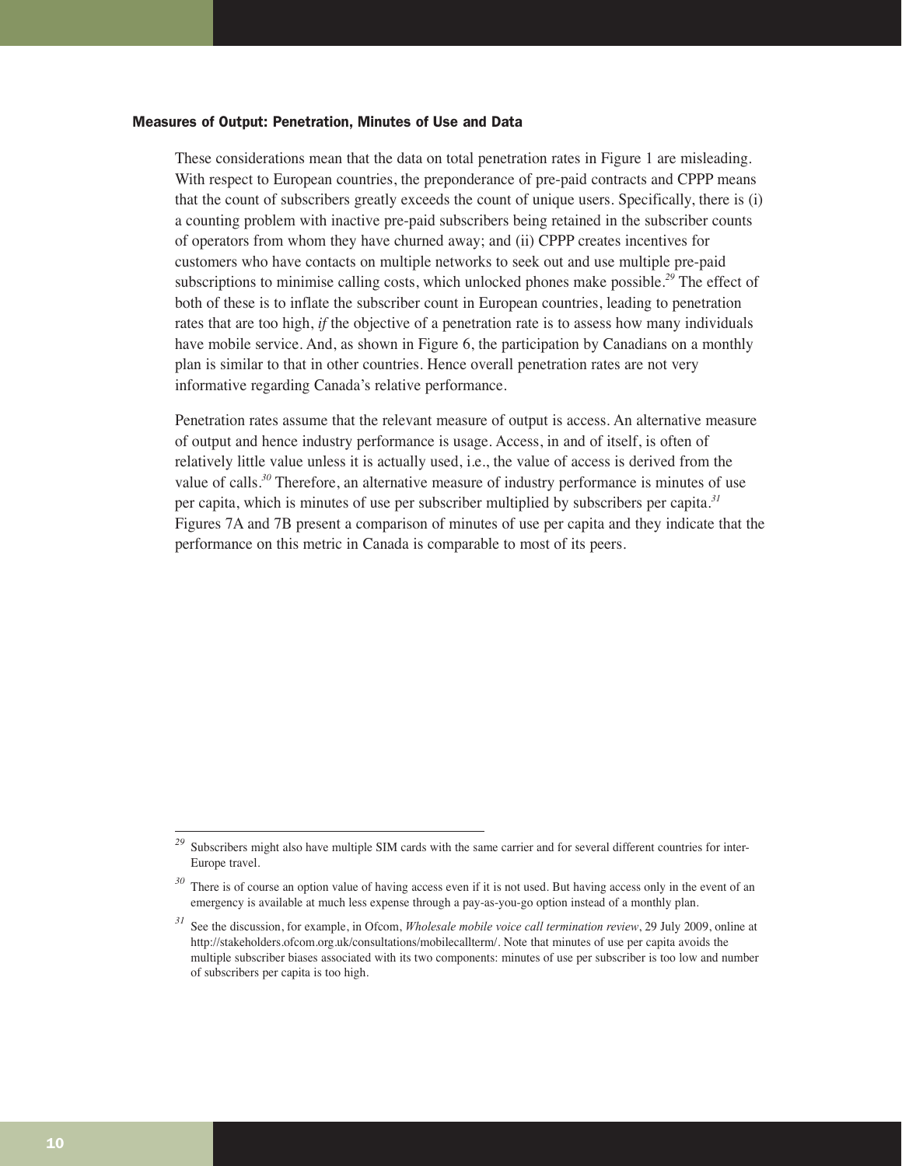#### Measures of Output: Penetration, Minutes of Use and Data

These considerations mean that the data on total penetration rates in Figure 1 are misleading. With respect to European countries, the preponderance of pre-paid contracts and CPPP means that the count of subscribers greatly exceeds the count of unique users. Specifically, there is (i) a counting problem with inactive pre-paid subscribers being retained in the subscriber counts of operators from whom they have churned away; and (ii) CPPP creates incentives for customers who have contacts on multiple networks to seek out and use multiple pre-paid subscriptions to minimise calling costs, which unlocked phones make possible.*<sup>29</sup>* The effect of both of these is to inflate the subscriber count in European countries, leading to penetration rates that are too high, *if* the objective of a penetration rate is to assess how many individuals have mobile service. And, as shown in Figure 6, the participation by Canadians on a monthly plan is similar to that in other countries. Hence overall penetration rates are not very informative regarding Canada's relative performance.

Penetration rates assume that the relevant measure of output is access. An alternative measure of output and hence industry performance is usage. Access, in and of itself, is often of relatively little value unless it is actually used, i.e., the value of access is derived from the value of calls.*<sup>30</sup>* Therefore, an alternative measure of industry performance is minutes of use per capita, which is minutes of use per subscriber multiplied by subscribers per capita.*<sup>31</sup>* Figures 7A and 7B present a comparison of minutes of use per capita and they indicate that the performance on this metric in Canada is comparable to most of its peers.

<sup>&</sup>lt;sup>29</sup> Subscribers might also have multiple SIM cards with the same carrier and for several different countries for inter-Europe travel.

There is of course an option value of having access even if it is not used. But having access only in the event of an emergency is available at much less expense through a pay-as-you-go option instead of a monthly plan.

*<sup>31</sup>* See the discussion, for example, in Ofcom, *Wholesale mobile voice call termination review*, 29 July 2009, online at http://stakeholders.ofcom.org.uk/consultations/mobilecallterm/. Note that minutes of use per capita avoids the multiple subscriber biases associated with its two components: minutes of use per subscriber is too low and number of subscribers per capita is too high.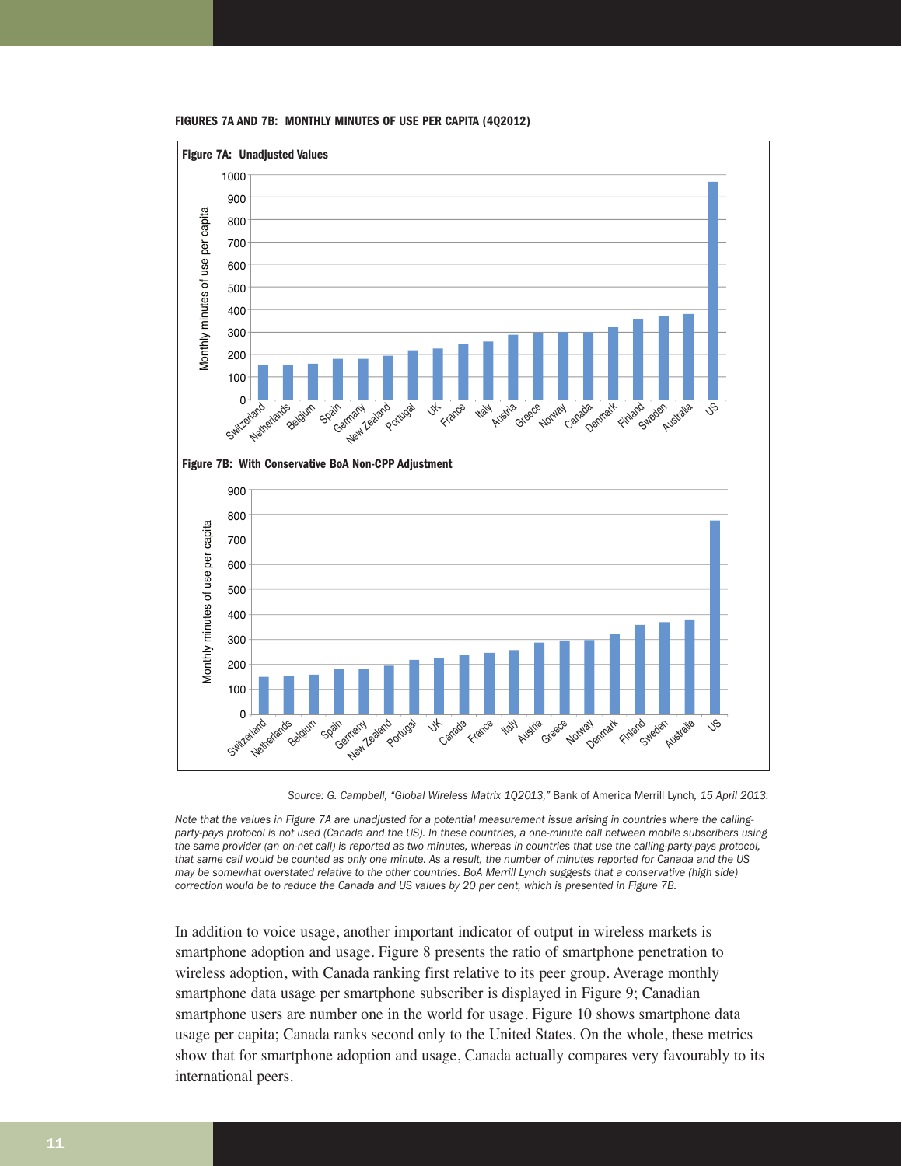

**FIGURES 7A AND 7B: MONTHLY MINUTES OF USE PER CAPITA (4Q2012)**

*Source: G. Campbell, "Global Wireless Matrix 1Q2013,"* Bank of America Merrill Lynch*, 15 April 2013.* 

*Note that the values in Figure 7A are unadjusted for a potential measurement issue arising in countries where the callingparty-pays protocol is not used (Canada and the US). In these countries, a one-minute call between mobile subscribers using the same provider (an on-net call) is reported as two minutes, whereas in countries that use the calling-party-pays protocol, that same call would be counted as only one minute. As a result, the number of minutes reported for Canada and the US may be somewhat overstated relative to the other countries. BoA Merrill Lynch suggests that a conservative (high side) correction would be to reduce the Canada and US values by 20 per cent, which is presented in Figure 7B.*

In addition to voice usage, another important indicator of output in wireless markets is smartphone adoption and usage. Figure 8 presents the ratio of smartphone penetration to wireless adoption, with Canada ranking first relative to its peer group. Average monthly smartphone data usage per smartphone subscriber is displayed in Figure 9; Canadian smartphone users are number one in the world for usage. Figure 10 shows smartphone data usage per capita; Canada ranks second only to the United States. On the whole, these metrics show that for smartphone adoption and usage, Canada actually compares very favourably to its international peers.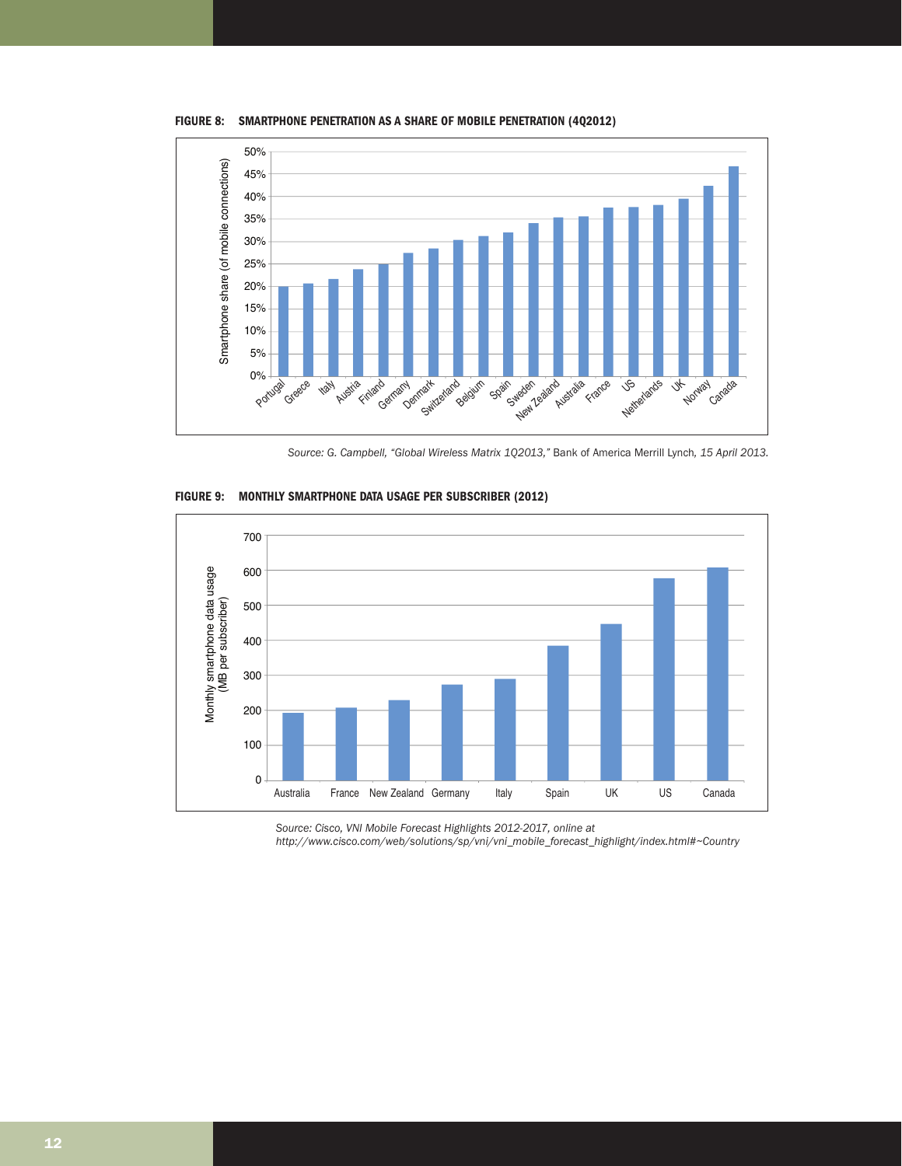

**FIGURE 8: SMARTPHONE PENETRATION AS A SHARE OF MOBILE PENETRATION (4Q2012)**

*Source: G. Campbell, "Global Wireless Matrix 1Q2013,"* Bank of America Merrill Lynch*, 15 April 2013.*



**FIGURE 9: MONTHLY SMARTPHONE DATA USAGE PER SUBSCRIBER (2012)**

*Source: Cisco, VNI Mobile Forecast Highlights 2012-2017, online at http://www.cisco.com/web/solutions/sp/vni/vni\_mobile\_forecast\_highlight/index.html#~Country*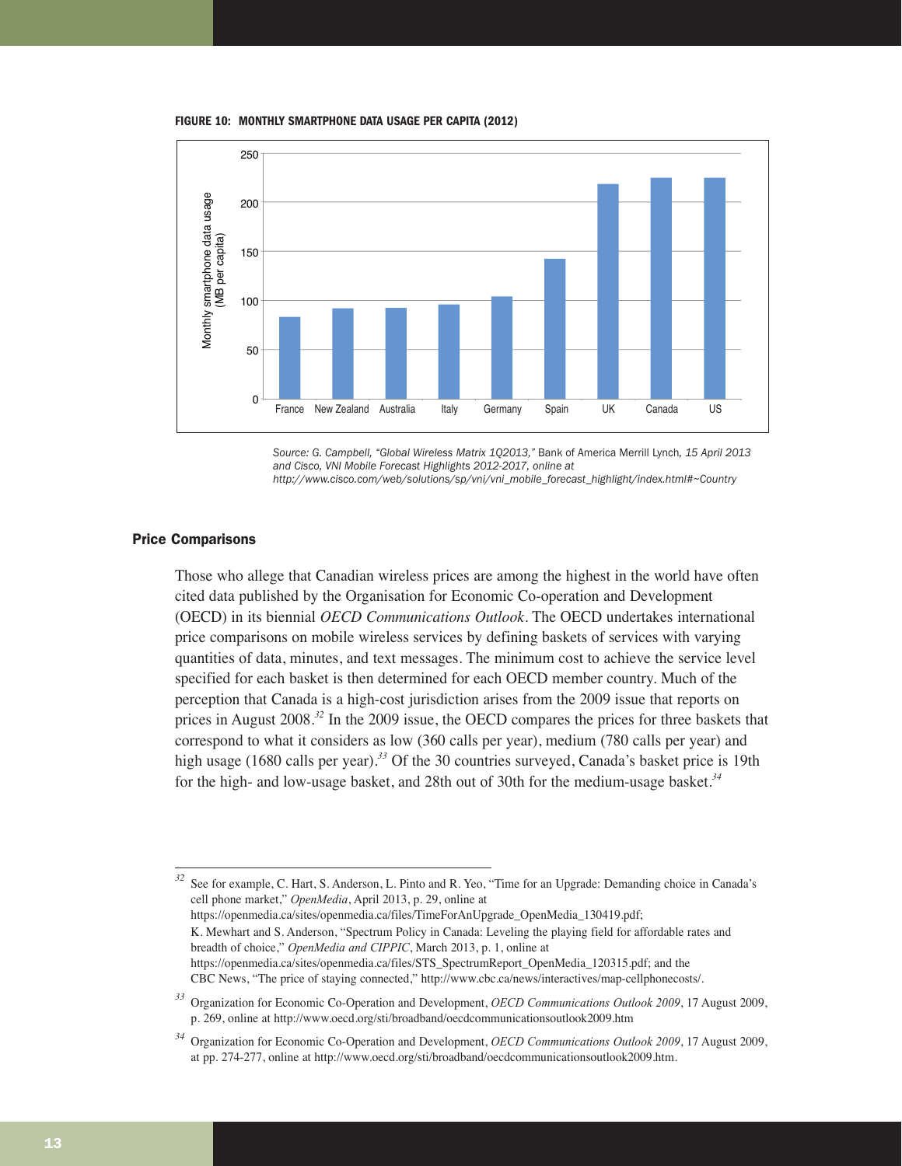**FIGURE 10: MONTHLY SMARTPHONE DATA USAGE PER CAPITA (2012)**



*Source: G. Campbell, "Global Wireless Matrix 1Q2013,"* Bank of America Merrill Lynch*, 15 April 2013 and Cisco, VNI Mobile Forecast Highlights 2012-2017, online at http://www.cisco.com/web/solutions/sp/vni/vni\_mobile\_forecast\_highlight/index.html#~Country*

#### Price Comparisons

Those who allege that Canadian wireless prices are among the highest in the world have often cited data published by the Organisation for Economic Co-operation and Development (OECD) in its biennial *OECD Communications Outlook*. The OECD undertakes international price comparisons on mobile wireless services by defining baskets of services with varying quantities of data, minutes, and text messages. The minimum cost to achieve the service level specified for each basket is then determined for each OECD member country. Much of the perception that Canada is a high-cost jurisdiction arises from the 2009 issue that reports on prices in August 2008.*<sup>32</sup>* In the 2009 issue, the OECD compares the prices for three baskets that correspond to what it considers as low (360 calls per year), medium (780 calls per year) and high usage (1680 calls per year).*<sup>33</sup>* Of the 30 countries surveyed, Canada's basket price is 19th for the high- and low-usage basket, and 28th out of 30th for the medium-usage basket.*<sup>34</sup>*

*<sup>32</sup>* See for example, C. Hart, S. Anderson, L. Pinto and R. Yeo, "Time for an Upgrade: Demanding choice in Canada's cell phone market," *OpenMedia*, April 2013, p. 29, online at https://openmedia.ca/sites/openmedia.ca/files/TimeForAnUpgrade\_OpenMedia\_130419.pdf; K. Mewhart and S. Anderson, "Spectrum Policy in Canada: Leveling the playing field for affordable rates and breadth of choice," *OpenMedia and CIPPIC*, March 2013, p. 1, online at https://openmedia.ca/sites/openmedia.ca/files/STS\_SpectrumReport\_OpenMedia\_120315.pdf; and the

CBC News, "The price of staying connected," http://www.cbc.ca/news/interactives/map-cellphonecosts/.

*<sup>33</sup>* Organization for Economic Co-Operation and Development, *OECD Communications Outlook 2009*, 17 August 2009, p. 269, online at http://www.oecd.org/sti/broadband/oecdcommunicationsoutlook2009.htm

*<sup>34</sup>* Organization for Economic Co-Operation and Development, *OECD Communications Outlook 2009*, 17 August 2009, at pp. 274-277, online at http://www.oecd.org/sti/broadband/oecdcommunicationsoutlook2009.htm.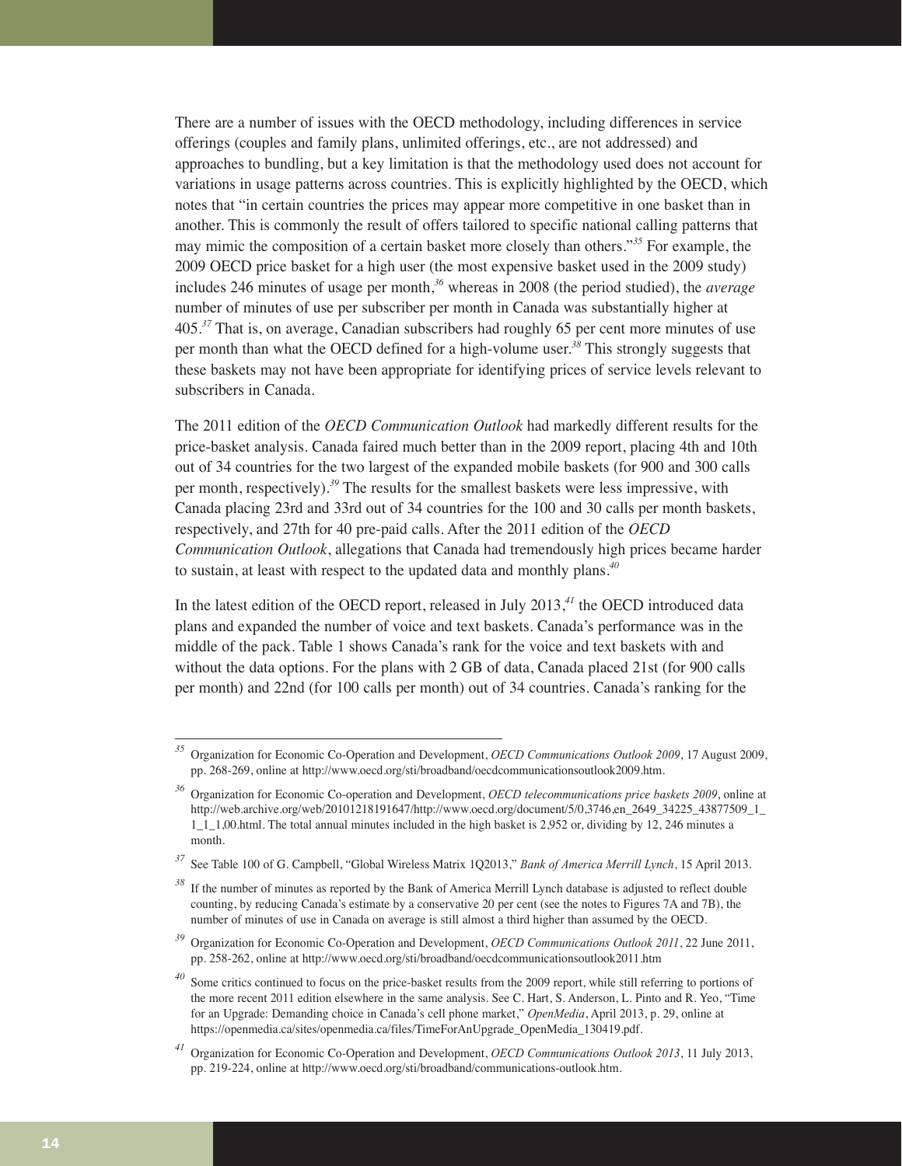There are a number of issues with the OECD methodology, including differences in service offerings (couples and family plans, unlimited offerings, etc., are not addressed) and approaches to bundling, but a key limitation is that the methodology used does not account for variations in usage patterns across countries. This is explicitly highlighted by the OECD, which notes that "in certain countries the prices may appear more competitive in one basket than in another. This is commonly the result of offers tailored to specific national calling patterns that may mimic the composition of a certain basket more closely than others."*<sup>35</sup>* For example, the 2009 OECD price basket for a high user (the most expensive basket used in the 2009 study) includes 246 minutes of usage per month,*<sup>36</sup>* whereas in 2008 (the period studied), the *average* number of minutes of use per subscriber per month in Canada was substantially higher at 405.*<sup>37</sup>* That is, on average, Canadian subscribers had roughly 65 per cent more minutes of use per month than what the OECD defined for a high-volume user.*<sup>38</sup>* This strongly suggests that these baskets may not have been appropriate for identifying prices of service levels relevant to subscribers in Canada.

The 2011 edition of the *OECD Communication Outlook* had markedly different results for the price-basket analysis. Canada faired much better than in the 2009 report, placing 4th and 10th out of 34 countries for the two largest of the expanded mobile baskets (for 900 and 300 calls per month, respectively).*<sup>39</sup>* The results for the smallest baskets were less impressive, with Canada placing 23rd and 33rd out of 34 countries for the 100 and 30 calls per month baskets, respectively, and 27th for 40 pre-paid calls. After the 2011 edition of the *OECD Communication Outlook*, allegations that Canada had tremendously high prices became harder to sustain, at least with respect to the updated data and monthly plans.*<sup>40</sup>*

In the latest edition of the OECD report, released in July 2013,*<sup>41</sup>* the OECD introduced data plans and expanded the number of voice and text baskets. Canada's performance was in the middle of the pack. Table 1 shows Canada's rank for the voice and text baskets with and without the data options. For the plans with 2 GB of data, Canada placed 21st (for 900 calls per month) and 22nd (for 100 calls per month) out of 34 countries. Canada's ranking for the

*<sup>35</sup>* Organization for Economic Co-Operation and Development, *OECD Communications Outlook 2009*, 17 August 2009, pp. 268-269, online at http://www.oecd.org/sti/broadband/oecdcommunicationsoutlook2009.htm.

*<sup>36</sup>* Organization for Economic Co-operation and Development, *OECD telecommunications price baskets 2009*, online at http://web.archive.org/web/20101218191647/http://www.oecd.org/document/5/0,3746,en\_2649\_34225\_43877509\_1\_ 1\_1\_1,00.html. The total annual minutes included in the high basket is 2,952 or, dividing by 12, 246 minutes a month.

*<sup>37</sup>* See Table 100 of G. Campbell, "Global Wireless Matrix 1Q2013," *Bank of America Merrill Lynch*, 15 April 2013.

*<sup>38</sup>* If the number of minutes as reported by the Bank of America Merrill Lynch database is adjusted to reflect double counting, by reducing Canada's estimate by a conservative 20 per cent (see the notes to Figures 7A and 7B), the number of minutes of use in Canada on average is still almost a third higher than assumed by the OECD.

*<sup>39</sup>* Organization for Economic Co-Operation and Development, *OECD Communications Outlook 2011*, 22 June 2011, pp. 258-262, online at http://www.oecd.org/sti/broadband/oecdcommunicationsoutlook2011.htm

Some critics continued to focus on the price-basket results from the 2009 report, while still referring to portions of the more recent 2011 edition elsewhere in the same analysis. See C. Hart, S. Anderson, L. Pinto and R. Yeo, "Time for an Upgrade: Demanding choice in Canada's cell phone market," *OpenMedia*, April 2013, p. 29, online at https://openmedia.ca/sites/openmedia.ca/files/TimeForAnUpgrade\_OpenMedia\_130419.pdf.

*<sup>41</sup>* Organization for Economic Co-Operation and Development, *OECD Communications Outlook 2013*, 11 July 2013, pp. 219-224, online at http://www.oecd.org/sti/broadband/communications-outlook.htm.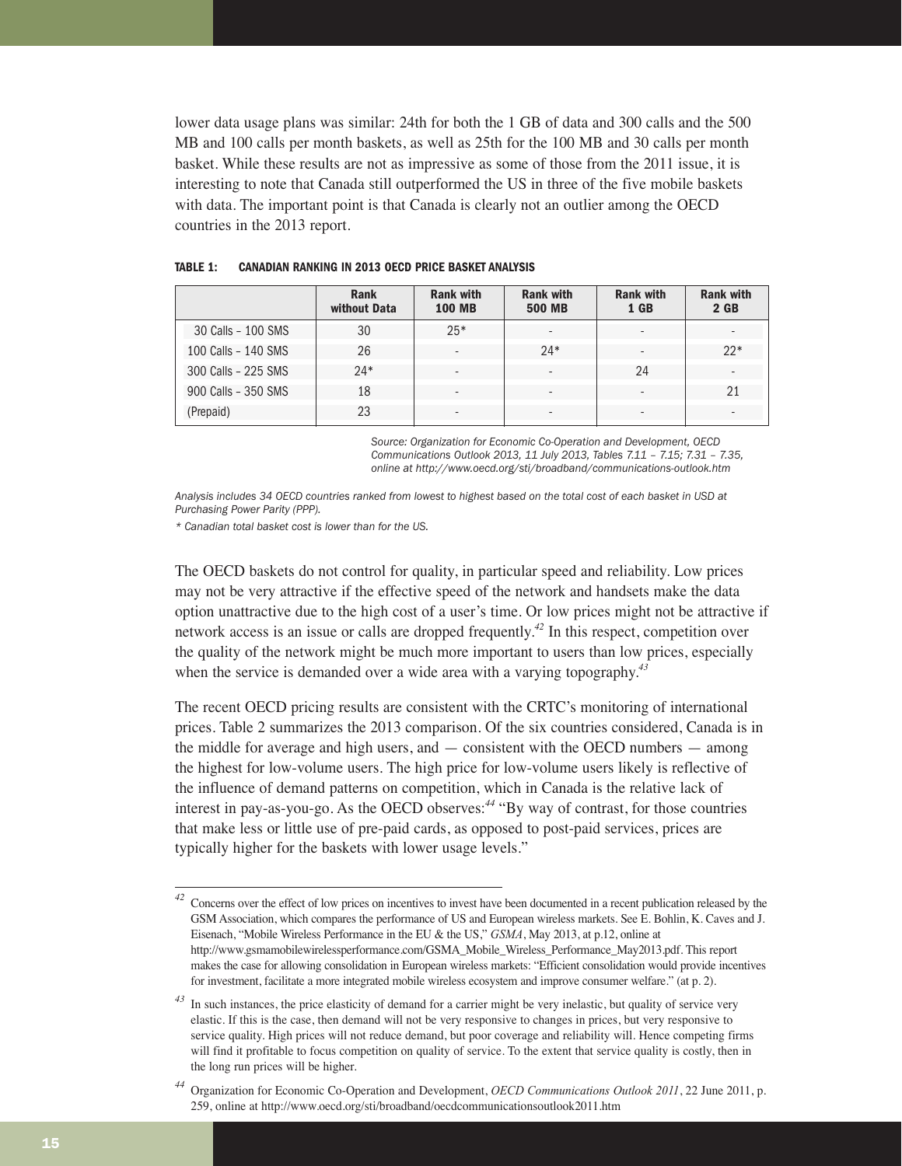lower data usage plans was similar: 24th for both the 1 GB of data and 300 calls and the 500 MB and 100 calls per month baskets, as well as 25th for the 100 MB and 30 calls per month basket. While these results are not as impressive as some of those from the 2011 issue, it is interesting to note that Canada still outperformed the US in three of the five mobile baskets with data. The important point is that Canada is clearly not an outlier among the OECD countries in the 2013 report.

|                     | <b>Rank</b><br>without Data | <b>Rank with</b><br><b>100 MB</b> | <b>Rank with</b><br><b>500 MB</b> | <b>Rank with</b><br>1 GB | <b>Rank with</b><br>$2$ GB |
|---------------------|-----------------------------|-----------------------------------|-----------------------------------|--------------------------|----------------------------|
| 30 Calls - 100 SMS  | 30                          | $25*$                             | $\overline{\phantom{a}}$          |                          | $\overline{\phantom{a}}$   |
| 100 Calls - 140 SMS | 26                          |                                   | $24*$                             |                          | $22*$                      |
| 300 Calls - 225 SMS | $24*$                       |                                   | $\overline{\phantom{0}}$          | 24                       | $\overline{\phantom{a}}$   |
| 900 Calls - 350 SMS | 18                          |                                   | -                                 |                          | 21                         |
| (Prepaid)           | 23                          |                                   | ٠                                 |                          | $\overline{\phantom{a}}$   |

#### **TABLE 1: CANADIAN RANKING IN 2013 OECD PRICE BASKET ANALYSIS**

*Source: Organization for Economic Co-Operation and Development, OECD Communications Outlook 2013, 11 July 2013, Tables 7.11 – 7.15; 7.31 – 7.35, online at http://www.oecd.org/sti/broadband/communications-outlook.htm*

*Analysis includes 34 OECD countries ranked from lowest to highest based on the total cost of each basket in USD at Purchasing Power Parity (PPP).*

*\* Canadian total basket cost is lower than for the US.*

The OECD baskets do not control for quality, in particular speed and reliability. Low prices may not be very attractive if the effective speed of the network and handsets make the data option unattractive due to the high cost of a user's time. Or low prices might not be attractive if network access is an issue or calls are dropped frequently.*<sup>42</sup>* In this respect, competition over the quality of the network might be much more important to users than low prices, especially when the service is demanded over a wide area with a varying topography.*<sup>43</sup>*

The recent OECD pricing results are consistent with the CRTC's monitoring of international prices. Table 2 summarizes the 2013 comparison. Of the six countries considered, Canada is in the middle for average and high users, and — consistent with the OECD numbers — among the highest for low-volume users. The high price for low-volume users likely is reflective of the influence of demand patterns on competition, which in Canada is the relative lack of interest in pay-as-you-go. As the OECD observes:*<sup>44</sup>* "By way of contrast, for those countries that make less or little use of pre-paid cards, as opposed to post-paid services, prices are typically higher for the baskets with lower usage levels."

*<sup>42</sup>* Concerns over the effect of low prices on incentives to invest have been documented in a recent publication released by the GSM Association, which compares the performance of US and European wireless markets. See E. Bohlin, K. Caves and J. Eisenach, "Mobile Wireless Performance in the EU & the US," *GSMA*, May 2013, at p.12, online at http://www.gsmamobilewirelessperformance.com/GSMA\_Mobile\_Wireless\_Performance\_May2013.pdf. This report makes the case for allowing consolidation in European wireless markets: "Efficient consolidation would provide incentives for investment, facilitate a more integrated mobile wireless ecosystem and improve consumer welfare." (at p. 2).

<sup>&</sup>lt;sup>43</sup> In such instances, the price elasticity of demand for a carrier might be very inelastic, but quality of service very elastic. If this is the case, then demand will not be very responsive to changes in prices, but very responsive to service quality. High prices will not reduce demand, but poor coverage and reliability will. Hence competing firms will find it profitable to focus competition on quality of service. To the extent that service quality is costly, then in the long run prices will be higher.

*<sup>44</sup>* Organization for Economic Co-Operation and Development, *OECD Communications Outlook 2011*, 22 June 2011, p. 259, online at http://www.oecd.org/sti/broadband/oecdcommunicationsoutlook2011.htm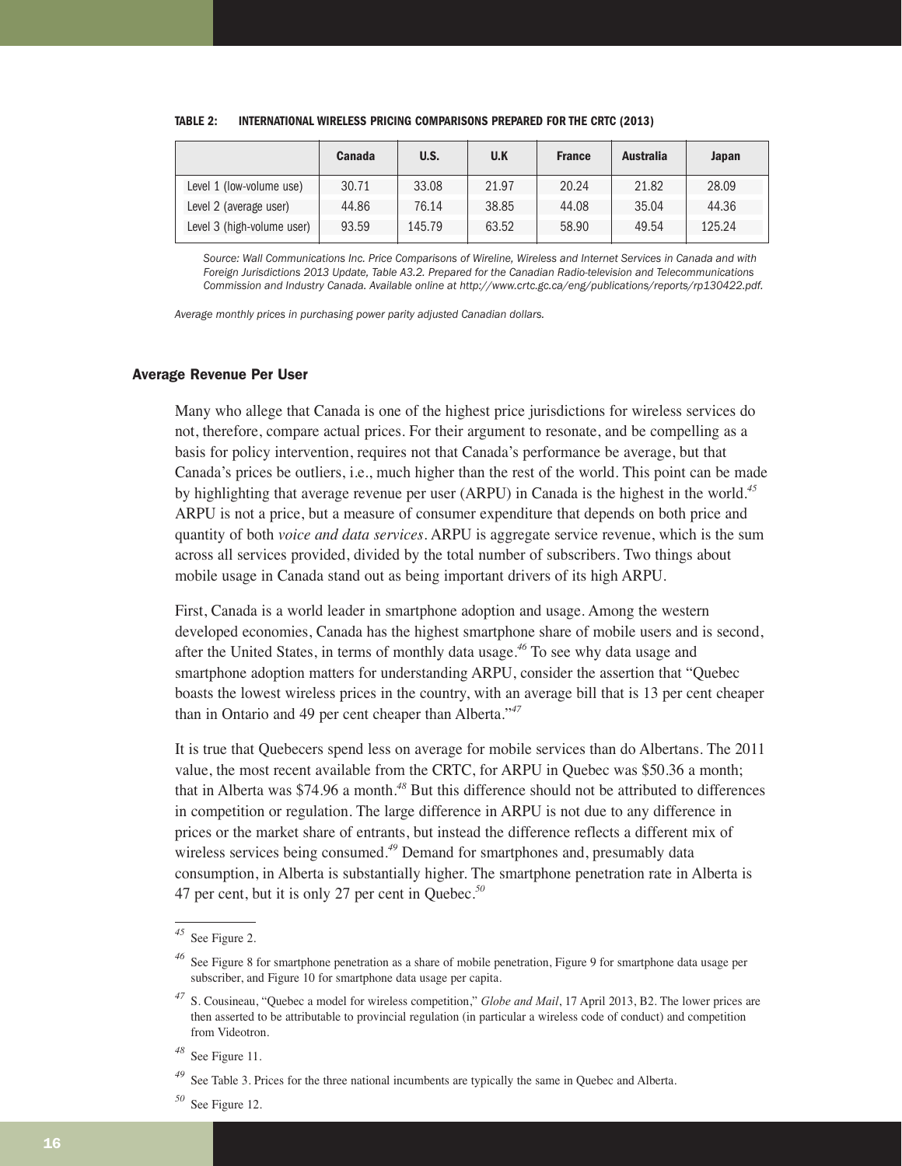|                            | Canada | U.S.   | U.K   | <b>France</b> | <b>Australia</b> | Japan  |
|----------------------------|--------|--------|-------|---------------|------------------|--------|
| Level 1 (low-volume use)   | 30.71  | 33.08  | 21.97 | 20.24         | 21.82            | 28.09  |
| Level 2 (average user)     | 44.86  | 76.14  | 38.85 | 44.08         | 35.04            | 44.36  |
| Level 3 (high-volume user) | 93.59  | 145.79 | 63.52 | 58.90         | 49.54            | 125.24 |

#### **TABLE 2: INTERNATIONAL WIRELESS PRICING COMPARISONS PREPARED FOR THE CRTC (2013)**

*Source: Wall Communications Inc. Price Comparisons of Wireline, Wireless and Internet Services in Canada and with Foreign Jurisdictions 2013 Update, Table A3.2. Prepared for the Canadian Radio-television and Telecommunications Commission and Industry Canada. Available online at http://www.crtc.gc.ca/eng/publications/reports/rp130422.pdf.*

*Average monthly prices in purchasing power parity adjusted Canadian dollars.*

#### Average Revenue Per User

Many who allege that Canada is one of the highest price jurisdictions for wireless services do not, therefore, compare actual prices. For their argument to resonate, and be compelling as a basis for policy intervention, requires not that Canada's performance be average, but that Canada's prices be outliers, i.e., much higher than the rest of the world. This point can be made by highlighting that average revenue per user (ARPU) in Canada is the highest in the world.*<sup>45</sup>* ARPU is not a price, but a measure of consumer expenditure that depends on both price and quantity of both *voice and data services*. ARPU is aggregate service revenue, which is the sum across all services provided, divided by the total number of subscribers. Two things about mobile usage in Canada stand out as being important drivers of its high ARPU.

First, Canada is a world leader in smartphone adoption and usage. Among the western developed economies, Canada has the highest smartphone share of mobile users and is second, after the United States, in terms of monthly data usage.*<sup>46</sup>* To see why data usage and smartphone adoption matters for understanding ARPU, consider the assertion that "Quebec boasts the lowest wireless prices in the country, with an average bill that is 13 per cent cheaper than in Ontario and 49 per cent cheaper than Alberta."*<sup>47</sup>*

It is true that Quebecers spend less on average for mobile services than do Albertans. The 2011 value, the most recent available from the CRTC, for ARPU in Quebec was \$50.36 a month; that in Alberta was \$74.96 a month.*<sup>48</sup>* But this difference should not be attributed to differences in competition or regulation. The large difference in ARPU is not due to any difference in prices or the market share of entrants, but instead the difference reflects a different mix of wireless services being consumed.*<sup>49</sup>* Demand for smartphones and, presumably data consumption, in Alberta is substantially higher. The smartphone penetration rate in Alberta is 47 per cent, but it is only 27 per cent in Quebec.*<sup>50</sup>*

*<sup>50</sup>* See Figure 12.

See Figure 2.

*<sup>46</sup>* See Figure 8 for smartphone penetration as a share of mobile penetration, Figure 9 for smartphone data usage per subscriber, and Figure 10 for smartphone data usage per capita.

*<sup>47</sup>* S. Cousineau, "Quebec a model for wireless competition," *Globe and Mail*, 17 April 2013, B2. The lower prices are then asserted to be attributable to provincial regulation (in particular a wireless code of conduct) and competition from Videotron.

*<sup>48</sup>* See Figure 11.

*<sup>49</sup>* See Table 3. Prices for the three national incumbents are typically the same in Quebec and Alberta.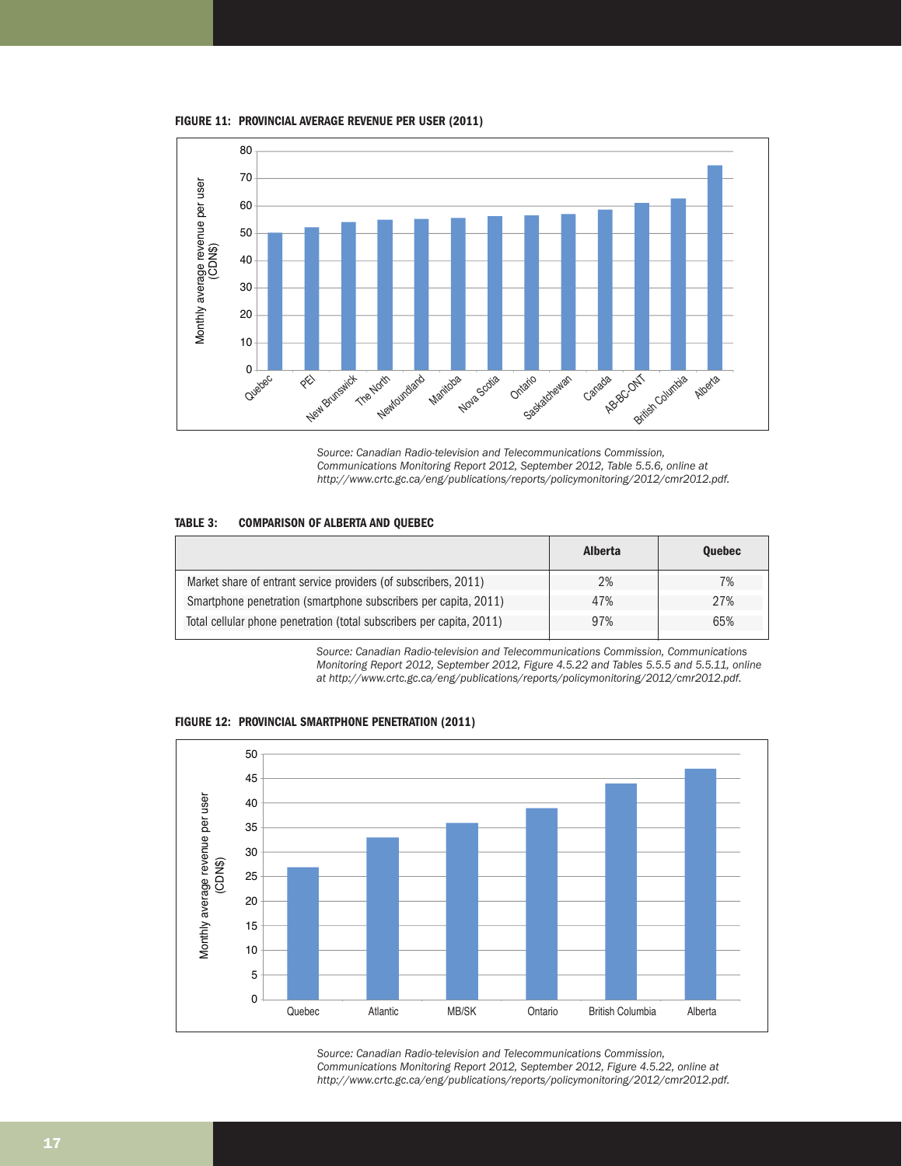**FIGURE 11: PROVINCIAL AVERAGE REVENUE PER USER (2011)**



*Source: Canadian Radio-television and Telecommunications Commission, Communications Monitoring Report 2012, September 2012, Table 5.5.6, online at http://www.crtc.gc.ca/eng/publications/reports/policymonitoring/2012/cmr2012.pdf.*

#### **TABLE 3: COMPARISON OF ALBERTA AND QUEBEC**

|                                                                       | <b>Alberta</b> | <b>Ouebec</b> |
|-----------------------------------------------------------------------|----------------|---------------|
| Market share of entrant service providers (of subscribers, 2011)      | 2%             | 7%            |
| Smartphone penetration (smartphone subscribers per capita, 2011)      | 47%            | 27%           |
| Total cellular phone penetration (total subscribers per capita, 2011) | 97%            | 65%           |

*Source: Canadian Radio-television and Telecommunications Commission, Communications Monitoring Report 2012, September 2012, Figure 4.5.22 and Tables 5.5.5 and 5.5.11, online at http://www.crtc.gc.ca/eng/publications/reports/policymonitoring/2012/cmr2012.pdf.*



**FIGURE 12: PROVINCIAL SMARTPHONE PENETRATION (2011)**

*Source: Canadian Radio-television and Telecommunications Commission, Communications Monitoring Report 2012, September 2012, Figure 4.5.22, online at http://www.crtc.gc.ca/eng/publications/reports/policymonitoring/2012/cmr2012.pdf.*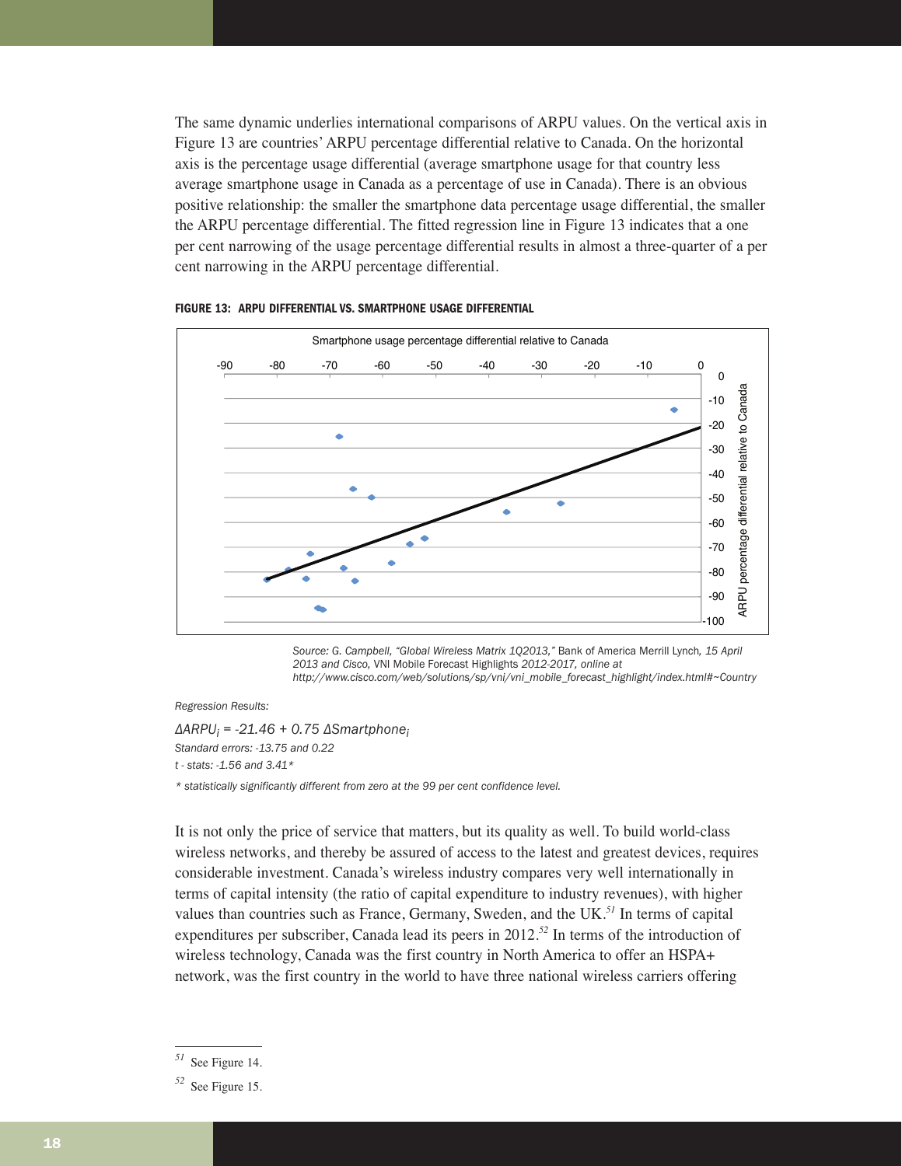The same dynamic underlies international comparisons of ARPU values. On the vertical axis in Figure 13 are countries' ARPU percentage differential relative to Canada. On the horizontal axis is the percentage usage differential (average smartphone usage for that country less average smartphone usage in Canada as a percentage of use in Canada). There is an obvious positive relationship: the smaller the smartphone data percentage usage differential, the smaller the ARPU percentage differential. The fitted regression line in Figure 13 indicates that a one per cent narrowing of the usage percentage differential results in almost a three-quarter of a per cent narrowing in the ARPU percentage differential.



#### **FIGURE 13: ARPU DIFFERENTIAL VS. SMARTPHONE USAGE DIFFERENTIAL**

*Source: G. Campbell, "Global Wireless Matrix 1Q2013,"* Bank of America Merrill Lynch*, 15 April 2013 and Cisco,* VNI Mobile Forecast Highlights *2012-2017, online at http://www.cisco.com/web/solutions/sp/vni/vni\_mobile\_forecast\_highlight/index.html#~Country*

*Regression Results:*

*ΔARPUi = -21.46 + 0.75 ΔSmartphonei Standard errors: -13.75 and 0.22 t - stats: -1.56 and 3.41\* \* statistically significantly different from zero at the 99 per cent confidence level.*

It is not only the price of service that matters, but its quality as well. To build world-class wireless networks, and thereby be assured of access to the latest and greatest devices, requires considerable investment. Canada's wireless industry compares very well internationally in terms of capital intensity (the ratio of capital expenditure to industry revenues), with higher values than countries such as France, Germany, Sweden, and the UK.*<sup>51</sup>* In terms of capital expenditures per subscriber, Canada lead its peers in 2012.*<sup>52</sup>* In terms of the introduction of wireless technology, Canada was the first country in North America to offer an HSPA+ network, was the first country in the world to have three national wireless carriers offering

*<sup>51</sup>* See Figure 14.

*<sup>52</sup>* See Figure 15.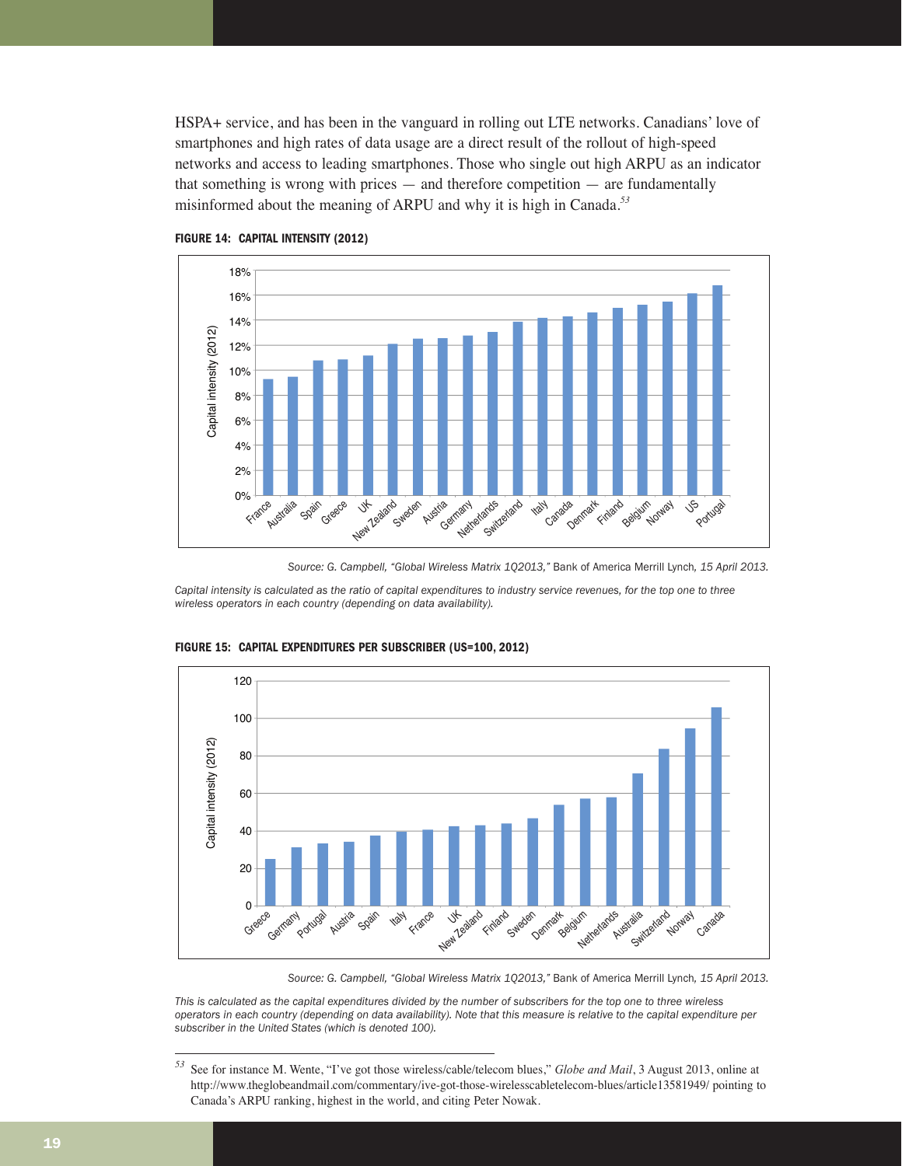HSPA+ service, and has been in the vanguard in rolling out LTE networks. Canadians' love of smartphones and high rates of data usage are a direct result of the rollout of high-speed networks and access to leading smartphones. Those who single out high ARPU as an indicator that something is wrong with prices — and therefore competition — are fundamentally misinformed about the meaning of ARPU and why it is high in Canada.*<sup>53</sup>*





*Source: G. Campbell, "Global Wireless Matrix 1Q2013,"* Bank of America Merrill Lynch*, 15 April 2013.*

*Capital intensity is calculated as the ratio of capital expenditures to industry service revenues, for the top one to three wireless operators in each country (depending on data availability).*



**FIGURE 15: CAPITAL EXPENDITURES PER SUBSCRIBER (US=100, 2012)**

*Source: G. Campbell, "Global Wireless Matrix 1Q2013,"* Bank of America Merrill Lynch*, 15 April 2013.*

*This is calculated as the capital expenditures divided by the number of subscribers for the top one to three wireless operators in each country (depending on data availability). Note that this measure is relative to the capital expenditure per subscriber in the United States (which is denoted 100).*

*<sup>53</sup>* See for instance M. Wente, "I've got those wireless/cable/telecom blues," *Globe and Mail*, 3 August 2013, online at http://www.theglobeandmail.com/commentary/ive-got-those-wirelesscabletelecom-blues/article13581949/ pointing to Canada's ARPU ranking, highest in the world, and citing Peter Nowak.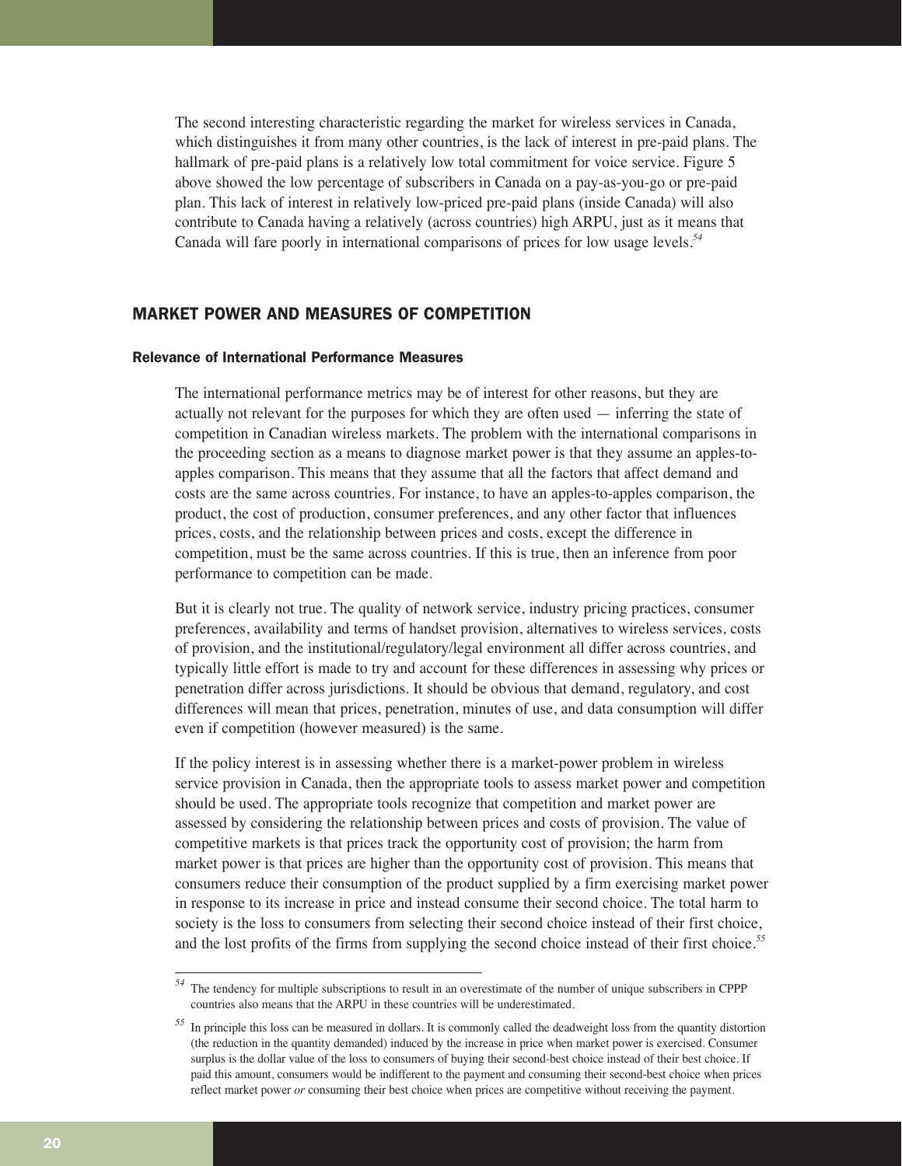The second interesting characteristic regarding the market for wireless services in Canada, which distinguishes it from many other countries, is the lack of interest in pre-paid plans. The hallmark of pre-paid plans is a relatively low total commitment for voice service. Figure 5 above showed the low percentage of subscribers in Canada on a pay-as-you-go or pre-paid plan. This lack of interest in relatively low-priced pre-paid plans (inside Canada) will also contribute to Canada having a relatively (across countries) high ARPU, just as it means that Canada will fare poorly in international comparisons of prices for low usage levels.*<sup>54</sup>*

#### MARKET POWER AND MEASURES OF COMPETITION

#### Relevance of International Performance Measures

The international performance metrics may be of interest for other reasons, but they are actually not relevant for the purposes for which they are often used — inferring the state of competition in Canadian wireless markets. The problem with the international comparisons in the proceeding section as a means to diagnose market power is that they assume an apples-toapples comparison. This means that they assume that all the factors that affect demand and costs are the same across countries. For instance, to have an apples-to-apples comparison, the product, the cost of production, consumer preferences, and any other factor that influences prices, costs, and the relationship between prices and costs, except the difference in competition, must be the same across countries. If this is true, then an inference from poor performance to competition can be made.

But it is clearly not true. The quality of network service, industry pricing practices, consumer preferences, availability and terms of handset provision, alternatives to wireless services, costs of provision, and the institutional/regulatory/legal environment all differ across countries, and typically little effort is made to try and account for these differences in assessing why prices or penetration differ across jurisdictions. It should be obvious that demand, regulatory, and cost differences will mean that prices, penetration, minutes of use, and data consumption will differ even if competition (however measured) is the same.

If the policy interest is in assessing whether there is a market-power problem in wireless service provision in Canada, then the appropriate tools to assess market power and competition should be used. The appropriate tools recognize that competition and market power are assessed by considering the relationship between prices and costs of provision. The value of competitive markets is that prices track the opportunity cost of provision; the harm from market power is that prices are higher than the opportunity cost of provision. This means that consumers reduce their consumption of the product supplied by a firm exercising market power in response to its increase in price and instead consume their second choice. The total harm to society is the loss to consumers from selecting their second choice instead of their first choice, and the lost profits of the firms from supplying the second choice instead of their first choice.*<sup>55</sup>*

*<sup>54</sup>* The tendency for multiple subscriptions to result in an overestimate of the number of unique subscribers in CPPP countries also means that the ARPU in these countries will be underestimated.

*<sup>55</sup>* In principle this loss can be measured in dollars. It is commonly called the deadweight loss from the quantity distortion (the reduction in the quantity demanded) induced by the increase in price when market power is exercised. Consumer surplus is the dollar value of the loss to consumers of buying their second-best choice instead of their best choice. If paid this amount, consumers would be indifferent to the payment and consuming their second-best choice when prices reflect market power *or* consuming their best choice when prices are competitive without receiving the payment.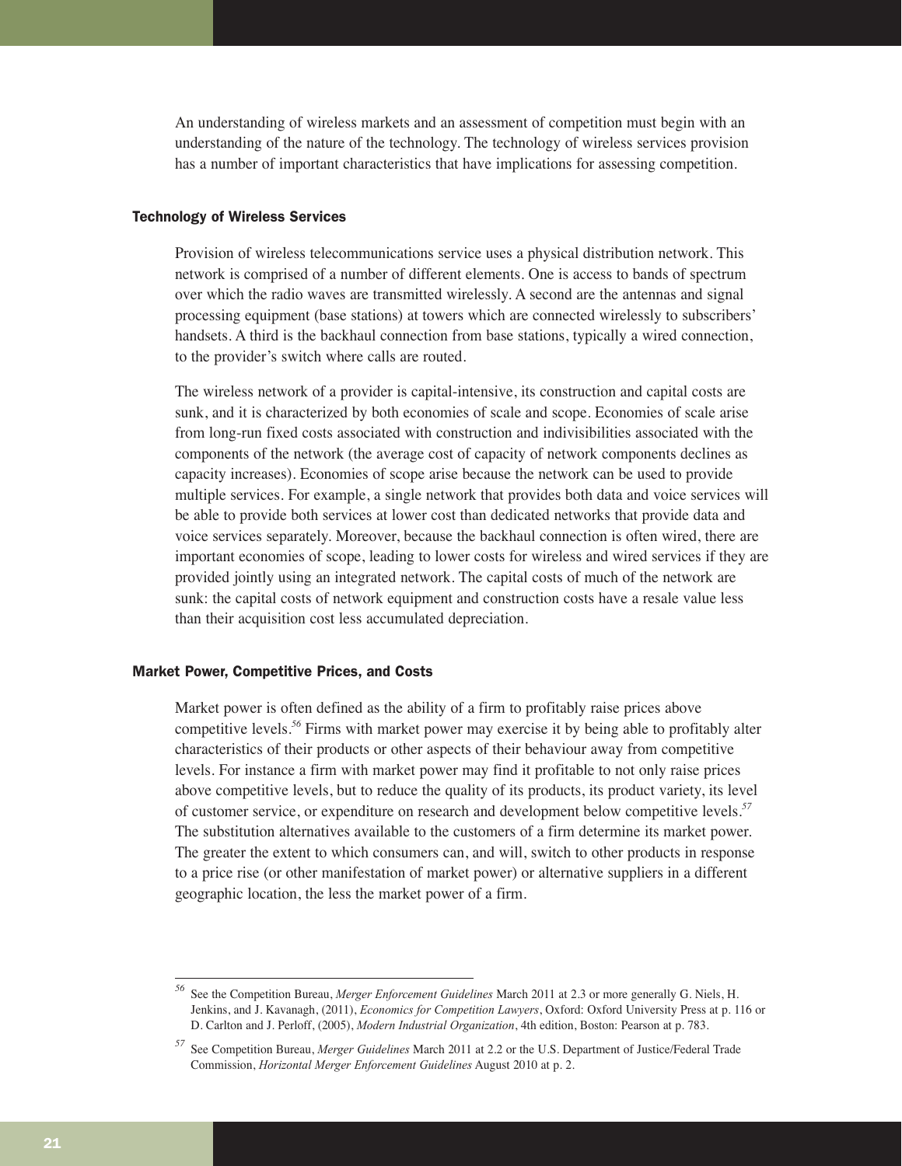An understanding of wireless markets and an assessment of competition must begin with an understanding of the nature of the technology. The technology of wireless services provision has a number of important characteristics that have implications for assessing competition.

#### Technology of Wireless Services

Provision of wireless telecommunications service uses a physical distribution network. This network is comprised of a number of different elements. One is access to bands of spectrum over which the radio waves are transmitted wirelessly. A second are the antennas and signal processing equipment (base stations) at towers which are connected wirelessly to subscribers' handsets. A third is the backhaul connection from base stations, typically a wired connection, to the provider's switch where calls are routed.

The wireless network of a provider is capital-intensive, its construction and capital costs are sunk, and it is characterized by both economies of scale and scope. Economies of scale arise from long-run fixed costs associated with construction and indivisibilities associated with the components of the network (the average cost of capacity of network components declines as capacity increases). Economies of scope arise because the network can be used to provide multiple services. For example, a single network that provides both data and voice services will be able to provide both services at lower cost than dedicated networks that provide data and voice services separately. Moreover, because the backhaul connection is often wired, there are important economies of scope, leading to lower costs for wireless and wired services if they are provided jointly using an integrated network. The capital costs of much of the network are sunk: the capital costs of network equipment and construction costs have a resale value less than their acquisition cost less accumulated depreciation.

#### Market Power, Competitive Prices, and Costs

Market power is often defined as the ability of a firm to profitably raise prices above competitive levels.*<sup>56</sup>* Firms with market power may exercise it by being able to profitably alter characteristics of their products or other aspects of their behaviour away from competitive levels. For instance a firm with market power may find it profitable to not only raise prices above competitive levels, but to reduce the quality of its products, its product variety, its level of customer service, or expenditure on research and development below competitive levels.*<sup>57</sup>* The substitution alternatives available to the customers of a firm determine its market power. The greater the extent to which consumers can, and will, switch to other products in response to a price rise (or other manifestation of market power) or alternative suppliers in a different geographic location, the less the market power of a firm.

*<sup>56</sup>* See the Competition Bureau, *Merger Enforcement Guidelines* March 2011 at 2.3 or more generally G. Niels, H. Jenkins, and J. Kavanagh, (2011), *Economics for Competition Lawyers*, Oxford: Oxford University Press at p. 116 or D. Carlton and J. Perloff, (2005), *Modern Industrial Organization*, 4th edition, Boston: Pearson at p. 783.

*<sup>57</sup>* See Competition Bureau, *Merger Guidelines* March 2011 at 2.2 or the U.S. Department of Justice/Federal Trade Commission, *Horizontal Merger Enforcement Guidelines* August 2010 at p. 2.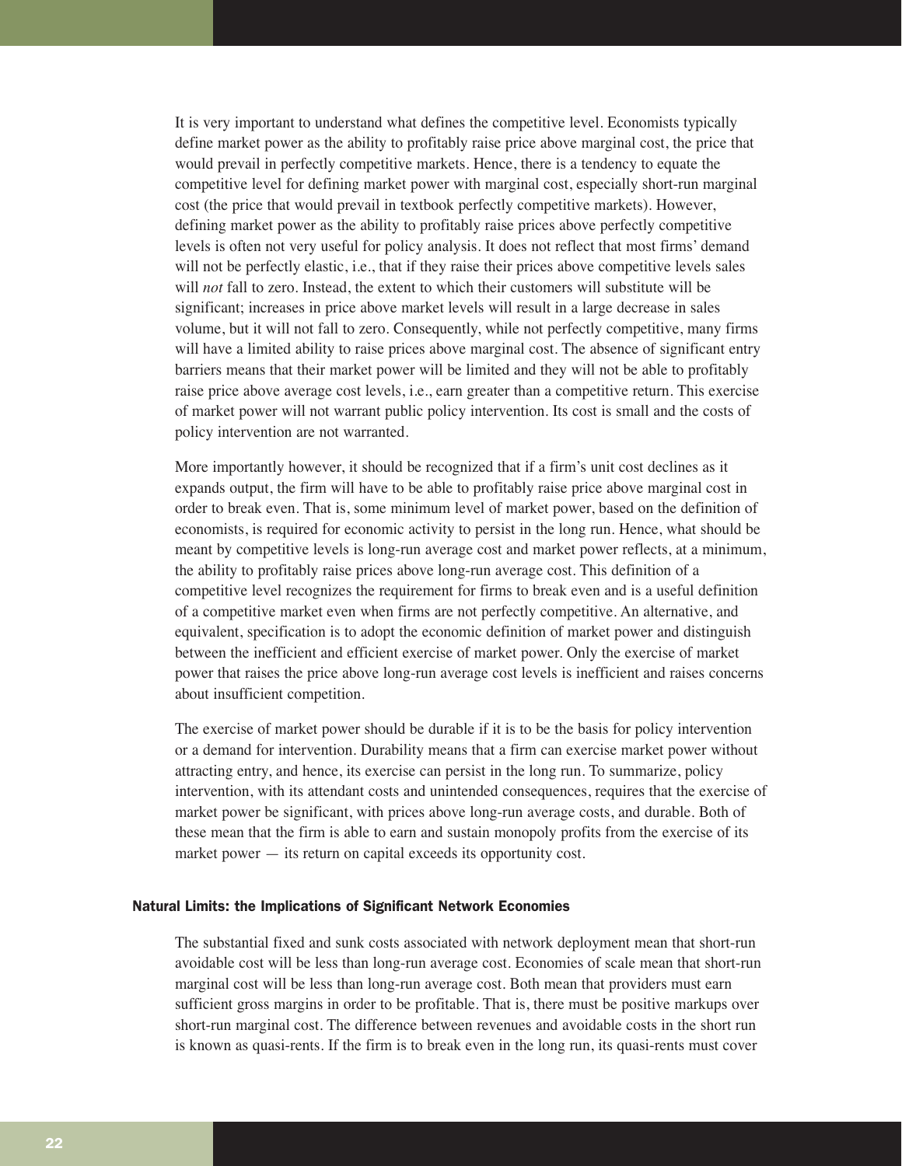It is very important to understand what defines the competitive level. Economists typically define market power as the ability to profitably raise price above marginal cost, the price that would prevail in perfectly competitive markets. Hence, there is a tendency to equate the competitive level for defining market power with marginal cost, especially short-run marginal cost (the price that would prevail in textbook perfectly competitive markets). However, defining market power as the ability to profitably raise prices above perfectly competitive levels is often not very useful for policy analysis. It does not reflect that most firms' demand will not be perfectly elastic, i.e., that if they raise their prices above competitive levels sales will *not* fall to zero. Instead, the extent to which their customers will substitute will be significant; increases in price above market levels will result in a large decrease in sales volume, but it will not fall to zero. Consequently, while not perfectly competitive, many firms will have a limited ability to raise prices above marginal cost. The absence of significant entry barriers means that their market power will be limited and they will not be able to profitably raise price above average cost levels, i.e., earn greater than a competitive return. This exercise of market power will not warrant public policy intervention. Its cost is small and the costs of policy intervention are not warranted.

More importantly however, it should be recognized that if a firm's unit cost declines as it expands output, the firm will have to be able to profitably raise price above marginal cost in order to break even. That is, some minimum level of market power, based on the definition of economists, is required for economic activity to persist in the long run. Hence, what should be meant by competitive levels is long-run average cost and market power reflects, at a minimum, the ability to profitably raise prices above long-run average cost. This definition of a competitive level recognizes the requirement for firms to break even and is a useful definition of a competitive market even when firms are not perfectly competitive. An alternative, and equivalent, specification is to adopt the economic definition of market power and distinguish between the inefficient and efficient exercise of market power. Only the exercise of market power that raises the price above long-run average cost levels is inefficient and raises concerns about insufficient competition.

The exercise of market power should be durable if it is to be the basis for policy intervention or a demand for intervention. Durability means that a firm can exercise market power without attracting entry, and hence, its exercise can persist in the long run. To summarize, policy intervention, with its attendant costs and unintended consequences, requires that the exercise of market power be significant, with prices above long-run average costs, and durable. Both of these mean that the firm is able to earn and sustain monopoly profits from the exercise of its market power — its return on capital exceeds its opportunity cost.

#### Natural Limits: the Implications of Significant Network Economies

The substantial fixed and sunk costs associated with network deployment mean that short-run avoidable cost will be less than long-run average cost. Economies of scale mean that short-run marginal cost will be less than long-run average cost. Both mean that providers must earn sufficient gross margins in order to be profitable. That is, there must be positive markups over short-run marginal cost. The difference between revenues and avoidable costs in the short run is known as quasi-rents. If the firm is to break even in the long run, its quasi-rents must cover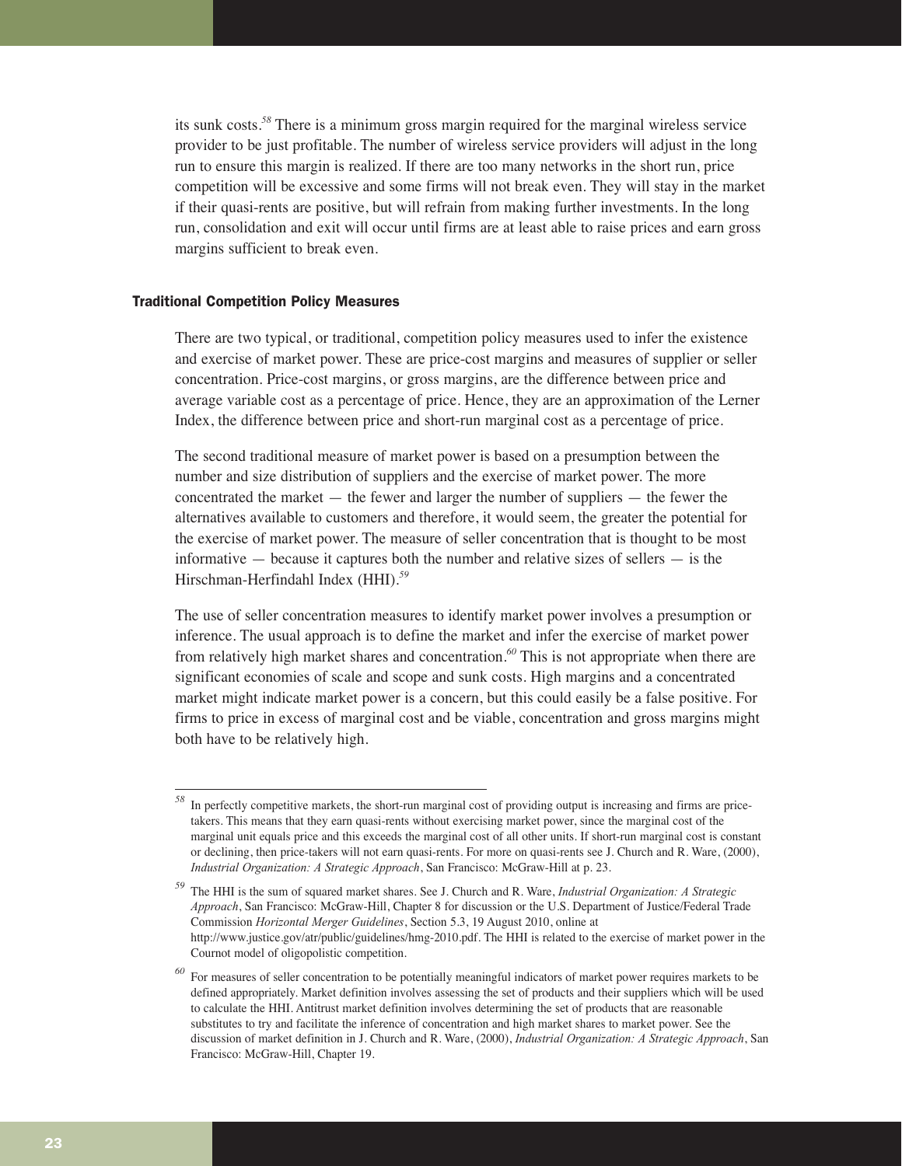its sunk costs.*<sup>58</sup>* There is a minimum gross margin required for the marginal wireless service provider to be just profitable. The number of wireless service providers will adjust in the long run to ensure this margin is realized. If there are too many networks in the short run, price competition will be excessive and some firms will not break even. They will stay in the market if their quasi-rents are positive, but will refrain from making further investments. In the long run, consolidation and exit will occur until firms are at least able to raise prices and earn gross margins sufficient to break even.

#### Traditional Competition Policy Measures

There are two typical, or traditional, competition policy measures used to infer the existence and exercise of market power. These are price-cost margins and measures of supplier or seller concentration. Price-cost margins, or gross margins, are the difference between price and average variable cost as a percentage of price. Hence, they are an approximation of the Lerner Index, the difference between price and short-run marginal cost as a percentage of price.

The second traditional measure of market power is based on a presumption between the number and size distribution of suppliers and the exercise of market power. The more concentrated the market — the fewer and larger the number of suppliers — the fewer the alternatives available to customers and therefore, it would seem, the greater the potential for the exercise of market power. The measure of seller concentration that is thought to be most informative  $-$  because it captures both the number and relative sizes of sellers  $-$  is the Hirschman-Herfindahl Index (HHI).*<sup>59</sup>*

The use of seller concentration measures to identify market power involves a presumption or inference. The usual approach is to define the market and infer the exercise of market power from relatively high market shares and concentration.*<sup>60</sup>* This is not appropriate when there are significant economies of scale and scope and sunk costs. High margins and a concentrated market might indicate market power is a concern, but this could easily be a false positive. For firms to price in excess of marginal cost and be viable, concentration and gross margins might both have to be relatively high.

In perfectly competitive markets, the short-run marginal cost of providing output is increasing and firms are pricetakers. This means that they earn quasi-rents without exercising market power, since the marginal cost of the marginal unit equals price and this exceeds the marginal cost of all other units. If short-run marginal cost is constant or declining, then price-takers will not earn quasi-rents. For more on quasi-rents see J. Church and R. Ware, (2000), *Industrial Organization: A Strategic Approach*, San Francisco: McGraw-Hill at p. 23.

*<sup>59</sup>* The HHI is the sum of squared market shares. See J. Church and R. Ware, *Industrial Organization: A Strategic Approach*, San Francisco: McGraw-Hill, Chapter 8 for discussion or the U.S. Department of Justice/Federal Trade Commission *Horizontal Merger Guidelines*, Section 5.3, 19 August 2010, online at http://www.justice.gov/atr/public/guidelines/hmg-2010.pdf. The HHI is related to the exercise of market power in the Cournot model of oligopolistic competition.

*<sup>60</sup>* For measures of seller concentration to be potentially meaningful indicators of market power requires markets to be defined appropriately. Market definition involves assessing the set of products and their suppliers which will be used to calculate the HHI. Antitrust market definition involves determining the set of products that are reasonable substitutes to try and facilitate the inference of concentration and high market shares to market power. See the discussion of market definition in J. Church and R. Ware, (2000), *Industrial Organization: A Strategic Approach*, San Francisco: McGraw-Hill, Chapter 19.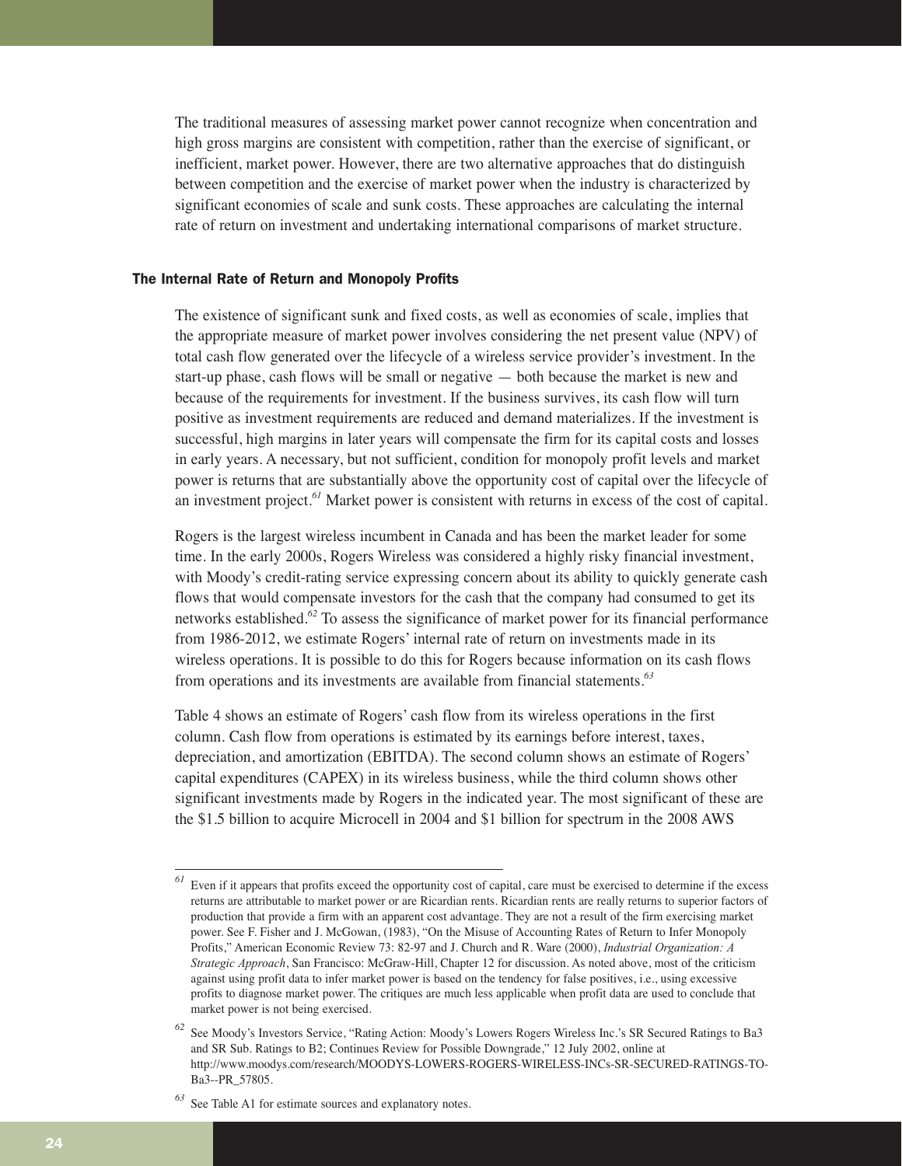The traditional measures of assessing market power cannot recognize when concentration and high gross margins are consistent with competition, rather than the exercise of significant, or inefficient, market power. However, there are two alternative approaches that do distinguish between competition and the exercise of market power when the industry is characterized by significant economies of scale and sunk costs. These approaches are calculating the internal rate of return on investment and undertaking international comparisons of market structure.

#### The Internal Rate of Return and Monopoly Profits

The existence of significant sunk and fixed costs, as well as economies of scale, implies that the appropriate measure of market power involves considering the net present value (NPV) of total cash flow generated over the lifecycle of a wireless service provider's investment. In the start-up phase, cash flows will be small or negative — both because the market is new and because of the requirements for investment. If the business survives, its cash flow will turn positive as investment requirements are reduced and demand materializes. If the investment is successful, high margins in later years will compensate the firm for its capital costs and losses in early years. A necessary, but not sufficient, condition for monopoly profit levels and market power is returns that are substantially above the opportunity cost of capital over the lifecycle of an investment project.*<sup>61</sup>* Market power is consistent with returns in excess of the cost of capital.

Rogers is the largest wireless incumbent in Canada and has been the market leader for some time. In the early 2000s, Rogers Wireless was considered a highly risky financial investment, with Moody's credit-rating service expressing concern about its ability to quickly generate cash flows that would compensate investors for the cash that the company had consumed to get its networks established.*<sup>62</sup>* To assess the significance of market power for its financial performance from 1986-2012, we estimate Rogers' internal rate of return on investments made in its wireless operations. It is possible to do this for Rogers because information on its cash flows from operations and its investments are available from financial statements.*<sup>63</sup>*

Table 4 shows an estimate of Rogers' cash flow from its wireless operations in the first column. Cash flow from operations is estimated by its earnings before interest, taxes, depreciation, and amortization (EBITDA). The second column shows an estimate of Rogers' capital expenditures (CAPEX) in its wireless business, while the third column shows other significant investments made by Rogers in the indicated year. The most significant of these are the \$1.5 billion to acquire Microcell in 2004 and \$1 billion for spectrum in the 2008 AWS

*<sup>61</sup>* Even if it appears that profits exceed the opportunity cost of capital, care must be exercised to determine if the excess returns are attributable to market power or are Ricardian rents. Ricardian rents are really returns to superior factors of production that provide a firm with an apparent cost advantage. They are not a result of the firm exercising market power. See F. Fisher and J. McGowan, (1983), "On the Misuse of Accounting Rates of Return to Infer Monopoly Profits," American Economic Review 73: 82-97 and J. Church and R. Ware (2000), *Industrial Organization: A Strategic Approach*, San Francisco: McGraw-Hill, Chapter 12 for discussion. As noted above, most of the criticism against using profit data to infer market power is based on the tendency for false positives, i.e., using excessive profits to diagnose market power. The critiques are much less applicable when profit data are used to conclude that market power is not being exercised.

*<sup>62</sup>* See Moody's Investors Service, "Rating Action: Moody's Lowers Rogers Wireless Inc.'s SR Secured Ratings to Ba3 and SR Sub. Ratings to B2; Continues Review for Possible Downgrade," 12 July 2002, online at http://www.moodys.com/research/MOODYS-LOWERS-ROGERS-WIRELESS-INCs-SR-SECURED-RATINGS-TO-Ba3--PR\_57805.

*<sup>63</sup>* See Table A1 for estimate sources and explanatory notes.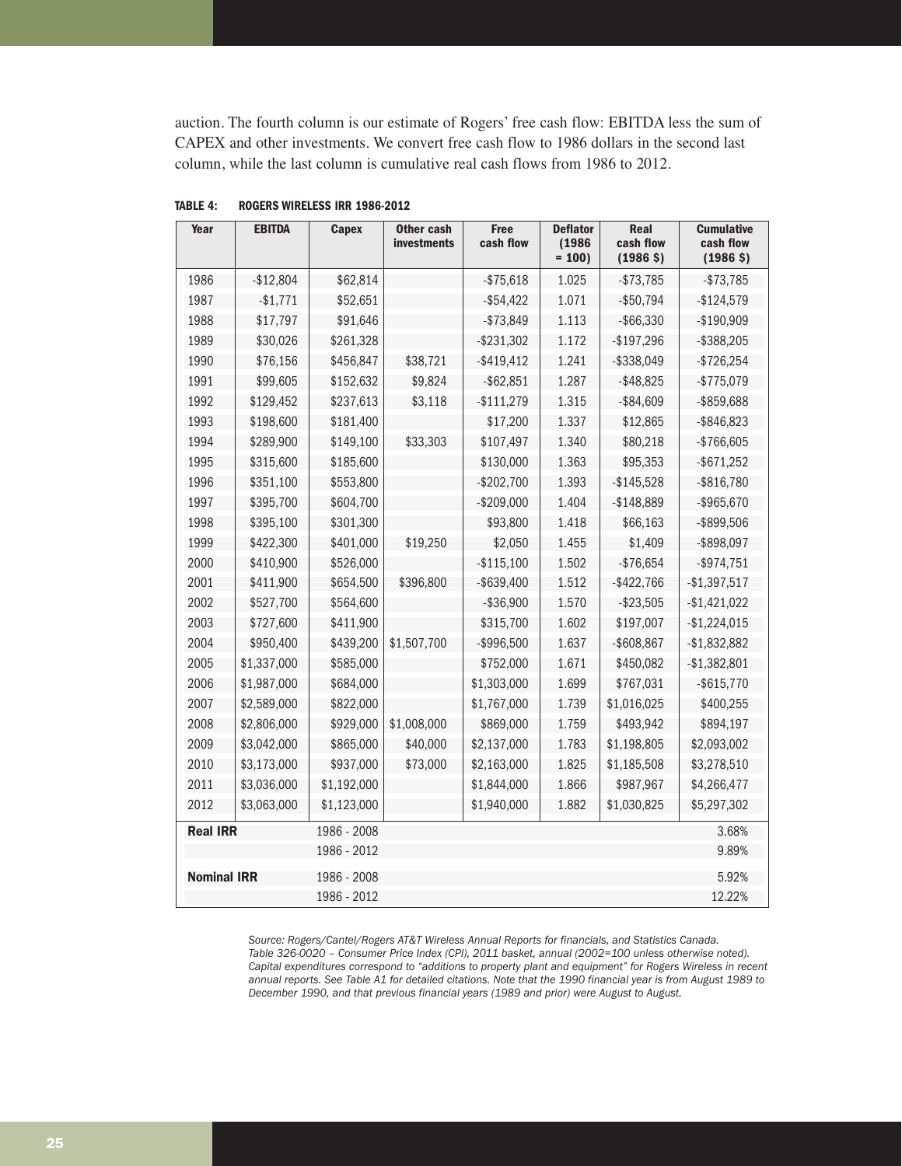auction. The fourth column is our estimate of Rogers' free cash flow: EBITDA less the sum of CAPEX and other investments. We convert free cash flow to 1986 dollars in the second last column, while the last column is cumulative real cash flows from 1986 to 2012.

| Year               | <b>EBITDA</b> | <b>Capex</b> | Other cash<br><b>investments</b> | <b>Free</b><br>cash flow | <b>Deflator</b><br>(1986)<br>$= 100$ | Real<br>cash flow<br>(1986 <sup>5</sup> ) | <b>Cumulative</b><br>cash flow<br>(1986 <sup>5</sup> ) |
|--------------------|---------------|--------------|----------------------------------|--------------------------|--------------------------------------|-------------------------------------------|--------------------------------------------------------|
| 1986               | $-$12,804$    | \$62,814     |                                  | $- $75,618$              | 1.025                                | $- $73,785$                               | $- $73,785$                                            |
| 1987               | $-$1,771$     | \$52,651     |                                  | $-$ \$54,422             | 1.071                                | $- $50,794$                               | $-$124,579$                                            |
| 1988               | \$17,797      | \$91,646     |                                  | $- $73,849$              | 1.113                                | $-$ \$66,330                              | $-$190,909$                                            |
| 1989               | \$30,026      | \$261,328    |                                  | $-$ \$231,302            | 1.172                                | $-$197,296$                               | $-$ \$388,205                                          |
| 1990               | \$76,156      | \$456,847    | \$38,721                         | $-$ \$419,412            | 1.241                                | $-$ \$338,049                             | $-$726,254$                                            |
| 1991               | \$99,605      | \$152,632    | \$9,824                          | $-$ \$62,851             | 1.287                                | $-$ \$48,825                              | $-$775,079$                                            |
| 1992               | \$129,452     | \$237,613    | \$3,118                          | $-$111,279$              | 1.315                                | $-$ \$84,609                              | -\$859,688                                             |
| 1993               | \$198,600     | \$181,400    |                                  | \$17,200                 | 1.337                                | \$12,865                                  | $-$ \$846,823                                          |
| 1994               | \$289,900     | \$149,100    | \$33,303                         | \$107,497                | 1.340                                | \$80,218                                  | $-$766,605$                                            |
| 1995               | \$315,600     | \$185,600    |                                  | \$130,000                | 1.363                                | \$95,353                                  | $-$ \$671,252                                          |
| 1996               | \$351,100     | \$553,800    |                                  | $-$202,700$              | 1.393                                | $-$ \$145,528                             | $-$ \$816,780                                          |
| 1997               | \$395,700     | \$604,700    |                                  | $-$209,000$              | 1.404                                | $-$148,889$                               | $-$ \$965,670                                          |
| 1998               | \$395,100     | \$301,300    |                                  | \$93,800                 | 1.418                                | \$66,163                                  | -\$899,506                                             |
| 1999               | \$422,300     | \$401,000    | \$19,250                         | \$2,050                  | 1.455                                | \$1,409                                   | -\$898,097                                             |
| 2000               | \$410,900     | \$526,000    |                                  | $-$115,100$              | 1.502                                | $-$76,654$                                | $-$ \$974,751                                          |
| 2001               | \$411,900     | \$654,500    | \$396,800                        | $-$ \$639,400            | 1.512                                | $-$ \$422,766                             | $-$1,397,517$                                          |
| 2002               | \$527,700     | \$564,600    |                                  | $- $36,900$              | 1.570                                | $- $23,505$                               | $-$1,421,022$                                          |
| 2003               | \$727,600     | \$411,900    |                                  | \$315,700                | 1.602                                | \$197,007                                 | $-$1,224,015$                                          |
| 2004               | \$950,400     | \$439,200    | \$1,507,700                      | -\$996,500               | 1.637                                | $- $608,867$                              | $-$1,832,882$                                          |
| 2005               | \$1,337,000   | \$585,000    |                                  | \$752,000                | 1.671                                | \$450,082                                 | $-$1,382,801$                                          |
| 2006               | \$1,987,000   | \$684,000    |                                  | \$1,303,000              | 1.699                                | \$767,031                                 | $-$ \$615,770                                          |
| 2007               | \$2,589,000   | \$822,000    |                                  | \$1,767,000              | 1.739                                | \$1,016,025                               | \$400,255                                              |
| 2008               | \$2,806,000   | \$929,000    | \$1,008,000                      | \$869,000                | 1.759                                | \$493,942                                 | \$894,197                                              |
| 2009               | \$3,042,000   | \$865,000    | \$40,000                         | \$2,137,000              | 1.783                                | \$1,198,805                               | \$2,093,002                                            |
| 2010               | \$3,173,000   | \$937,000    | \$73,000                         | \$2,163,000              | 1.825                                | \$1,185,508                               | \$3,278,510                                            |
| 2011               | \$3,036,000   | \$1,192,000  |                                  | \$1,844,000              | 1.866                                | \$987,967                                 | \$4,266,477                                            |
| 2012               | \$3,063,000   | \$1,123,000  |                                  | \$1,940,000              | 1.882                                | \$1,030,825                               | \$5,297,302                                            |
| <b>Real IRR</b>    |               | 1986 - 2008  |                                  |                          |                                      |                                           | 3.68%                                                  |
|                    |               | 1986 - 2012  |                                  |                          |                                      |                                           | 9.89%                                                  |
| <b>Nominal IRR</b> |               | 1986 - 2008  |                                  |                          |                                      |                                           | 5.92%                                                  |
|                    |               | 1986 - 2012  |                                  |                          |                                      |                                           | 12.22%                                                 |

**TABLE 4: ROGERS WIRELESS IRR 1986-2012**

*Source: Rogers/Cantel/Rogers AT&T Wireless Annual Reports for financials, and Statistics Canada. Table 326-0020 – Consumer Price Index (CPI), 2011 basket, annual (2002=100 unless otherwise noted). Capital expenditures correspond to "additions to property plant and equipment" for Rogers Wireless in recent annual reports. See Table A1 for detailed citations. Note that the 1990 financial year is from August 1989 to December 1990, and that previous financial years (1989 and prior) were August to August.*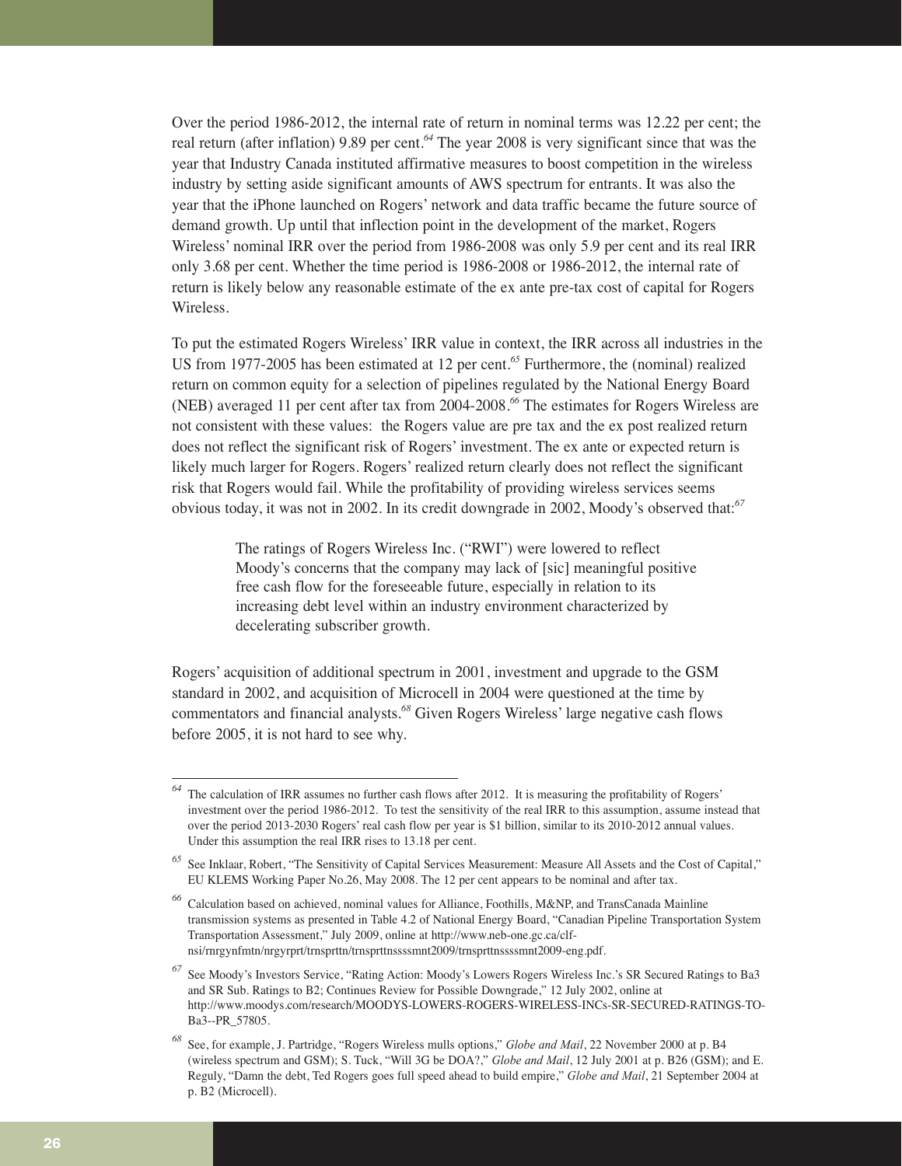Over the period 1986-2012, the internal rate of return in nominal terms was 12.22 per cent; the real return (after inflation) 9.89 per cent.*<sup>64</sup>* The year 2008 is very significant since that was the year that Industry Canada instituted affirmative measures to boost competition in the wireless industry by setting aside significant amounts of AWS spectrum for entrants. It was also the year that the iPhone launched on Rogers' network and data traffic became the future source of demand growth. Up until that inflection point in the development of the market, Rogers Wireless' nominal IRR over the period from 1986-2008 was only 5.9 per cent and its real IRR only 3.68 per cent. Whether the time period is 1986-2008 or 1986-2012, the internal rate of return is likely below any reasonable estimate of the ex ante pre-tax cost of capital for Rogers Wireless.

To put the estimated Rogers Wireless' IRR value in context, the IRR across all industries in the US from 1977-2005 has been estimated at 12 per cent.*<sup>65</sup>* Furthermore, the (nominal) realized return on common equity for a selection of pipelines regulated by the National Energy Board (NEB) averaged 11 per cent after tax from 2004-2008.*<sup>66</sup>* The estimates for Rogers Wireless are not consistent with these values: the Rogers value are pre tax and the ex post realized return does not reflect the significant risk of Rogers' investment. The ex ante or expected return is likely much larger for Rogers. Rogers' realized return clearly does not reflect the significant risk that Rogers would fail. While the profitability of providing wireless services seems obvious today, it was not in 2002. In its credit downgrade in 2002, Moody's observed that:*<sup>67</sup>*

> The ratings of Rogers Wireless Inc. ("RWI") were lowered to reflect Moody's concerns that the company may lack of [sic] meaningful positive free cash flow for the foreseeable future, especially in relation to its increasing debt level within an industry environment characterized by decelerating subscriber growth.

Rogers' acquisition of additional spectrum in 2001, investment and upgrade to the GSM standard in 2002, and acquisition of Microcell in 2004 were questioned at the time by commentators and financial analysts.*<sup>68</sup>* Given Rogers Wireless' large negative cash flows before 2005, it is not hard to see why.

*<sup>64</sup>* The calculation of IRR assumes no further cash flows after 2012. It is measuring the profitability of Rogers' investment over the period 1986-2012. To test the sensitivity of the real IRR to this assumption, assume instead that over the period 2013-2030 Rogers' real cash flow per year is \$1 billion, similar to its 2010-2012 annual values. Under this assumption the real IRR rises to 13.18 per cent.

*<sup>65</sup>* See Inklaar, Robert, "The Sensitivity of Capital Services Measurement: Measure All Assets and the Cost of Capital," EU KLEMS Working Paper No.26, May 2008. The 12 per cent appears to be nominal and after tax.

*<sup>66</sup>* Calculation based on achieved, nominal values for Alliance, Foothills, M&NP, and TransCanada Mainline transmission systems as presented in Table 4.2 of National Energy Board, "Canadian Pipeline Transportation System Transportation Assessment," July 2009, online at http://www.neb-one.gc.ca/clfnsi/rnrgynfmtn/nrgyrprt/trnsprttn/trnsprttnssssmnt2009/trnsprttnssssmnt2009-eng.pdf.

*<sup>67</sup>* See Moody's Investors Service, "Rating Action: Moody's Lowers Rogers Wireless Inc.'s SR Secured Ratings to Ba3 and SR Sub. Ratings to B2; Continues Review for Possible Downgrade," 12 July 2002, online at http://www.moodys.com/research/MOODYS-LOWERS-ROGERS-WIRELESS-INCs-SR-SECURED-RATINGS-TO-Ba3--PR\_57805.

*<sup>68</sup>* See, for example, J. Partridge, "Rogers Wireless mulls options," *Globe and Mail*, 22 November 2000 at p. B4 (wireless spectrum and GSM); S. Tuck, "Will 3G be DOA?," *Globe and Mail*, 12 July 2001 at p. B26 (GSM); and E. Reguly, "Damn the debt, Ted Rogers goes full speed ahead to build empire," *Globe and Mail*, 21 September 2004 at p. B2 (Microcell).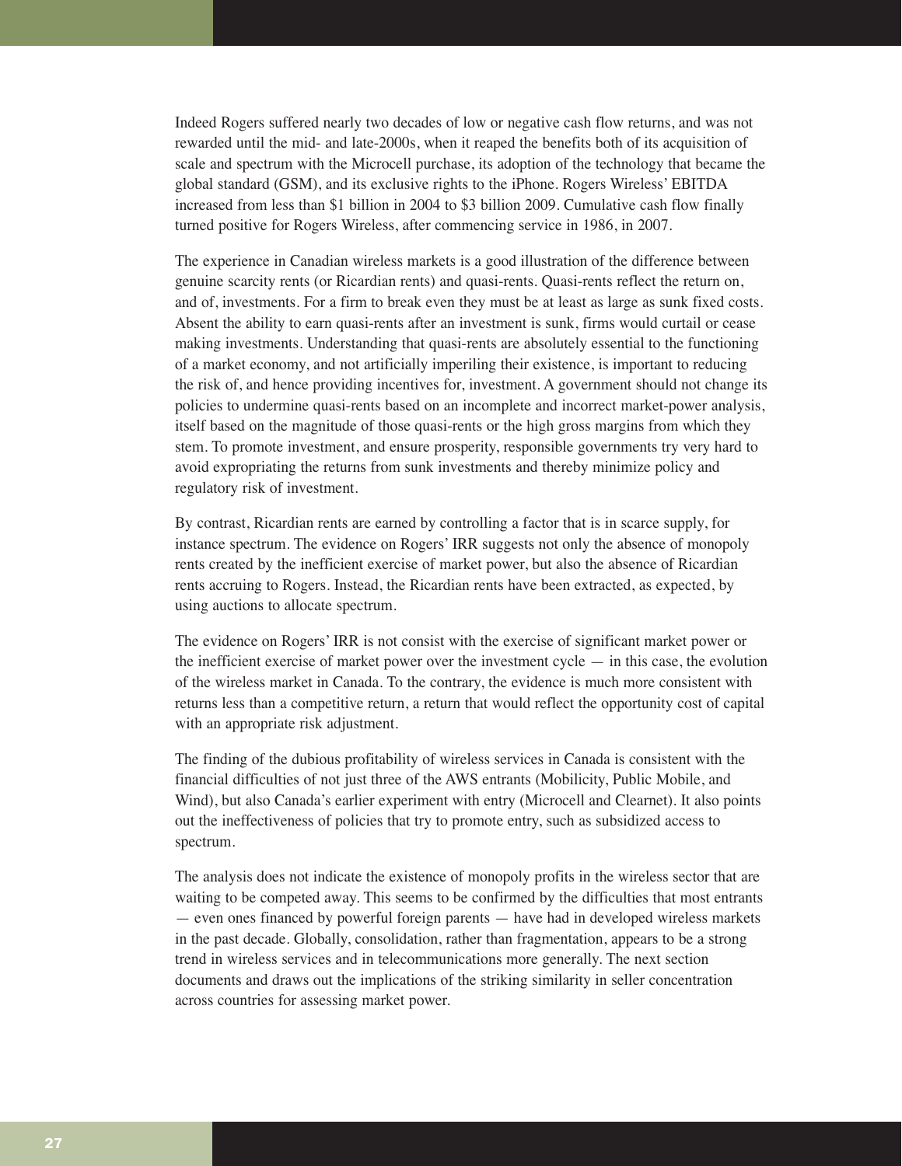Indeed Rogers suffered nearly two decades of low or negative cash flow returns, and was not rewarded until the mid- and late-2000s, when it reaped the benefits both of its acquisition of scale and spectrum with the Microcell purchase, its adoption of the technology that became the global standard (GSM), and its exclusive rights to the iPhone. Rogers Wireless' EBITDA increased from less than \$1 billion in 2004 to \$3 billion 2009. Cumulative cash flow finally turned positive for Rogers Wireless, after commencing service in 1986, in 2007.

The experience in Canadian wireless markets is a good illustration of the difference between genuine scarcity rents (or Ricardian rents) and quasi-rents. Quasi-rents reflect the return on, and of, investments. For a firm to break even they must be at least as large as sunk fixed costs. Absent the ability to earn quasi-rents after an investment is sunk, firms would curtail or cease making investments. Understanding that quasi-rents are absolutely essential to the functioning of a market economy, and not artificially imperiling their existence, is important to reducing the risk of, and hence providing incentives for, investment. A government should not change its policies to undermine quasi-rents based on an incomplete and incorrect market-power analysis, itself based on the magnitude of those quasi-rents or the high gross margins from which they stem. To promote investment, and ensure prosperity, responsible governments try very hard to avoid expropriating the returns from sunk investments and thereby minimize policy and regulatory risk of investment.

By contrast, Ricardian rents are earned by controlling a factor that is in scarce supply, for instance spectrum. The evidence on Rogers' IRR suggests not only the absence of monopoly rents created by the inefficient exercise of market power, but also the absence of Ricardian rents accruing to Rogers. Instead, the Ricardian rents have been extracted, as expected, by using auctions to allocate spectrum.

The evidence on Rogers' IRR is not consist with the exercise of significant market power or the inefficient exercise of market power over the investment cycle  $-$  in this case, the evolution of the wireless market in Canada. To the contrary, the evidence is much more consistent with returns less than a competitive return, a return that would reflect the opportunity cost of capital with an appropriate risk adjustment.

The finding of the dubious profitability of wireless services in Canada is consistent with the financial difficulties of not just three of the AWS entrants (Mobilicity, Public Mobile, and Wind), but also Canada's earlier experiment with entry (Microcell and Clearnet). It also points out the ineffectiveness of policies that try to promote entry, such as subsidized access to spectrum.

The analysis does not indicate the existence of monopoly profits in the wireless sector that are waiting to be competed away. This seems to be confirmed by the difficulties that most entrants — even ones financed by powerful foreign parents — have had in developed wireless markets in the past decade. Globally, consolidation, rather than fragmentation, appears to be a strong trend in wireless services and in telecommunications more generally. The next section documents and draws out the implications of the striking similarity in seller concentration across countries for assessing market power.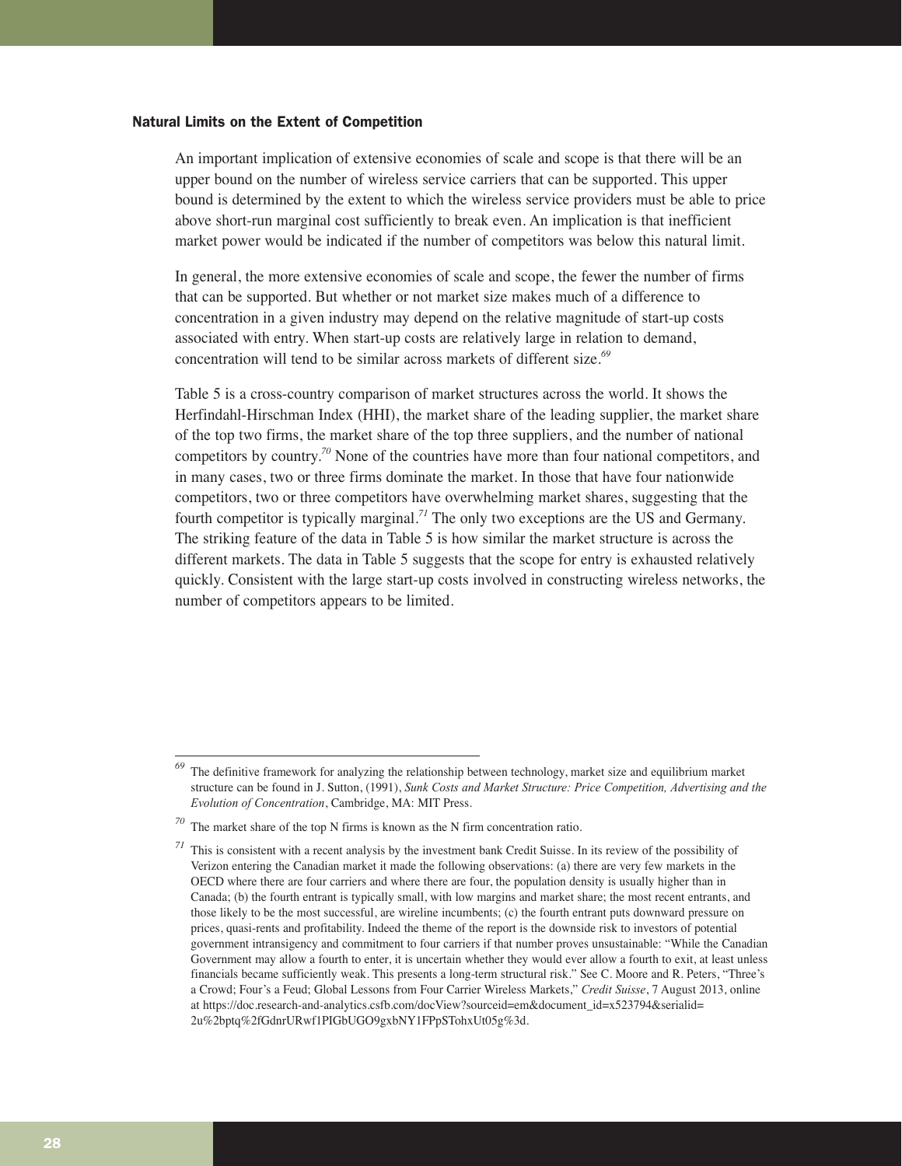#### Natural Limits on the Extent of Competition

An important implication of extensive economies of scale and scope is that there will be an upper bound on the number of wireless service carriers that can be supported. This upper bound is determined by the extent to which the wireless service providers must be able to price above short-run marginal cost sufficiently to break even. An implication is that inefficient market power would be indicated if the number of competitors was below this natural limit.

In general, the more extensive economies of scale and scope, the fewer the number of firms that can be supported. But whether or not market size makes much of a difference to concentration in a given industry may depend on the relative magnitude of start-up costs associated with entry. When start-up costs are relatively large in relation to demand, concentration will tend to be similar across markets of different size.*<sup>69</sup>*

Table 5 is a cross-country comparison of market structures across the world. It shows the Herfindahl-Hirschman Index (HHI), the market share of the leading supplier, the market share of the top two firms, the market share of the top three suppliers, and the number of national competitors by country.*<sup>70</sup>* None of the countries have more than four national competitors, and in many cases, two or three firms dominate the market. In those that have four nationwide competitors, two or three competitors have overwhelming market shares, suggesting that the fourth competitor is typically marginal.*<sup>71</sup>* The only two exceptions are the US and Germany. The striking feature of the data in Table 5 is how similar the market structure is across the different markets. The data in Table 5 suggests that the scope for entry is exhausted relatively quickly. Consistent with the large start-up costs involved in constructing wireless networks, the number of competitors appears to be limited.

*<sup>69</sup>* The definitive framework for analyzing the relationship between technology, market size and equilibrium market structure can be found in J. Sutton, (1991), *Sunk Costs and Market Structure: Price Competition, Advertising and the Evolution of Concentration*, Cambridge, MA: MIT Press.

*<sup>70</sup>* The market share of the top N firms is known as the N firm concentration ratio.

*<sup>71</sup>* This is consistent with a recent analysis by the investment bank Credit Suisse. In its review of the possibility of Verizon entering the Canadian market it made the following observations: (a) there are very few markets in the OECD where there are four carriers and where there are four, the population density is usually higher than in Canada; (b) the fourth entrant is typically small, with low margins and market share; the most recent entrants, and those likely to be the most successful, are wireline incumbents; (c) the fourth entrant puts downward pressure on prices, quasi-rents and profitability. Indeed the theme of the report is the downside risk to investors of potential government intransigency and commitment to four carriers if that number proves unsustainable: "While the Canadian Government may allow a fourth to enter, it is uncertain whether they would ever allow a fourth to exit, at least unless financials became sufficiently weak. This presents a long-term structural risk." See C. Moore and R. Peters, "Three's a Crowd; Four's a Feud; Global Lessons from Four Carrier Wireless Markets," *Credit Suisse*, 7 August 2013, online at https://doc.research-and-analytics.csfb.com/docView?sourceid=em&document\_id=x523794&serialid= 2u%2bptq%2fGdnrURwf1PIGbUGO9gxbNY1FPpSTohxUt05g%3d.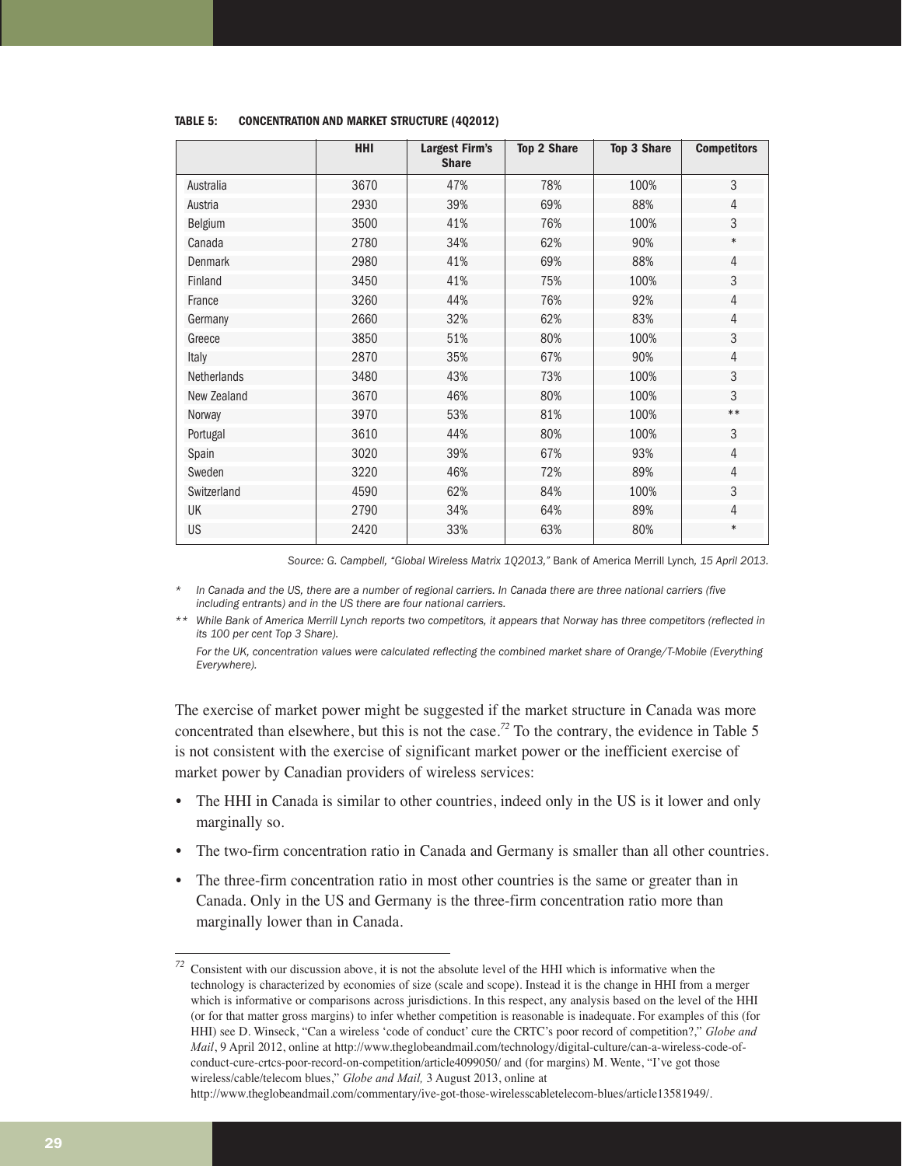| <b>HHI</b> | <b>Largest Firm's</b><br><b>Share</b> | <b>Top 2 Share</b> | <b>Top 3 Share</b> | <b>Competitors</b> |
|------------|---------------------------------------|--------------------|--------------------|--------------------|
| 3670       | 47%                                   | 78%                | 100%               | 3                  |
| 2930       | 39%                                   | 69%                | 88%                | 4                  |
| 3500       | 41%                                   | 76%                | 100%               | 3                  |
| 2780       | 34%                                   | 62%                | 90%                | $\ast$             |
| 2980       | 41%                                   | 69%                | 88%                | 4                  |
| 3450       | 41%                                   | 75%                | 100%               | 3                  |
| 3260       | 44%                                   | 76%                | 92%                | 4                  |
| 2660       | 32%                                   | 62%                | 83%                | 4                  |
| 3850       | 51%                                   | 80%                | 100%               | 3                  |
| 2870       | 35%                                   | 67%                | 90%                | $\overline{4}$     |
| 3480       | 43%                                   | 73%                | 100%               | 3                  |
| 3670       | 46%                                   | 80%                | 100%               | 3                  |
| 3970       | 53%                                   | 81%                | 100%               | $***$              |
| 3610       | 44%                                   | 80%                | 100%               | 3                  |
| 3020       | 39%                                   | 67%                | 93%                | 4                  |
| 3220       | 46%                                   | 72%                | 89%                | 4                  |
| 4590       | 62%                                   | 84%                | 100%               | 3                  |
| 2790       | 34%                                   | 64%                | 89%                | 4                  |
| 2420       | 33%                                   | 63%                | 80%                | $\ast$             |
|            |                                       |                    |                    |                    |

#### **TABLE 5: CONCENTRATION AND MARKET STRUCTURE (4Q2012)**

*Source: G. Campbell, "Global Wireless Matrix 1Q2013,"* Bank of America Merrill Lynch*, 15 April 2013.*

*\* In Canada and the US, there are a number of regional carriers. In Canada there are three national carriers (five including entrants) and in the US there are four national carriers.*

*\*\* While Bank of America Merrill Lynch reports two competitors, it appears that Norway has three competitors (reflected in its 100 per cent Top 3 Share).*

*For the UK, concentration values were calculated reflecting the combined market share of Orange/T-Mobile (Everything Everywhere).*

The exercise of market power might be suggested if the market structure in Canada was more concentrated than elsewhere, but this is not the case.*<sup>72</sup>* To the contrary, the evidence in Table 5 is not consistent with the exercise of significant market power or the inefficient exercise of market power by Canadian providers of wireless services:

- The HHI in Canada is similar to other countries, indeed only in the US is it lower and only marginally so.
- The two-firm concentration ratio in Canada and Germany is smaller than all other countries.
- The three-firm concentration ratio in most other countries is the same or greater than in Canada. Only in the US and Germany is the three-firm concentration ratio more than marginally lower than in Canada.

*<sup>72</sup>* Consistent with our discussion above, it is not the absolute level of the HHI which is informative when the technology is characterized by economies of size (scale and scope). Instead it is the change in HHI from a merger which is informative or comparisons across jurisdictions. In this respect, any analysis based on the level of the HHI (or for that matter gross margins) to infer whether competition is reasonable is inadequate. For examples of this (for HHI) see D. Winseck, "Can a wireless 'code of conduct' cure the CRTC's poor record of competition?," *Globe and Mail*, 9 April 2012, online at http://www.theglobeandmail.com/technology/digital-culture/can-a-wireless-code-ofconduct-cure-crtcs-poor-record-on-competition/article4099050/ and (for margins) M. Wente, "I've got those wireless/cable/telecom blues," *Globe and Mail,* 3 August 2013, online at

http://www.theglobeandmail.com/commentary/ive-got-those-wirelesscabletelecom-blues/article13581949/.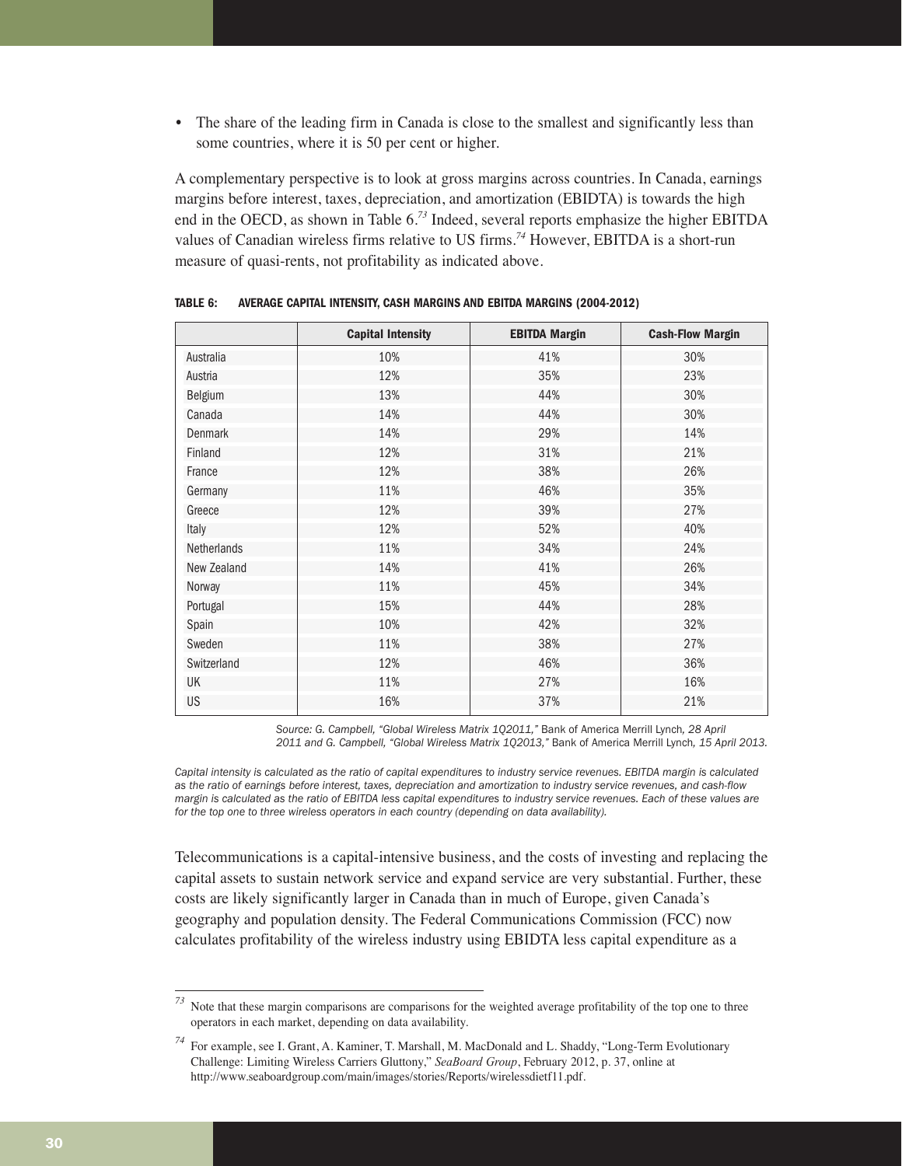• The share of the leading firm in Canada is close to the smallest and significantly less than some countries, where it is 50 per cent or higher.

A complementary perspective is to look at gross margins across countries. In Canada, earnings margins before interest, taxes, depreciation, and amortization (EBIDTA) is towards the high end in the OECD, as shown in Table 6.*<sup>73</sup>* Indeed, several reports emphasize the higher EBITDA values of Canadian wireless firms relative to US firms.*<sup>74</sup>* However, EBITDA is a short-run measure of quasi-rents, not profitability as indicated above.

|                    | <b>Capital Intensity</b> | <b>EBITDA Margin</b> | <b>Cash-Flow Margin</b> |
|--------------------|--------------------------|----------------------|-------------------------|
| Australia          | 10%                      | 41%                  | 30%                     |
| Austria            | 12%                      | 35%                  | 23%                     |
| Belgium            | 13%                      | 44%                  | 30%                     |
| Canada             | 14%                      | 44%                  | 30%                     |
| <b>Denmark</b>     | 14%                      | 29%                  | 14%                     |
| Finland            | 12%                      | 31%                  | 21%                     |
| France             | 12%                      | 38%                  | 26%                     |
| Germany            | 11%                      | 46%                  | 35%                     |
| Greece             | 12%                      | 39%                  | 27%                     |
| Italy              | 12%                      | 52%                  | 40%                     |
| <b>Netherlands</b> | 11%                      | 34%                  | 24%                     |
| New Zealand        | 14%                      | 41%                  | 26%                     |
| Norway             | 11%                      | 45%                  | 34%                     |
| Portugal           | 15%                      | 44%                  | 28%                     |
| Spain              | 10%                      | 42%                  | 32%                     |
| Sweden             | 11%                      | 38%                  | 27%                     |
| Switzerland        | 12%                      | 46%                  | 36%                     |
| UK                 | 11%                      | 27%                  | 16%                     |
| US                 | 16%                      | 37%                  | 21%                     |

**TABLE 6: AVERAGE CAPITAL INTENSITY, CASH MARGINS AND EBITDA MARGINS (2004-2012)**

*Source: G. Campbell, "Global Wireless Matrix 1Q2011,"* Bank of America Merrill Lynch*, 28 April 2011 and G. Campbell, "Global Wireless Matrix 1Q2013,"* Bank of America Merrill Lynch*, 15 April 2013.*

*Capital intensity is calculated as the ratio of capital expenditures to industry service revenues. EBITDA margin is calculated as the ratio of earnings before interest, taxes, depreciation and amortization to industry service revenues, and cash-flow margin is calculated as the ratio of EBITDA less capital expenditures to industry service revenues. Each of these values are for the top one to three wireless operators in each country (depending on data availability).*

Telecommunications is a capital-intensive business, and the costs of investing and replacing the capital assets to sustain network service and expand service are very substantial. Further, these costs are likely significantly larger in Canada than in much of Europe, given Canada's geography and population density. The Federal Communications Commission (FCC) now calculates profitability of the wireless industry using EBIDTA less capital expenditure as a

*<sup>73</sup>* Note that these margin comparisons are comparisons for the weighted average profitability of the top one to three operators in each market, depending on data availability.

*<sup>74</sup>* For example, see I. Grant, A. Kaminer, T. Marshall, M. MacDonald and L. Shaddy, "Long-Term Evolutionary Challenge: Limiting Wireless Carriers Gluttony," *SeaBoard Group*, February 2012, p. 37, online at http://www.seaboardgroup.com/main/images/stories/Reports/wirelessdietf11.pdf.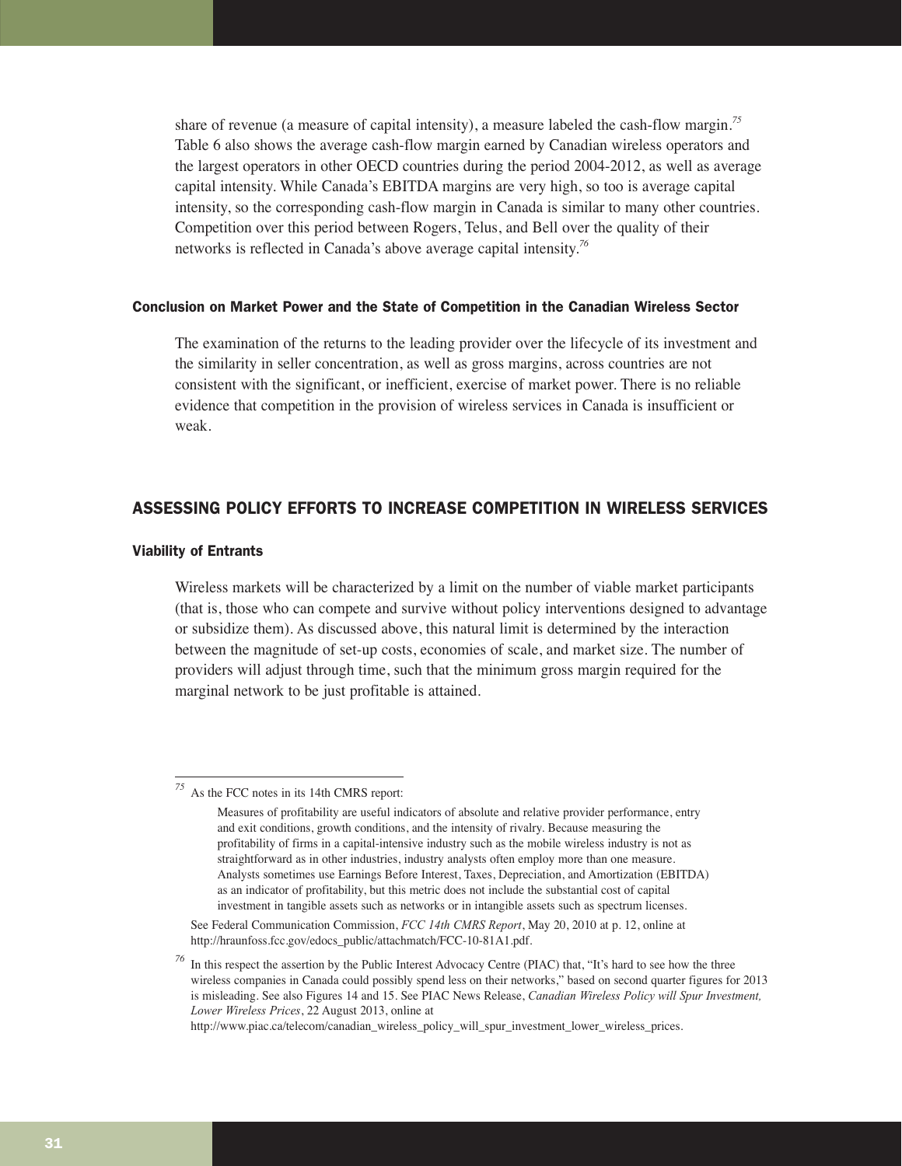share of revenue (a measure of capital intensity), a measure labeled the cash-flow margin.*<sup>75</sup>* Table 6 also shows the average cash-flow margin earned by Canadian wireless operators and the largest operators in other OECD countries during the period 2004-2012, as well as average capital intensity. While Canada's EBITDA margins are very high, so too is average capital intensity, so the corresponding cash-flow margin in Canada is similar to many other countries. Competition over this period between Rogers, Telus, and Bell over the quality of their networks is reflected in Canada's above average capital intensity.*<sup>76</sup>*

#### Conclusion on Market Power and the State of Competition in the Canadian Wireless Sector

The examination of the returns to the leading provider over the lifecycle of its investment and the similarity in seller concentration, as well as gross margins, across countries are not consistent with the significant, or inefficient, exercise of market power. There is no reliable evidence that competition in the provision of wireless services in Canada is insufficient or weak.

#### ASSESSING POLICY EFFORTS TO INCREASE COMPETITION IN WIRELESS SERVICES

#### Viability of Entrants

Wireless markets will be characterized by a limit on the number of viable market participants (that is, those who can compete and survive without policy interventions designed to advantage or subsidize them). As discussed above, this natural limit is determined by the interaction between the magnitude of set-up costs, economies of scale, and market size. The number of providers will adjust through time, such that the minimum gross margin required for the marginal network to be just profitable is attained.

*<sup>75</sup>* As the FCC notes in its 14th CMRS report:

Measures of profitability are useful indicators of absolute and relative provider performance, entry and exit conditions, growth conditions, and the intensity of rivalry. Because measuring the profitability of firms in a capital-intensive industry such as the mobile wireless industry is not as straightforward as in other industries, industry analysts often employ more than one measure. Analysts sometimes use Earnings Before Interest, Taxes, Depreciation, and Amortization (EBITDA) as an indicator of profitability, but this metric does not include the substantial cost of capital investment in tangible assets such as networks or in intangible assets such as spectrum licenses.

See Federal Communication Commission, *FCC 14th CMRS Report*, May 20, 2010 at p. 12, online at http://hraunfoss.fcc.gov/edocs\_public/attachmatch/FCC-10-81A1.pdf.

In this respect the assertion by the Public Interest Advocacy Centre (PIAC) that, "It's hard to see how the three wireless companies in Canada could possibly spend less on their networks," based on second quarter figures for 2013 is misleading. See also Figures 14 and 15. See PIAC News Release, *Canadian Wireless Policy will Spur Investment, Lower Wireless Prices*, 22 August 2013, online at

http://www.piac.ca/telecom/canadian\_wireless\_policy\_will\_spur\_investment\_lower\_wireless\_prices.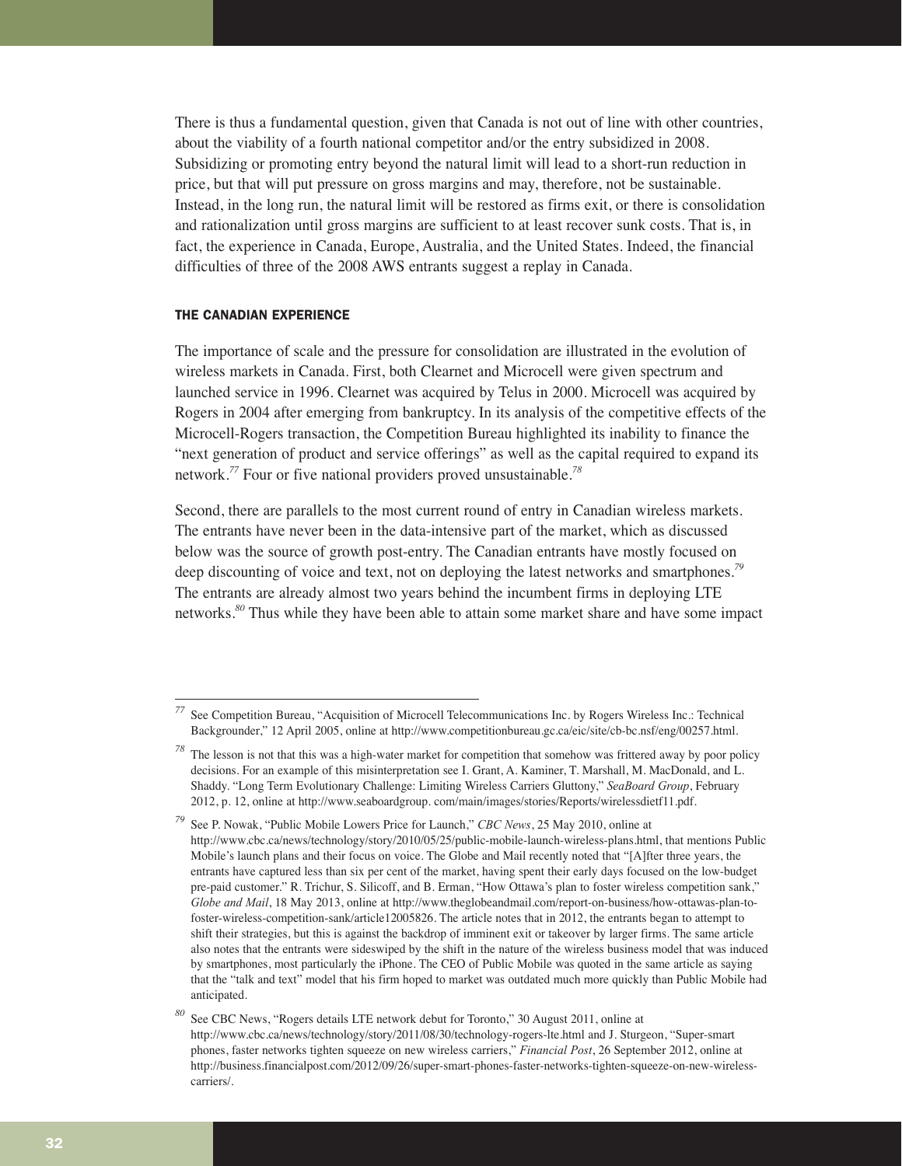There is thus a fundamental question, given that Canada is not out of line with other countries, about the viability of a fourth national competitor and/or the entry subsidized in 2008. Subsidizing or promoting entry beyond the natural limit will lead to a short-run reduction in price, but that will put pressure on gross margins and may, therefore, not be sustainable. Instead, in the long run, the natural limit will be restored as firms exit, or there is consolidation and rationalization until gross margins are sufficient to at least recover sunk costs. That is, in fact, the experience in Canada, Europe, Australia, and the United States. Indeed, the financial difficulties of three of the 2008 AWS entrants suggest a replay in Canada.

#### THE CANADIAN EXPERIENCE

The importance of scale and the pressure for consolidation are illustrated in the evolution of wireless markets in Canada. First, both Clearnet and Microcell were given spectrum and launched service in 1996. Clearnet was acquired by Telus in 2000. Microcell was acquired by Rogers in 2004 after emerging from bankruptcy. In its analysis of the competitive effects of the Microcell-Rogers transaction, the Competition Bureau highlighted its inability to finance the "next generation of product and service offerings" as well as the capital required to expand its network.*<sup>77</sup>* Four or five national providers proved unsustainable.*<sup>78</sup>*

Second, there are parallels to the most current round of entry in Canadian wireless markets. The entrants have never been in the data-intensive part of the market, which as discussed below was the source of growth post-entry. The Canadian entrants have mostly focused on deep discounting of voice and text, not on deploying the latest networks and smartphones.*<sup>79</sup>* The entrants are already almost two years behind the incumbent firms in deploying LTE networks.*<sup>80</sup>* Thus while they have been able to attain some market share and have some impact

*<sup>77</sup>* See Competition Bureau, "Acquisition of Microcell Telecommunications Inc. by Rogers Wireless Inc.: Technical Backgrounder," 12 April 2005, online at http://www.competitionbureau.gc.ca/eic/site/cb-bc.nsf/eng/00257.html.

The lesson is not that this was a high-water market for competition that somehow was frittered away by poor policy decisions. For an example of this misinterpretation see I. Grant, A. Kaminer, T. Marshall, M. MacDonald, and L. Shaddy. "Long Term Evolutionary Challenge: Limiting Wireless Carriers Gluttony," *SeaBoard Group*, February 2012, p. 12, online at http://www.seaboardgroup. com/main/images/stories/Reports/wirelessdietf11.pdf.

*<sup>79</sup>* See P. Nowak, "Public Mobile Lowers Price for Launch," *CBC News*, 25 May 2010, online at http://www.cbc.ca/news/technology/story/2010/05/25/public-mobile-launch-wireless-plans.html, that mentions Public Mobile's launch plans and their focus on voice. The Globe and Mail recently noted that "[A]fter three years, the entrants have captured less than six per cent of the market, having spent their early days focused on the low-budget pre-paid customer." R. Trichur, S. Silicoff, and B. Erman, "How Ottawa's plan to foster wireless competition sank," *Globe and Mail*, 18 May 2013, online at http://www.theglobeandmail.com/report-on-business/how-ottawas-plan-tofoster-wireless-competition-sank/article12005826. The article notes that in 2012, the entrants began to attempt to shift their strategies, but this is against the backdrop of imminent exit or takeover by larger firms. The same article also notes that the entrants were sideswiped by the shift in the nature of the wireless business model that was induced by smartphones, most particularly the iPhone. The CEO of Public Mobile was quoted in the same article as saying that the "talk and text" model that his firm hoped to market was outdated much more quickly than Public Mobile had anticipated.

*<sup>80</sup>* See CBC News, "Rogers details LTE network debut for Toronto," 30 August 2011, online at http://www.cbc.ca/news/technology/story/2011/08/30/technology-rogers-lte.html and J. Sturgeon, "Super-smart phones, faster networks tighten squeeze on new wireless carriers," *Financial Post*, 26 September 2012, online at http://business.financialpost.com/2012/09/26/super-smart-phones-faster-networks-tighten-squeeze-on-new-wirelesscarriers/.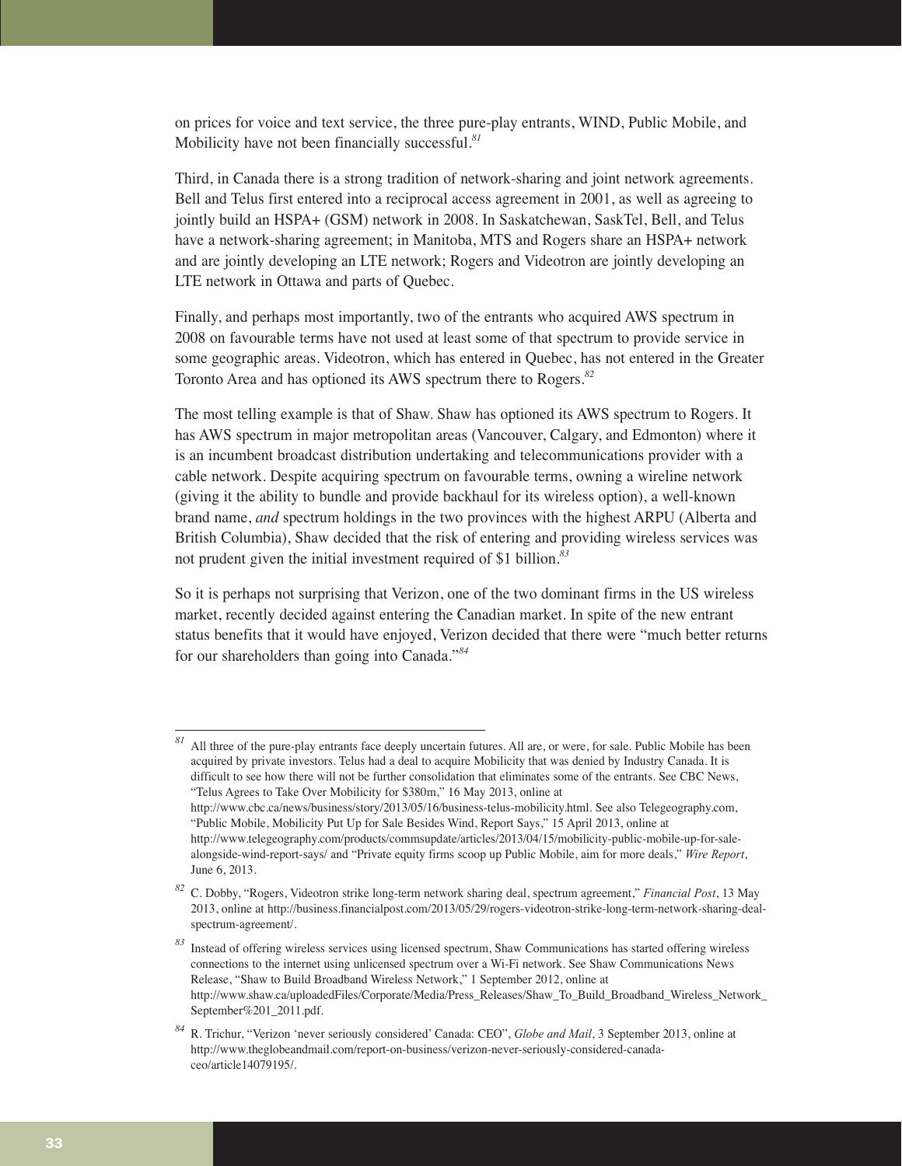on prices for voice and text service, the three pure-play entrants, WIND, Public Mobile, and Mobilicity have not been financially successful.*<sup>81</sup>*

Third, in Canada there is a strong tradition of network-sharing and joint network agreements. Bell and Telus first entered into a reciprocal access agreement in 2001, as well as agreeing to jointly build an HSPA+ (GSM) network in 2008. In Saskatchewan, SaskTel, Bell, and Telus have a network-sharing agreement; in Manitoba, MTS and Rogers share an HSPA+ network and are jointly developing an LTE network; Rogers and Videotron are jointly developing an LTE network in Ottawa and parts of Quebec.

Finally, and perhaps most importantly, two of the entrants who acquired AWS spectrum in 2008 on favourable terms have not used at least some of that spectrum to provide service in some geographic areas. Videotron, which has entered in Quebec, has not entered in the Greater Toronto Area and has optioned its AWS spectrum there to Rogers.*<sup>82</sup>*

The most telling example is that of Shaw. Shaw has optioned its AWS spectrum to Rogers. It has AWS spectrum in major metropolitan areas (Vancouver, Calgary, and Edmonton) where it is an incumbent broadcast distribution undertaking and telecommunications provider with a cable network. Despite acquiring spectrum on favourable terms, owning a wireline network (giving it the ability to bundle and provide backhaul for its wireless option), a well-known brand name, *and* spectrum holdings in the two provinces with the highest ARPU (Alberta and British Columbia), Shaw decided that the risk of entering and providing wireless services was not prudent given the initial investment required of \$1 billion.*<sup>83</sup>*

So it is perhaps not surprising that Verizon, one of the two dominant firms in the US wireless market, recently decided against entering the Canadian market. In spite of the new entrant status benefits that it would have enjoyed, Verizon decided that there were "much better returns for our shareholders than going into Canada."*<sup>84</sup>*

*<sup>81</sup>* All three of the pure-play entrants face deeply uncertain futures. All are, or were, for sale. Public Mobile has been acquired by private investors. Telus had a deal to acquire Mobilicity that was denied by Industry Canada. It is difficult to see how there will not be further consolidation that eliminates some of the entrants. See CBC News, "Telus Agrees to Take Over Mobilicity for \$380m," 16 May 2013, online at http://www.cbc.ca/news/business/story/2013/05/16/business-telus-mobilicity.html. See also Telegeography.com, "Public Mobile, Mobilicity Put Up for Sale Besides Wind, Report Says," 15 April 2013, online at http://www.telegeography.com/products/commsupdate/articles/2013/04/15/mobilicity-public-mobile-up-for-salealongside-wind-report-says/ and "Private equity firms scoop up Public Mobile, aim for more deals," *Wire Report*, June 6, 2013.

*<sup>82</sup>* C. Dobby, "Rogers, Videotron strike long-term network sharing deal, spectrum agreement," *Financial Post*, 13 May 2013, online at http://business.financialpost.com/2013/05/29/rogers-videotron-strike-long-term-network-sharing-dealspectrum-agreement/.

*<sup>83</sup>* Instead of offering wireless services using licensed spectrum, Shaw Communications has started offering wireless connections to the internet using unlicensed spectrum over a Wi-Fi network. See Shaw Communications News Release, "Shaw to Build Broadband Wireless Network," 1 September 2012, online at http://www.shaw.ca/uploadedFiles/Corporate/Media/Press\_Releases/Shaw\_To\_Build\_Broadband\_Wireless\_Network\_ September%201\_2011.pdf.

*<sup>84</sup>* R. Trichur, "Verizon 'never seriously considered' Canada: CEO", *Globe and Mail*, 3 September 2013, online at http://www.theglobeandmail.com/report-on-business/verizon-never-seriously-considered-canadaceo/article14079195/.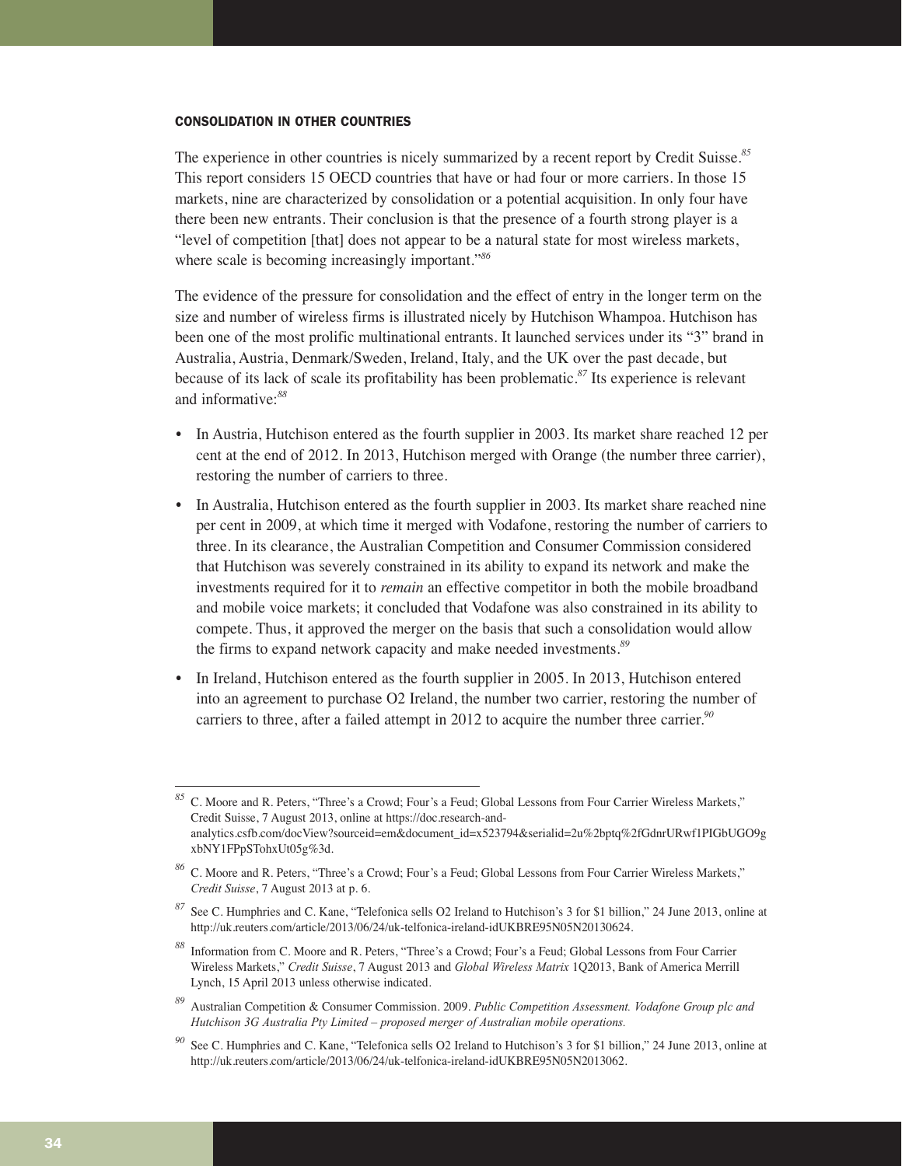#### CONSOLIDATION IN OTHER COUNTRIES

The experience in other countries is nicely summarized by a recent report by Credit Suisse.*<sup>85</sup>* This report considers 15 OECD countries that have or had four or more carriers. In those 15 markets, nine are characterized by consolidation or a potential acquisition. In only four have there been new entrants. Their conclusion is that the presence of a fourth strong player is a "level of competition [that] does not appear to be a natural state for most wireless markets, where scale is becoming increasingly important."*<sup>86</sup>*

The evidence of the pressure for consolidation and the effect of entry in the longer term on the size and number of wireless firms is illustrated nicely by Hutchison Whampoa. Hutchison has been one of the most prolific multinational entrants. It launched services under its "3" brand in Australia, Austria, Denmark/Sweden, Ireland, Italy, and the UK over the past decade, but because of its lack of scale its profitability has been problematic.*<sup>87</sup>* Its experience is relevant and informative:*<sup>88</sup>*

- In Austria, Hutchison entered as the fourth supplier in 2003. Its market share reached 12 per cent at the end of 2012. In 2013, Hutchison merged with Orange (the number three carrier), restoring the number of carriers to three.
- In Australia, Hutchison entered as the fourth supplier in 2003. Its market share reached nine per cent in 2009, at which time it merged with Vodafone, restoring the number of carriers to three. In its clearance, the Australian Competition and Consumer Commission considered that Hutchison was severely constrained in its ability to expand its network and make the investments required for it to *remain* an effective competitor in both the mobile broadband and mobile voice markets; it concluded that Vodafone was also constrained in its ability to compete. Thus, it approved the merger on the basis that such a consolidation would allow the firms to expand network capacity and make needed investments.*<sup>89</sup>*
- In Ireland, Hutchison entered as the fourth supplier in 2005. In 2013, Hutchison entered into an agreement to purchase O2 Ireland, the number two carrier, restoring the number of carriers to three, after a failed attempt in 2012 to acquire the number three carrier.*<sup>90</sup>*

*<sup>85</sup>* C. Moore and R. Peters, "Three's a Crowd; Four's a Feud; Global Lessons from Four Carrier Wireless Markets," Credit Suisse, 7 August 2013, online at https://doc.research-andanalytics.csfb.com/docView?sourceid=em&document\_id=x523794&serialid=2u%2bptq%2fGdnrURwf1PIGbUGO9g xbNY1FPpSTohxUt05g%3d.

*<sup>86</sup>* C. Moore and R. Peters, "Three's a Crowd; Four's a Feud; Global Lessons from Four Carrier Wireless Markets," *Credit Suisse*, 7 August 2013 at p. 6.

*<sup>87</sup>* See C. Humphries and C. Kane, "Telefonica sells O2 Ireland to Hutchison's 3 for \$1 billion," 24 June 2013, online at http://uk.reuters.com/article/2013/06/24/uk-telfonica-ireland-idUKBRE95N05N20130624.

*<sup>88</sup>* Information from C. Moore and R. Peters, "Three's a Crowd; Four's a Feud; Global Lessons from Four Carrier Wireless Markets," *Credit Suisse*, 7 August 2013 and *Global Wireless Matrix* 1Q2013, Bank of America Merrill Lynch, 15 April 2013 unless otherwise indicated.

*<sup>89</sup>* Australian Competition & Consumer Commission. 2009. *Public Competition Assessment. Vodafone Group plc and Hutchison 3G Australia Pty Limited – proposed merger of Australian mobile operations.*

*<sup>90</sup>* See C. Humphries and C. Kane, "Telefonica sells O2 Ireland to Hutchison's 3 for \$1 billion," 24 June 2013, online at http://uk.reuters.com/article/2013/06/24/uk-telfonica-ireland-idUKBRE95N05N2013062.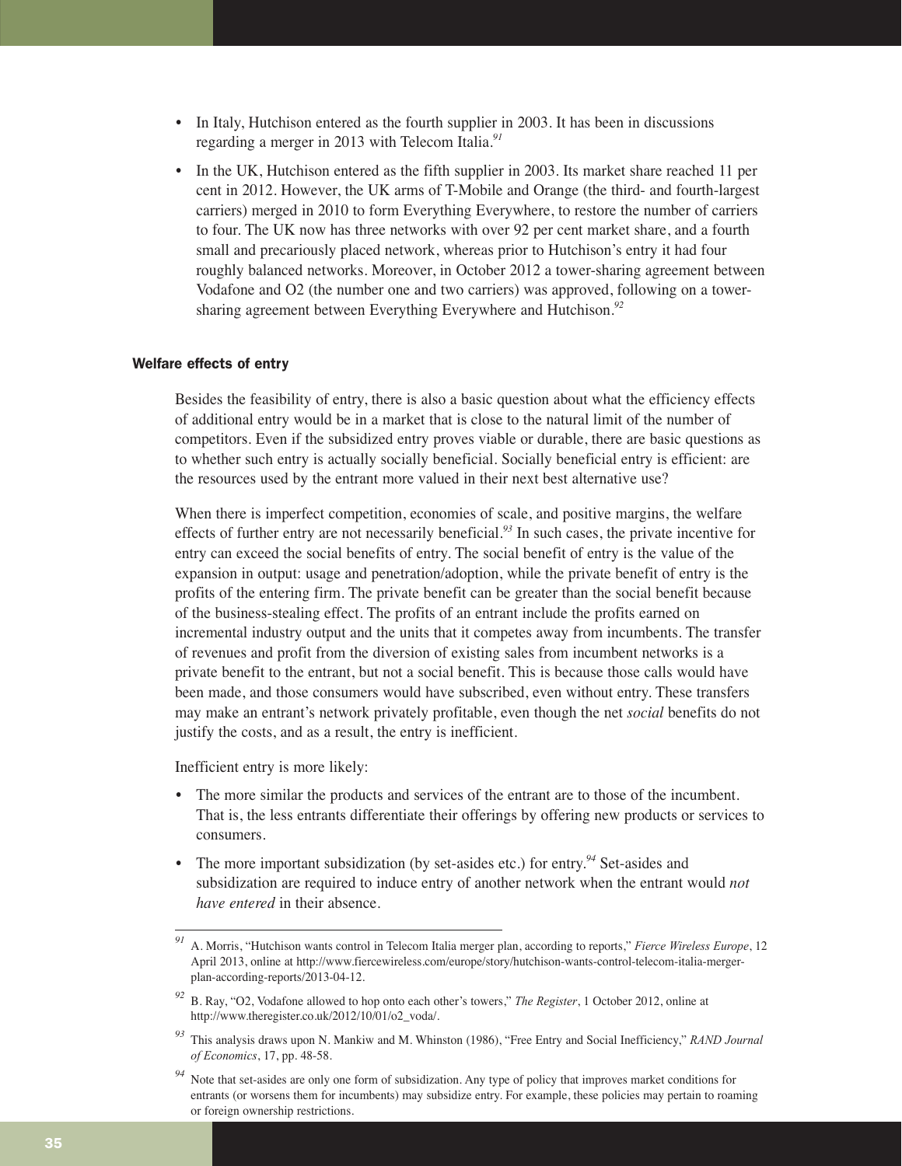- In Italy, Hutchison entered as the fourth supplier in 2003. It has been in discussions regarding a merger in 2013 with Telecom Italia.*<sup>91</sup>*
- In the UK, Hutchison entered as the fifth supplier in 2003. Its market share reached 11 per cent in 2012. However, the UK arms of T-Mobile and Orange (the third- and fourth-largest carriers) merged in 2010 to form Everything Everywhere, to restore the number of carriers to four. The UK now has three networks with over 92 per cent market share, and a fourth small and precariously placed network, whereas prior to Hutchison's entry it had four roughly balanced networks. Moreover, in October 2012 a tower-sharing agreement between Vodafone and O2 (the number one and two carriers) was approved, following on a towersharing agreement between Everything Everywhere and Hutchison.*<sup>92</sup>*

#### Welfare effects of entry

Besides the feasibility of entry, there is also a basic question about what the efficiency effects of additional entry would be in a market that is close to the natural limit of the number of competitors. Even if the subsidized entry proves viable or durable, there are basic questions as to whether such entry is actually socially beneficial. Socially beneficial entry is efficient: are the resources used by the entrant more valued in their next best alternative use?

When there is imperfect competition, economies of scale, and positive margins, the welfare effects of further entry are not necessarily beneficial.*<sup>93</sup>* In such cases, the private incentive for entry can exceed the social benefits of entry. The social benefit of entry is the value of the expansion in output: usage and penetration/adoption, while the private benefit of entry is the profits of the entering firm. The private benefit can be greater than the social benefit because of the business-stealing effect. The profits of an entrant include the profits earned on incremental industry output and the units that it competes away from incumbents. The transfer of revenues and profit from the diversion of existing sales from incumbent networks is a private benefit to the entrant, but not a social benefit. This is because those calls would have been made, and those consumers would have subscribed, even without entry. These transfers may make an entrant's network privately profitable, even though the net *social* benefits do not justify the costs, and as a result, the entry is inefficient.

Inefficient entry is more likely:

- The more similar the products and services of the entrant are to those of the incumbent. That is, the less entrants differentiate their offerings by offering new products or services to consumers.
- The more important subsidization (by set-asides etc.) for entry.<sup>94</sup> Set-asides and subsidization are required to induce entry of another network when the entrant would *not have entered* in their absence.

*<sup>91</sup>* A. Morris, "Hutchison wants control in Telecom Italia merger plan, according to reports," *Fierce Wireless Europe*, 12 April 2013, online at http://www.fiercewireless.com/europe/story/hutchison-wants-control-telecom-italia-mergerplan-according-reports/2013-04-12.

*<sup>92</sup>* B. Ray, "O2, Vodafone allowed to hop onto each other's towers," *The Register*, 1 October 2012, online at http://www.theregister.co.uk/2012/10/01/o2\_voda/.

*<sup>93</sup>* This analysis draws upon N. Mankiw and M. Whinston (1986), "Free Entry and Social Inefficiency," *RAND Journal of Economics*, 17, pp. 48-58.

*<sup>94</sup>* Note that set-asides are only one form of subsidization. Any type of policy that improves market conditions for entrants (or worsens them for incumbents) may subsidize entry. For example, these policies may pertain to roaming or foreign ownership restrictions.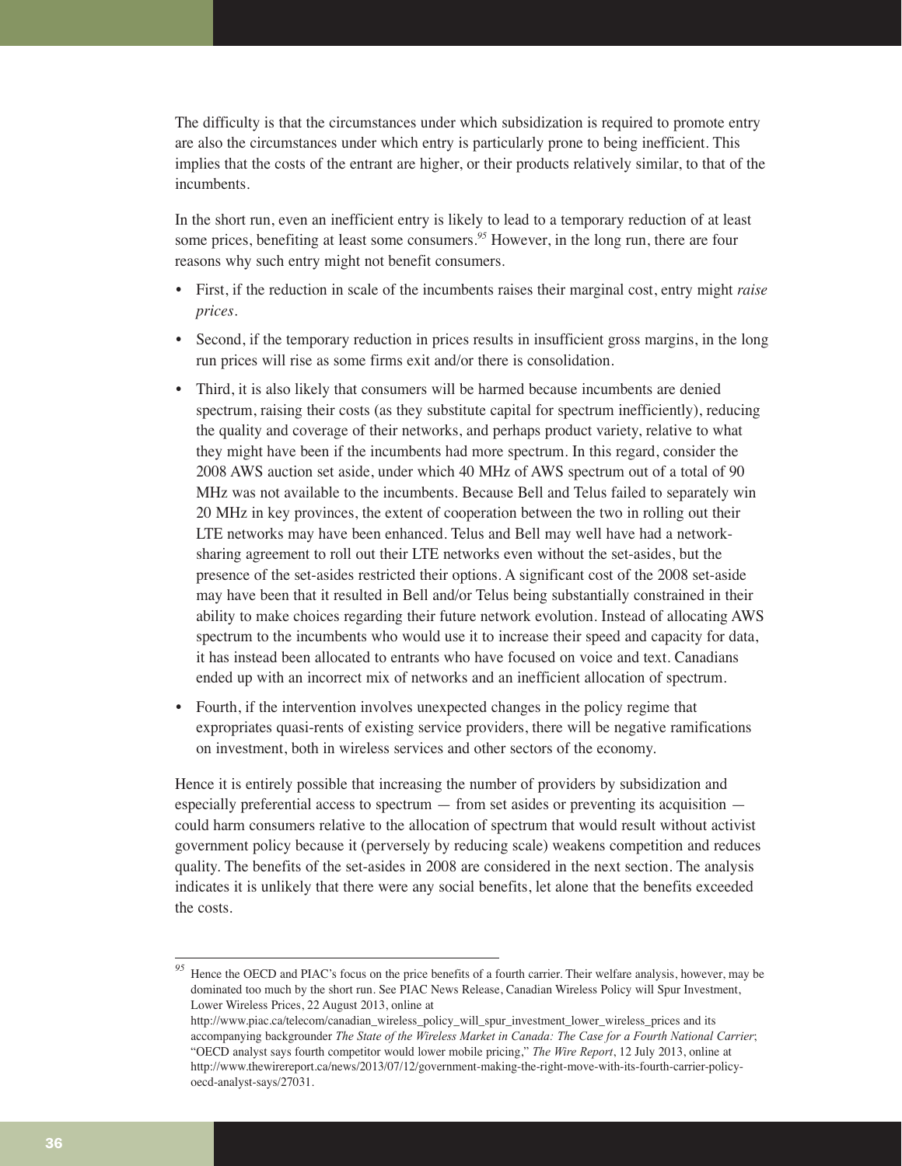The difficulty is that the circumstances under which subsidization is required to promote entry are also the circumstances under which entry is particularly prone to being inefficient. This implies that the costs of the entrant are higher, or their products relatively similar, to that of the incumbents.

In the short run, even an inefficient entry is likely to lead to a temporary reduction of at least some prices, benefiting at least some consumers.*<sup>95</sup>* However, in the long run, there are four reasons why such entry might not benefit consumers.

- First, if the reduction in scale of the incumbents raises their marginal cost, entry might *raise prices*.
- Second, if the temporary reduction in prices results in insufficient gross margins, in the long run prices will rise as some firms exit and/or there is consolidation.
- Third, it is also likely that consumers will be harmed because incumbents are denied spectrum, raising their costs (as they substitute capital for spectrum inefficiently), reducing the quality and coverage of their networks, and perhaps product variety, relative to what they might have been if the incumbents had more spectrum. In this regard, consider the 2008 AWS auction set aside, under which 40 MHz of AWS spectrum out of a total of 90 MHz was not available to the incumbents. Because Bell and Telus failed to separately win 20 MHz in key provinces, the extent of cooperation between the two in rolling out their LTE networks may have been enhanced. Telus and Bell may well have had a networksharing agreement to roll out their LTE networks even without the set-asides, but the presence of the set-asides restricted their options. A significant cost of the 2008 set-aside may have been that it resulted in Bell and/or Telus being substantially constrained in their ability to make choices regarding their future network evolution. Instead of allocating AWS spectrum to the incumbents who would use it to increase their speed and capacity for data, it has instead been allocated to entrants who have focused on voice and text. Canadians ended up with an incorrect mix of networks and an inefficient allocation of spectrum.
- Fourth, if the intervention involves unexpected changes in the policy regime that expropriates quasi-rents of existing service providers, there will be negative ramifications on investment, both in wireless services and other sectors of the economy.

Hence it is entirely possible that increasing the number of providers by subsidization and especially preferential access to spectrum  $-$  from set asides or preventing its acquisition  $$ could harm consumers relative to the allocation of spectrum that would result without activist government policy because it (perversely by reducing scale) weakens competition and reduces quality. The benefits of the set-asides in 2008 are considered in the next section. The analysis indicates it is unlikely that there were any social benefits, let alone that the benefits exceeded the costs.

<sup>&</sup>lt;sup>95</sup> Hence the OECD and PIAC's focus on the price benefits of a fourth carrier. Their welfare analysis, however, may be dominated too much by the short run. See PIAC News Release, Canadian Wireless Policy will Spur Investment, Lower Wireless Prices, 22 August 2013, online at

http://www.piac.ca/telecom/canadian\_wireless\_policy\_will\_spur\_investment\_lower\_wireless\_prices and its accompanying backgrounder *The State of the Wireless Market in Canada: The Case for a Fourth National Carrier*; "OECD analyst says fourth competitor would lower mobile pricing," *The Wire Report*, 12 July 2013, online at http://www.thewirereport.ca/news/2013/07/12/government-making-the-right-move-with-its-fourth-carrier-policyoecd-analyst-says/27031.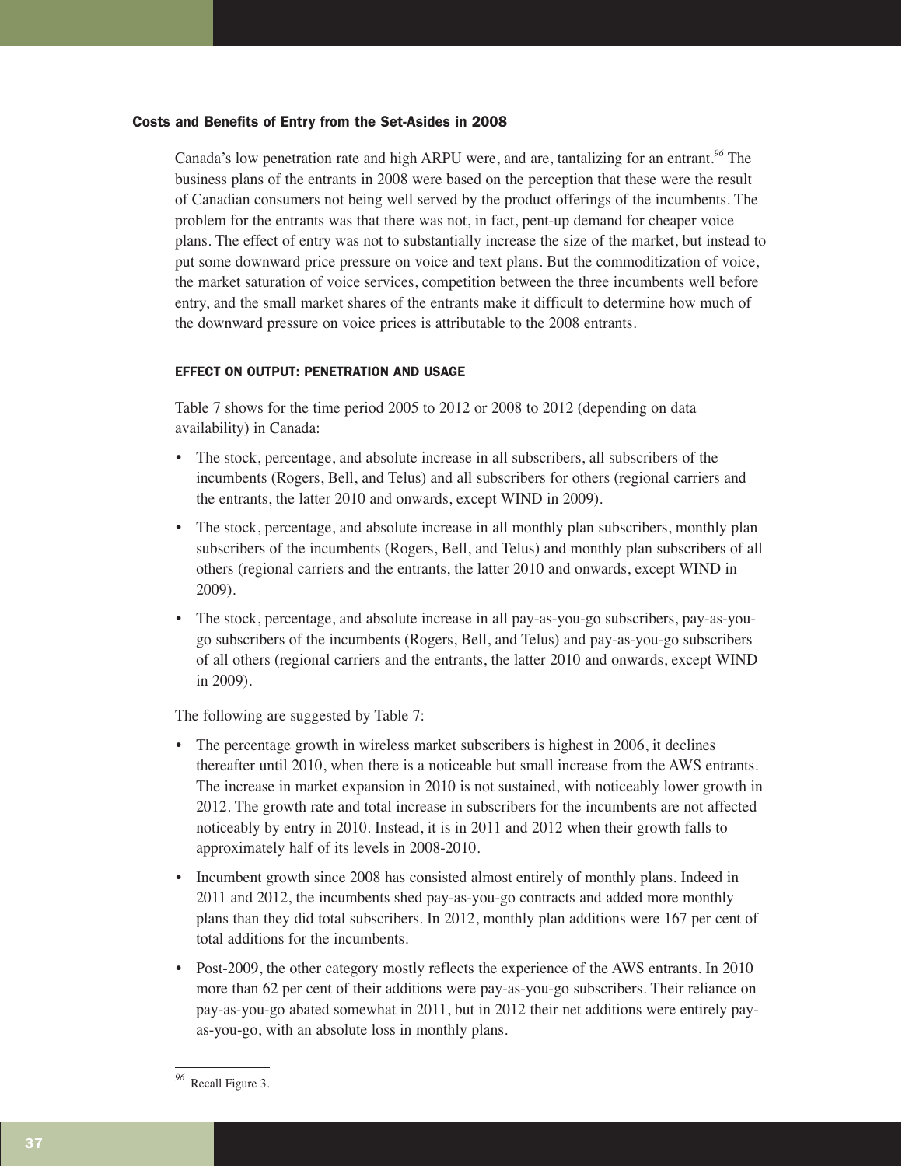#### Costs and Benefits of Entry from the Set-Asides in 2008

Canada's low penetration rate and high ARPU were, and are, tantalizing for an entrant.*<sup>96</sup>* The business plans of the entrants in 2008 were based on the perception that these were the result of Canadian consumers not being well served by the product offerings of the incumbents. The problem for the entrants was that there was not, in fact, pent-up demand for cheaper voice plans. The effect of entry was not to substantially increase the size of the market, but instead to put some downward price pressure on voice and text plans. But the commoditization of voice, the market saturation of voice services, competition between the three incumbents well before entry, and the small market shares of the entrants make it difficult to determine how much of the downward pressure on voice prices is attributable to the 2008 entrants.

#### EFFECT ON OUTPUT: PENETRATION AND USAGE

Table 7 shows for the time period 2005 to 2012 or 2008 to 2012 (depending on data availability) in Canada:

- The stock, percentage, and absolute increase in all subscribers, all subscribers of the incumbents (Rogers, Bell, and Telus) and all subscribers for others (regional carriers and the entrants, the latter 2010 and onwards, except WIND in 2009).
- The stock, percentage, and absolute increase in all monthly plan subscribers, monthly plan subscribers of the incumbents (Rogers, Bell, and Telus) and monthly plan subscribers of all others (regional carriers and the entrants, the latter 2010 and onwards, except WIND in 2009).
- The stock, percentage, and absolute increase in all pay-as-you-go subscribers, pay-as-yougo subscribers of the incumbents (Rogers, Bell, and Telus) and pay-as-you-go subscribers of all others (regional carriers and the entrants, the latter 2010 and onwards, except WIND in 2009).

The following are suggested by Table 7:

- The percentage growth in wireless market subscribers is highest in 2006, it declines thereafter until 2010, when there is a noticeable but small increase from the AWS entrants. The increase in market expansion in 2010 is not sustained, with noticeably lower growth in 2012. The growth rate and total increase in subscribers for the incumbents are not affected noticeably by entry in 2010. Instead, it is in 2011 and 2012 when their growth falls to approximately half of its levels in 2008-2010.
- Incumbent growth since 2008 has consisted almost entirely of monthly plans. Indeed in 2011 and 2012, the incumbents shed pay-as-you-go contracts and added more monthly plans than they did total subscribers. In 2012, monthly plan additions were 167 per cent of total additions for the incumbents.
- Post-2009, the other category mostly reflects the experience of the AWS entrants. In 2010 more than 62 per cent of their additions were pay-as-you-go subscribers. Their reliance on pay-as-you-go abated somewhat in 2011, but in 2012 their net additions were entirely payas-you-go, with an absolute loss in monthly plans.

*<sup>96</sup>* Recall Figure 3.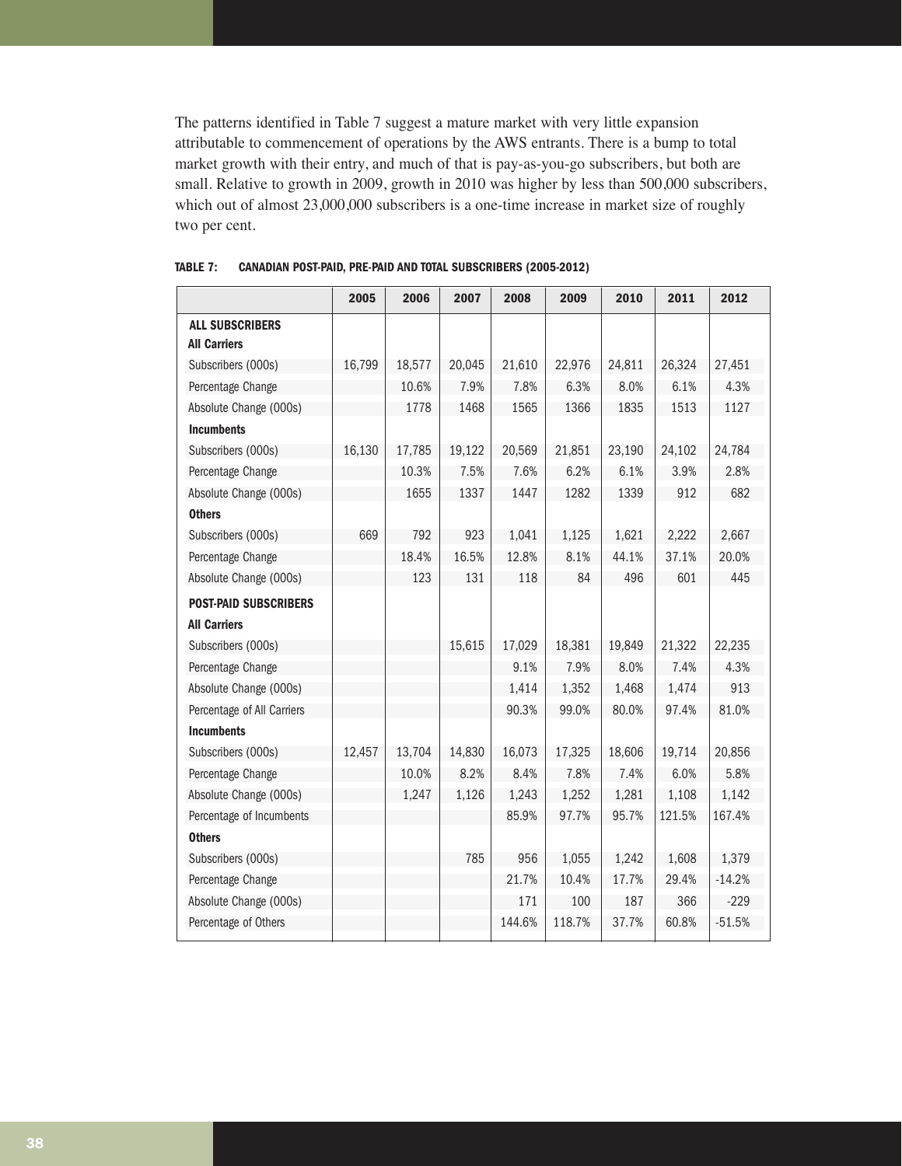The patterns identified in Table 7 suggest a mature market with very little expansion attributable to commencement of operations by the AWS entrants. There is a bump to total market growth with their entry, and much of that is pay-as-you-go subscribers, but both are small. Relative to growth in 2009, growth in 2010 was higher by less than 500,000 subscribers, which out of almost 23,000,000 subscribers is a one-time increase in market size of roughly two per cent.

|                              | 2005   | 2006   | 2007   | 2008   | 2009   | 2010   | 2011   | 2012     |
|------------------------------|--------|--------|--------|--------|--------|--------|--------|----------|
| <b>ALL SUBSCRIBERS</b>       |        |        |        |        |        |        |        |          |
| <b>All Carriers</b>          |        |        |        |        |        |        |        |          |
| Subscribers (000s)           | 16,799 | 18,577 | 20,045 | 21,610 | 22,976 | 24,811 | 26,324 | 27,451   |
| Percentage Change            |        | 10.6%  | 7.9%   | 7.8%   | 6.3%   | 8.0%   | 6.1%   | 4.3%     |
| Absolute Change (000s)       |        | 1778   | 1468   | 1565   | 1366   | 1835   | 1513   | 1127     |
| <b>Incumbents</b>            |        |        |        |        |        |        |        |          |
| Subscribers (000s)           | 16,130 | 17,785 | 19,122 | 20,569 | 21,851 | 23,190 | 24,102 | 24,784   |
| Percentage Change            |        | 10.3%  | 7.5%   | 7.6%   | 6.2%   | 6.1%   | 3.9%   | 2.8%     |
| Absolute Change (000s)       |        | 1655   | 1337   | 1447   | 1282   | 1339   | 912    | 682      |
| <b>Others</b>                |        |        |        |        |        |        |        |          |
| Subscribers (000s)           | 669    | 792    | 923    | 1,041  | 1,125  | 1,621  | 2,222  | 2,667    |
| Percentage Change            |        | 18.4%  | 16.5%  | 12.8%  | 8.1%   | 44.1%  | 37.1%  | 20.0%    |
| Absolute Change (000s)       |        | 123    | 131    | 118    | 84     | 496    | 601    | 445      |
| <b>POST-PAID SUBSCRIBERS</b> |        |        |        |        |        |        |        |          |
| <b>All Carriers</b>          |        |        |        |        |        |        |        |          |
| Subscribers (000s)           |        |        | 15,615 | 17,029 | 18,381 | 19,849 | 21,322 | 22,235   |
| Percentage Change            |        |        |        | 9.1%   | 7.9%   | 8.0%   | 7.4%   | 4.3%     |
| Absolute Change (000s)       |        |        |        | 1,414  | 1,352  | 1,468  | 1,474  | 913      |
| Percentage of All Carriers   |        |        |        | 90.3%  | 99.0%  | 80.0%  | 97.4%  | 81.0%    |
| <b>Incumbents</b>            |        |        |        |        |        |        |        |          |
| Subscribers (000s)           | 12,457 | 13,704 | 14,830 | 16,073 | 17,325 | 18,606 | 19,714 | 20,856   |
| Percentage Change            |        | 10.0%  | 8.2%   | 8.4%   | 7.8%   | 7.4%   | 6.0%   | 5.8%     |
| Absolute Change (000s)       |        | 1,247  | 1,126  | 1,243  | 1,252  | 1,281  | 1,108  | 1,142    |
| Percentage of Incumbents     |        |        |        | 85.9%  | 97.7%  | 95.7%  | 121.5% | 167.4%   |
| <b>Others</b>                |        |        |        |        |        |        |        |          |
| Subscribers (000s)           |        |        | 785    | 956    | 1,055  | 1,242  | 1,608  | 1,379    |
| Percentage Change            |        |        |        | 21.7%  | 10.4%  | 17.7%  | 29.4%  | $-14.2%$ |
| Absolute Change (000s)       |        |        |        | 171    | 100    | 187    | 366    | $-229$   |
| Percentage of Others         |        |        |        | 144.6% | 118.7% | 37.7%  | 60.8%  | $-51.5%$ |

#### **TABLE 7: CANADIAN POST-PAID, PRE-PAID AND TOTAL SUBSCRIBERS (2005-2012)**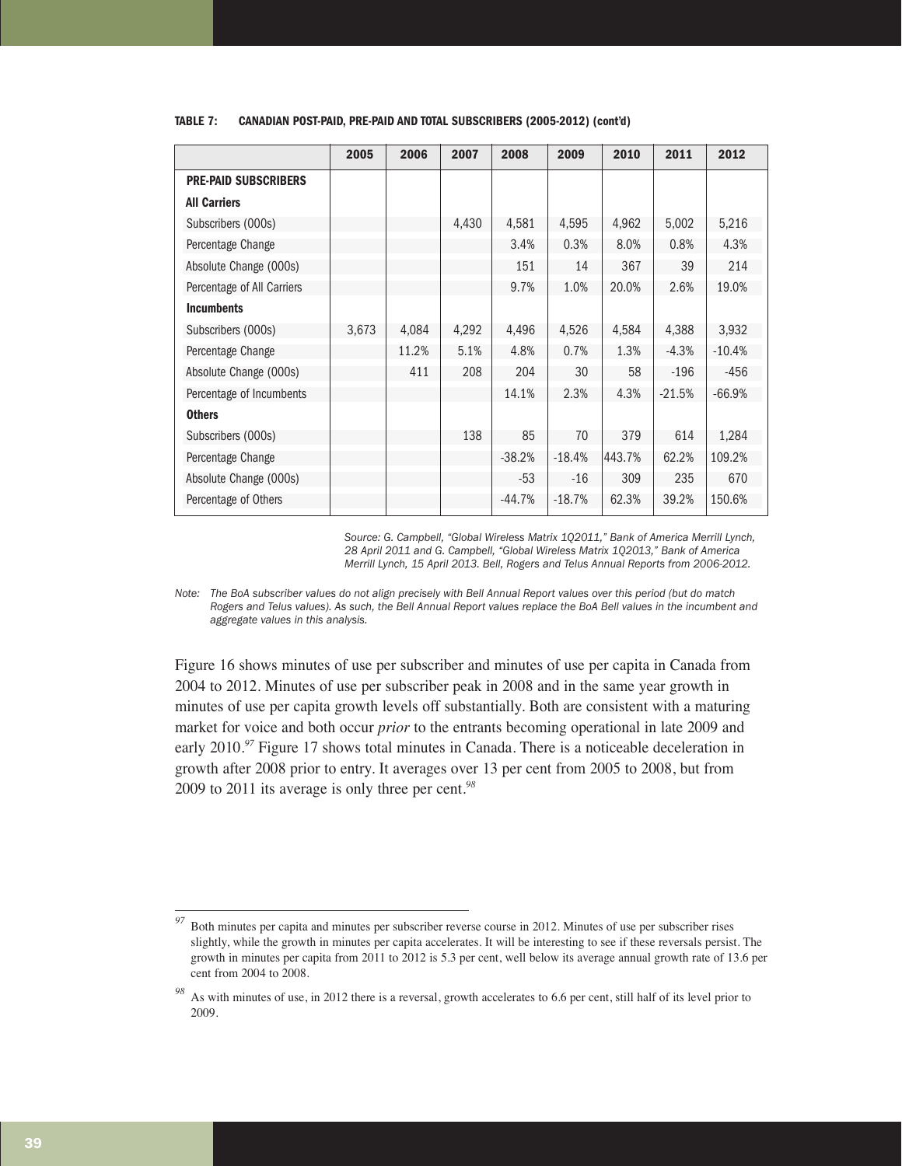|                             | 2005  | 2006  | 2007  | 2008     | 2009     | 2010   | 2011     | 2012     |
|-----------------------------|-------|-------|-------|----------|----------|--------|----------|----------|
| <b>PRE-PAID SUBSCRIBERS</b> |       |       |       |          |          |        |          |          |
| <b>All Carriers</b>         |       |       |       |          |          |        |          |          |
| Subscribers (000s)          |       |       | 4,430 | 4,581    | 4,595    | 4,962  | 5,002    | 5,216    |
| Percentage Change           |       |       |       | 3.4%     | 0.3%     | 8.0%   | 0.8%     | 4.3%     |
| Absolute Change (000s)      |       |       |       | 151      | 14       | 367    | 39       | 214      |
| Percentage of All Carriers  |       |       |       | 9.7%     | 1.0%     | 20.0%  | 2.6%     | 19.0%    |
| <b>Incumbents</b>           |       |       |       |          |          |        |          |          |
| Subscribers (000s)          | 3,673 | 4,084 | 4,292 | 4,496    | 4,526    | 4,584  | 4,388    | 3,932    |
| Percentage Change           |       | 11.2% | 5.1%  | 4.8%     | 0.7%     | 1.3%   | $-4.3%$  | $-10.4%$ |
| Absolute Change (000s)      |       | 411   | 208   | 204      | 30       | 58     | $-196$   | $-456$   |
| Percentage of Incumbents    |       |       |       | 14.1%    | 2.3%     | 4.3%   | $-21.5%$ | $-66.9%$ |
| <b>Others</b>               |       |       |       |          |          |        |          |          |
| Subscribers (000s)          |       |       | 138   | 85       | 70       | 379    | 614      | 1,284    |
| Percentage Change           |       |       |       | $-38.2%$ | $-18.4%$ | 443.7% | 62.2%    | 109.2%   |
| Absolute Change (000s)      |       |       |       | -53      | $-16$    | 309    | 235      | 670      |
| Percentage of Others        |       |       |       | $-44.7%$ | $-18.7%$ | 62.3%  | 39.2%    | 150.6%   |
|                             |       |       |       |          |          |        |          |          |

#### **TABLE 7: CANADIAN POST-PAID, PRE-PAID AND TOTAL SUBSCRIBERS (2005-2012) (cont'd)**

*Source: G. Campbell, "Global Wireless Matrix 1Q2011," Bank of America Merrill Lynch, 28 April 2011 and G. Campbell, "Global Wireless Matrix 1Q2013," Bank of America Merrill Lynch, 15 April 2013. Bell, Rogers and Telus Annual Reports from 2006-2012.* 

*Note: The BoA subscriber values do not align precisely with Bell Annual Report values over this period (but do match Rogers and Telus values). As such, the Bell Annual Report values replace the BoA Bell values in the incumbent and aggregate values in this analysis.*

Figure 16 shows minutes of use per subscriber and minutes of use per capita in Canada from 2004 to 2012. Minutes of use per subscriber peak in 2008 and in the same year growth in minutes of use per capita growth levels off substantially. Both are consistent with a maturing market for voice and both occur *prior* to the entrants becoming operational in late 2009 and early 2010.<sup>97</sup> Figure 17 shows total minutes in Canada. There is a noticeable deceleration in growth after 2008 prior to entry. It averages over 13 per cent from 2005 to 2008, but from 2009 to 2011 its average is only three per cent.*<sup>98</sup>*

*<sup>97</sup>* Both minutes per capita and minutes per subscriber reverse course in 2012. Minutes of use per subscriber rises slightly, while the growth in minutes per capita accelerates. It will be interesting to see if these reversals persist. The growth in minutes per capita from 2011 to 2012 is 5.3 per cent, well below its average annual growth rate of 13.6 per cent from 2004 to 2008.

*<sup>98</sup>* As with minutes of use, in 2012 there is a reversal, growth accelerates to 6.6 per cent, still half of its level prior to 2009.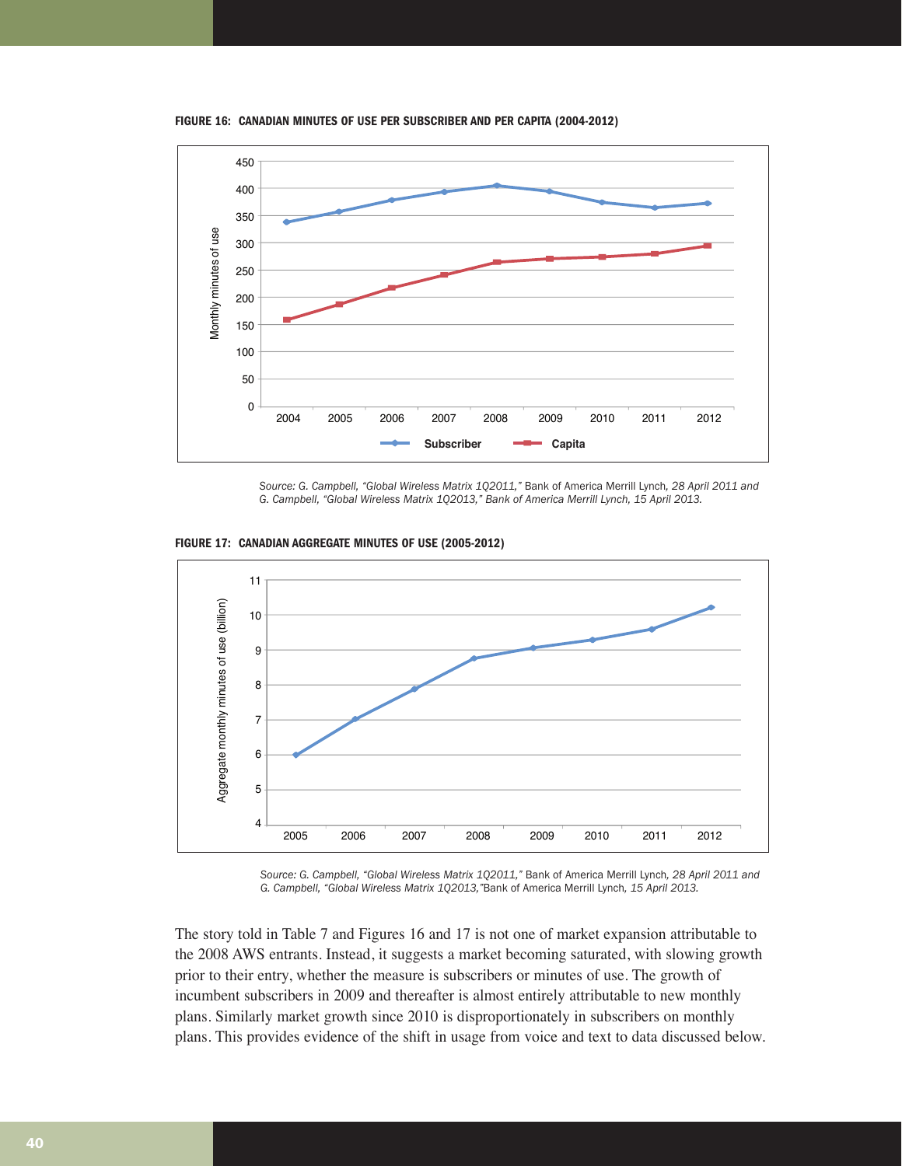**FIGURE 16: CANADIAN MINUTES OF USE PER SUBSCRIBER AND PER CAPITA (2004-2012)**



*Source: G. Campbell, "Global Wireless Matrix 1Q2011,"* Bank of America Merrill Lynch*, 28 April 2011 and G. Campbell, "Global Wireless Matrix 1Q2013," Bank of America Merrill Lynch, 15 April 2013.*



**FIGURE 17: CANADIAN AGGREGATE MINUTES OF USE (2005-2012)**

*Source: G. Campbell, "Global Wireless Matrix 1Q2011,"* Bank of America Merrill Lynch*, 28 April 2011 and G. Campbell, "Global Wireless Matrix 1Q2013,"*Bank of America Merrill Lynch*, 15 April 2013.*

The story told in Table 7 and Figures 16 and 17 is not one of market expansion attributable to the 2008 AWS entrants. Instead, it suggests a market becoming saturated, with slowing growth prior to their entry, whether the measure is subscribers or minutes of use. The growth of incumbent subscribers in 2009 and thereafter is almost entirely attributable to new monthly plans. Similarly market growth since 2010 is disproportionately in subscribers on monthly plans. This provides evidence of the shift in usage from voice and text to data discussed below.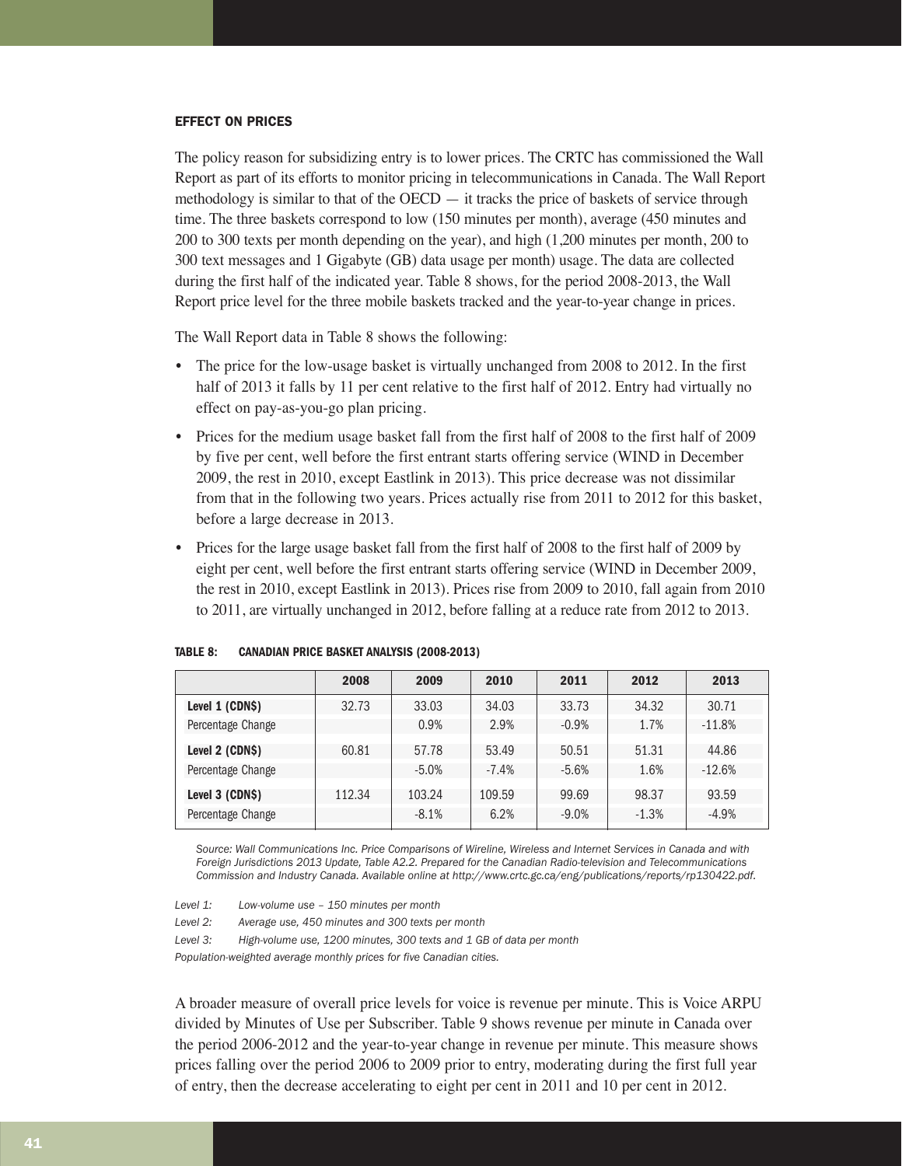#### EFFECT ON PRICES

The policy reason for subsidizing entry is to lower prices. The CRTC has commissioned the Wall Report as part of its efforts to monitor pricing in telecommunications in Canada. The Wall Report methodology is similar to that of the  $OECD -$  it tracks the price of baskets of service through time. The three baskets correspond to low (150 minutes per month), average (450 minutes and 200 to 300 texts per month depending on the year), and high (1,200 minutes per month, 200 to 300 text messages and 1 Gigabyte (GB) data usage per month) usage. The data are collected during the first half of the indicated year. Table 8 shows, for the period 2008-2013, the Wall Report price level for the three mobile baskets tracked and the year-to-year change in prices.

The Wall Report data in Table 8 shows the following:

- The price for the low-usage basket is virtually unchanged from 2008 to 2012. In the first half of 2013 it falls by 11 per cent relative to the first half of 2012. Entry had virtually no effect on pay-as-you-go plan pricing.
- Prices for the medium usage basket fall from the first half of 2008 to the first half of 2009 by five per cent, well before the first entrant starts offering service (WIND in December 2009, the rest in 2010, except Eastlink in 2013). This price decrease was not dissimilar from that in the following two years. Prices actually rise from 2011 to 2012 for this basket, before a large decrease in 2013.
- Prices for the large usage basket fall from the first half of 2008 to the first half of 2009 by eight per cent, well before the first entrant starts offering service (WIND in December 2009, the rest in 2010, except Eastlink in 2013). Prices rise from 2009 to 2010, fall again from 2010 to 2011, are virtually unchanged in 2012, before falling at a reduce rate from 2012 to 2013.

|                   | 2008   | 2009    | 2010     | 2011     | 2012    | 2013     |
|-------------------|--------|---------|----------|----------|---------|----------|
| Level 1 (CDN\$)   | 32.73  | 33.03   | 34.03    | 33.73    | 34.32   | 30.71    |
| Percentage Change |        | 0.9%    | 2.9%     | $-0.9%$  | 1.7%    | $-11.8%$ |
| Level 2 (CDN\$)   | 60.81  | 57.78   | 53.49    | 50.51    | 51.31   | 44.86    |
| Percentage Change |        | $-5.0%$ | $-7.4\%$ | $-5.6%$  | 1.6%    | $-12.6%$ |
| Level 3 (CDN\$)   | 112.34 | 103.24  | 109.59   | 99.69    | 98.37   | 93.59    |
| Percentage Change |        | $-8.1%$ | 6.2%     | $-9.0\%$ | $-1.3%$ | $-4.9\%$ |

*Source: Wall Communications Inc. Price Comparisons of Wireline, Wireless and Internet Services in Canada and with Foreign Jurisdictions 2013 Update, Table A2.2. Prepared for the Canadian Radio-television and Telecommunications Commission and Industry Canada. Available online at http://www.crtc.gc.ca/eng/publications/reports/rp130422.pdf.*

*Level 1: Low-volume use – 150 minutes per month*

*Level 2: Average use, 450 minutes and 300 texts per month*

*Level 3: High-volume use, 1200 minutes, 300 texts and 1 GB of data per month*

*Population-weighted average monthly prices for five Canadian cities.*

A broader measure of overall price levels for voice is revenue per minute. This is Voice ARPU divided by Minutes of Use per Subscriber. Table 9 shows revenue per minute in Canada over the period 2006-2012 and the year-to-year change in revenue per minute. This measure shows prices falling over the period 2006 to 2009 prior to entry, moderating during the first full year of entry, then the decrease accelerating to eight per cent in 2011 and 10 per cent in 2012.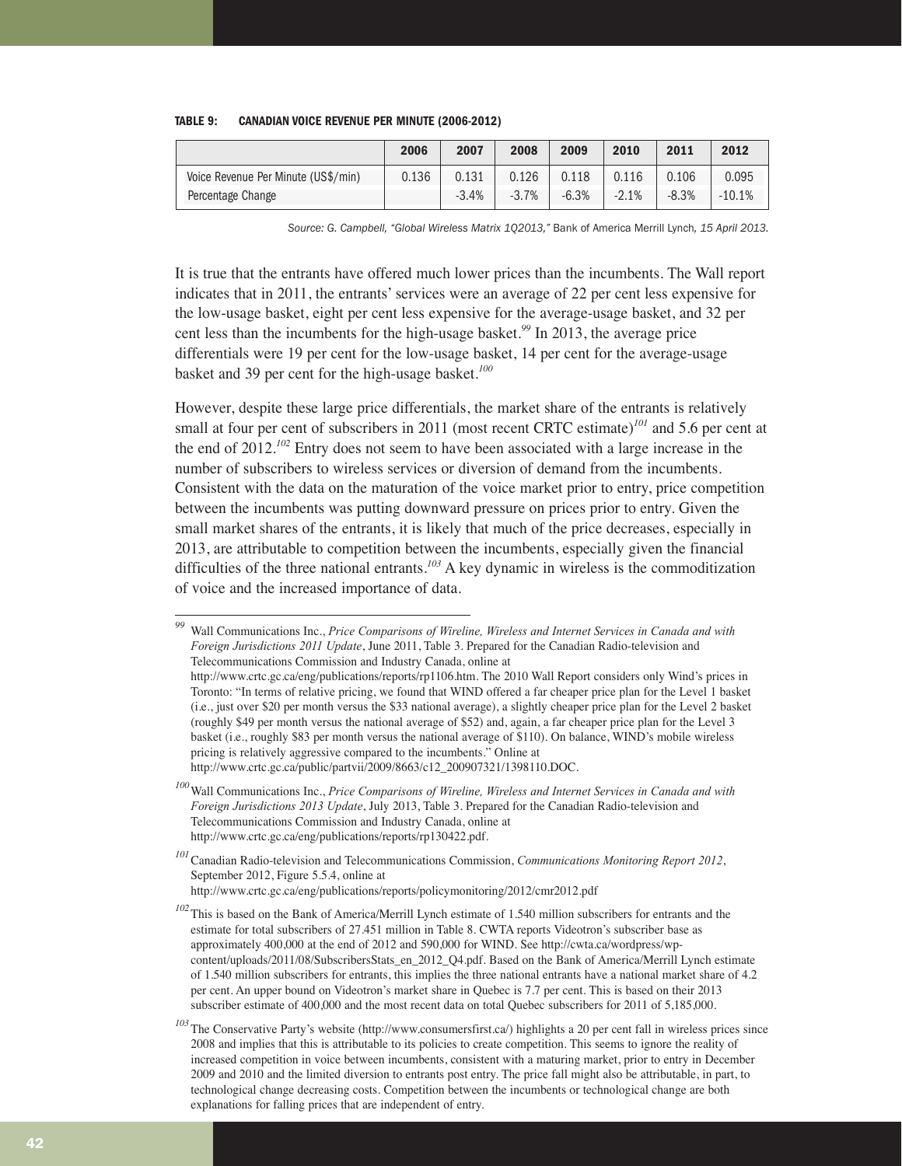| TABLE 9: | <b>CANADIAN VOICE REVENUE PER MINUTE (2006-2012)</b> |  |  |
|----------|------------------------------------------------------|--|--|
|----------|------------------------------------------------------|--|--|

|                                     | 2006  | 2007    | 2008    | 2009    | 2010    | 2011    | 2012     |
|-------------------------------------|-------|---------|---------|---------|---------|---------|----------|
| Voice Revenue Per Minute (US\$/min) | 0.136 | 0.131   | 0.126   | 0.118   | 0.116   | 0.106   | 0.095    |
| Percentage Change                   |       | $-3.4%$ | $-3.7%$ | $-6.3%$ | $-2.1%$ | $-8.3%$ | $-10.1%$ |

*Source: G. Campbell, "Global Wireless Matrix 1Q2013,"* Bank of America Merrill Lynch*, 15 April 2013.*

It is true that the entrants have offered much lower prices than the incumbents. The Wall report indicates that in 2011, the entrants' services were an average of 22 per cent less expensive for the low-usage basket, eight per cent less expensive for the average-usage basket, and 32 per cent less than the incumbents for the high-usage basket.*<sup>99</sup>* In 2013, the average price differentials were 19 per cent for the low-usage basket, 14 per cent for the average-usage basket and 39 per cent for the high-usage basket.*<sup>100</sup>*

However, despite these large price differentials, the market share of the entrants is relatively small at four per cent of subscribers in 2011 (most recent CRTC estimate)*<sup>101</sup>* and 5.6 per cent at the end of 2012.*<sup>102</sup>* Entry does not seem to have been associated with a large increase in the number of subscribers to wireless services or diversion of demand from the incumbents. Consistent with the data on the maturation of the voice market prior to entry, price competition between the incumbents was putting downward pressure on prices prior to entry. Given the small market shares of the entrants, it is likely that much of the price decreases, especially in 2013, are attributable to competition between the incumbents, especially given the financial difficulties of the three national entrants.*<sup>103</sup>* A key dynamic in wireless is the commoditization of voice and the increased importance of data.

*<sup>99</sup>* Wall Communications Inc., *Price Comparisons of Wireline, Wireless and Internet Services in Canada and with Foreign Jurisdictions 2011 Update*, June 2011, Table 3. Prepared for the Canadian Radio-television and Telecommunications Commission and Industry Canada, online at http://www.crtc.gc.ca/eng/publications/reports/rp1106.htm. The 2010 Wall Report considers only Wind's prices in Toronto: "In terms of relative pricing, we found that WIND offered a far cheaper price plan for the Level 1 basket (i.e., just over \$20 per month versus the \$33 national average), a slightly cheaper price plan for the Level 2 basket (roughly \$49 per month versus the national average of \$52) and, again, a far cheaper price plan for the Level 3 basket (i.e., roughly \$83 per month versus the national average of \$110). On balance, WIND's mobile wireless pricing is relatively aggressive compared to the incumbents." Online at http://www.crtc.gc.ca/public/partvii/2009/8663/c12\_200907321/1398110.DOC.

*<sup>100</sup>*Wall Communications Inc., *Price Comparisons of Wireline, Wireless and Internet Services in Canada and with Foreign Jurisdictions 2013 Update*, July 2013, Table 3. Prepared for the Canadian Radio-television and Telecommunications Commission and Industry Canada, online at http://www.crtc.gc.ca/eng/publications/reports/rp130422.pdf.

*<sup>101</sup>*Canadian Radio-television and Telecommunications Commission, *Communications Monitoring Report 2012*, September 2012, Figure 5.5.4, online at http://www.crtc.gc.ca/eng/publications/reports/policymonitoring/2012/cmr2012.pdf

<sup>&</sup>lt;sup>102</sup>This is based on the Bank of America/Merrill Lynch estimate of 1.540 million subscribers for entrants and the estimate for total subscribers of 27.451 million in Table 8. CWTA reports Videotron's subscriber base as approximately 400,000 at the end of 2012 and 590,000 for WIND. See http://cwta.ca/wordpress/wpcontent/uploads/2011/08/SubscribersStats\_en\_2012\_Q4.pdf. Based on the Bank of America/Merrill Lynch estimate of 1.540 million subscribers for entrants, this implies the three national entrants have a national market share of 4.2 per cent. An upper bound on Videotron's market share in Quebec is 7.7 per cent. This is based on their 2013 subscriber estimate of 400,000 and the most recent data on total Quebec subscribers for 2011 of 5,185,000.

*<sup>103</sup>* The Conservative Party's website (http://www.consumersfirst.ca/) highlights a 20 per cent fall in wireless prices since 2008 and implies that this is attributable to its policies to create competition. This seems to ignore the reality of increased competition in voice between incumbents, consistent with a maturing market, prior to entry in December 2009 and 2010 and the limited diversion to entrants post entry. The price fall might also be attributable, in part, to technological change decreasing costs. Competition between the incumbents or technological change are both explanations for falling prices that are independent of entry.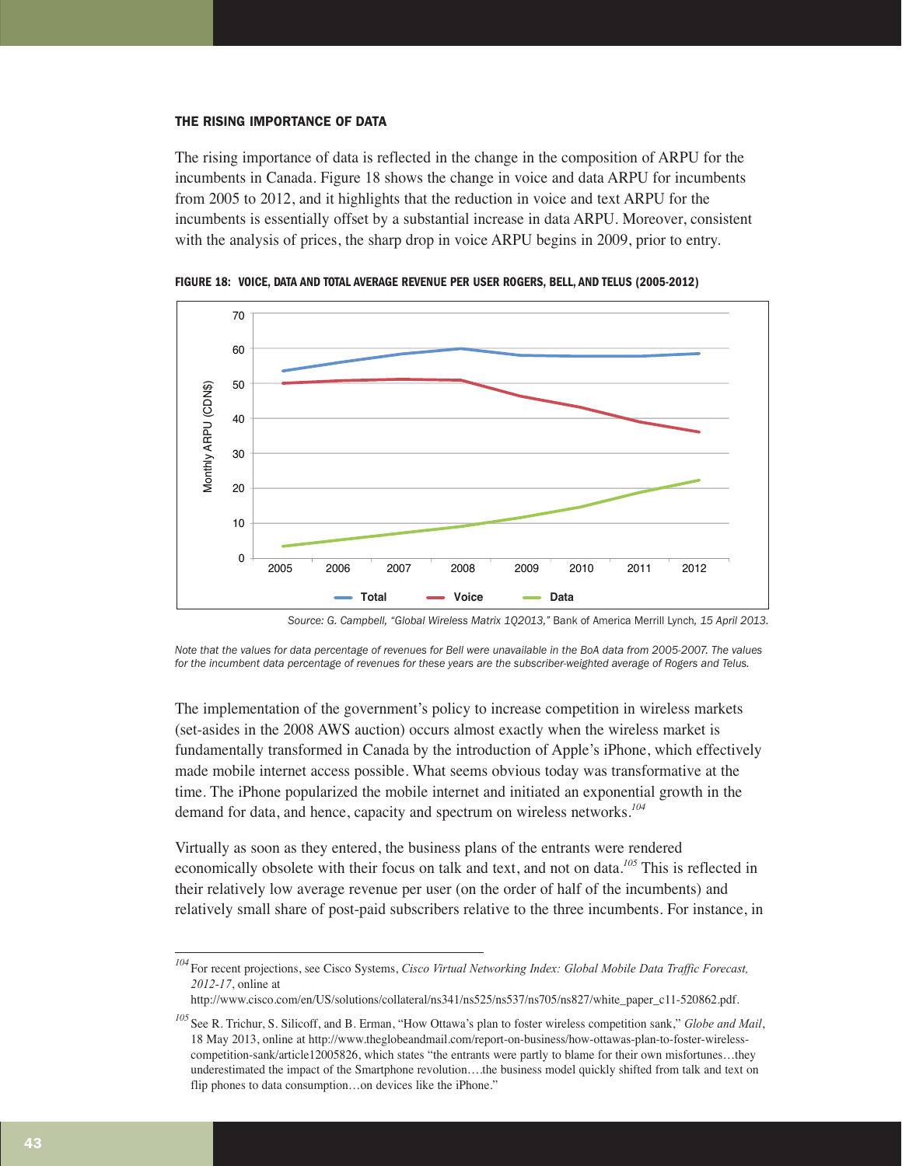#### THE RISING IMPORTANCE OF DATA

The rising importance of data is reflected in the change in the composition of ARPU for the incumbents in Canada. Figure 18 shows the change in voice and data ARPU for incumbents from 2005 to 2012, and it highlights that the reduction in voice and text ARPU for the incumbents is essentially offset by a substantial increase in data ARPU. Moreover, consistent with the analysis of prices, the sharp drop in voice ARPU begins in 2009, prior to entry.



**FIGURE 18: VOICE, DATA AND TOTAL AVERAGE REVENUE PER USER ROGERS, BELL, AND TELUS (2005-2012)**

*Source: G. Campbell, "Global Wireless Matrix 1Q2013,"* Bank of America Merrill Lynch*, 15 April 2013.*

*Note that the values for data percentage of revenues for Bell were unavailable in the BoA data from 2005-2007. The values for the incumbent data percentage of revenues for these years are the subscriber-weighted average of Rogers and Telus.*

The implementation of the government's policy to increase competition in wireless markets (set-asides in the 2008 AWS auction) occurs almost exactly when the wireless market is fundamentally transformed in Canada by the introduction of Apple's iPhone, which effectively made mobile internet access possible. What seems obvious today was transformative at the time. The iPhone popularized the mobile internet and initiated an exponential growth in the demand for data, and hence, capacity and spectrum on wireless networks.*<sup>104</sup>*

Virtually as soon as they entered, the business plans of the entrants were rendered economically obsolete with their focus on talk and text, and not on data.*<sup>105</sup>* This is reflected in their relatively low average revenue per user (on the order of half of the incumbents) and relatively small share of post-paid subscribers relative to the three incumbents. For instance, in

*<sup>104</sup>* For recent projections, see Cisco Systems, *Cisco Virtual Networking Index: Global Mobile Data Traffic Forecast, 2012-17*, online at

http://www.cisco.com/en/US/solutions/collateral/ns341/ns525/ns537/ns705/ns827/white\_paper\_c11-520862.pdf.

*<sup>105</sup>* See R. Trichur, S. Silicoff, and B. Erman, "How Ottawa's plan to foster wireless competition sank," *Globe and Mail*, 18 May 2013, online at http://www.theglobeandmail.com/report-on-business/how-ottawas-plan-to-foster-wirelesscompetition-sank/article12005826, which states "the entrants were partly to blame for their own misfortunes…they underestimated the impact of the Smartphone revolution….the business model quickly shifted from talk and text on flip phones to data consumption...on devices like the iPhone."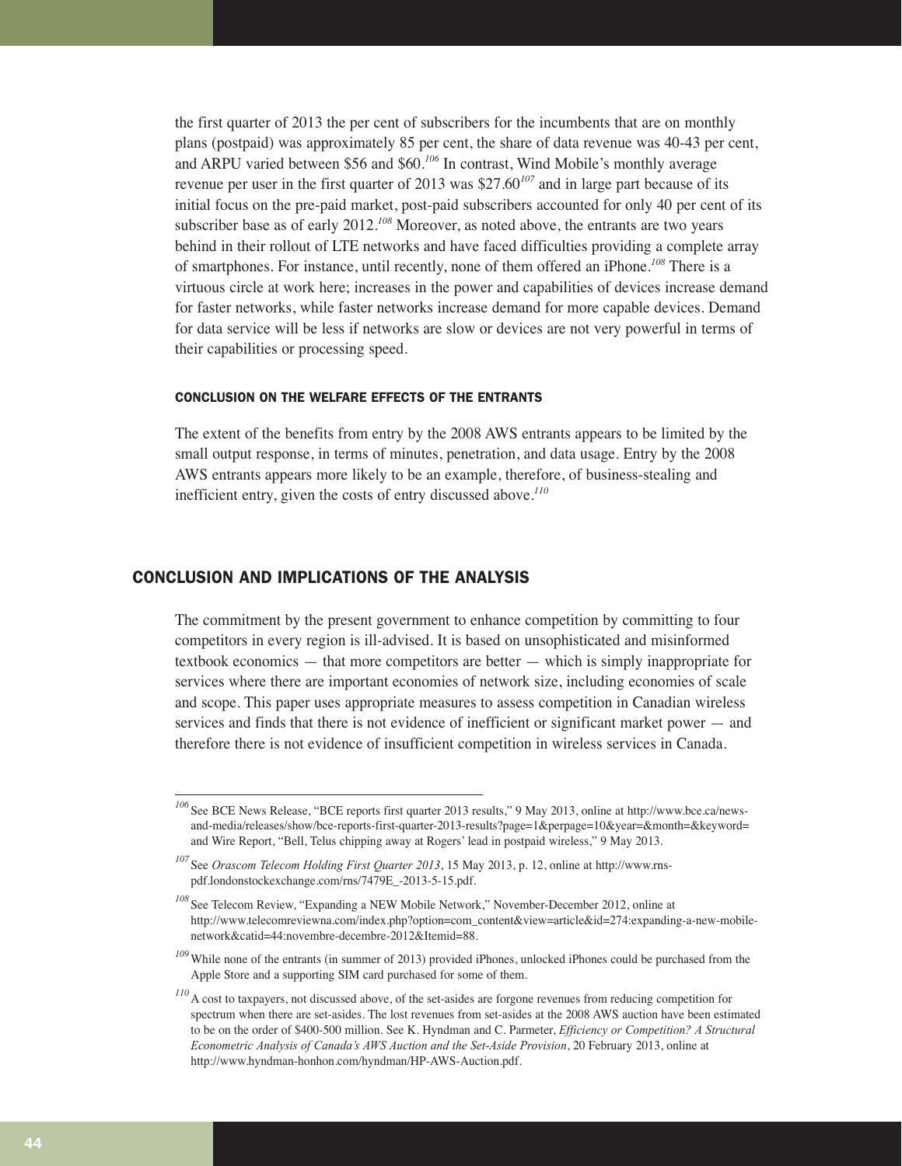the first quarter of 2013 the per cent of subscribers for the incumbents that are on monthly plans (postpaid) was approximately 85 per cent, the share of data revenue was 40-43 per cent, and ARPU varied between \$56 and \$60.*<sup>106</sup>* In contrast, Wind Mobile's monthly average revenue per user in the first quarter of 2013 was \$27.60*<sup>107</sup>* and in large part because of its initial focus on the pre-paid market, post-paid subscribers accounted for only 40 per cent of its subscriber base as of early 2012.*<sup>108</sup>* Moreover, as noted above, the entrants are two years behind in their rollout of LTE networks and have faced difficulties providing a complete array of smartphones. For instance, until recently, none of them offered an iPhone.*<sup>108</sup>* There is a virtuous circle at work here; increases in the power and capabilities of devices increase demand for faster networks, while faster networks increase demand for more capable devices. Demand for data service will be less if networks are slow or devices are not very powerful in terms of their capabilities or processing speed.

#### CONCLUSION ON THE WELFARE EFFECTS OF THE ENTRANTS

The extent of the benefits from entry by the 2008 AWS entrants appears to be limited by the small output response, in terms of minutes, penetration, and data usage. Entry by the 2008 AWS entrants appears more likely to be an example, therefore, of business-stealing and inefficient entry, given the costs of entry discussed above.*<sup>110</sup>*

#### CONCLUSION AND IMPLICATIONS OF THE ANALYSIS

The commitment by the present government to enhance competition by committing to four competitors in every region is ill-advised. It is based on unsophisticated and misinformed textbook economics — that more competitors are better — which is simply inappropriate for services where there are important economies of network size, including economies of scale and scope. This paper uses appropriate measures to assess competition in Canadian wireless services and finds that there is not evidence of inefficient or significant market power — and therefore there is not evidence of insufficient competition in wireless services in Canada.

*<sup>106</sup>* See BCE News Release, "BCE reports first quarter 2013 results," 9 May 2013, online at http://www.bce.ca/newsand-media/releases/show/bce-reports-first-quarter-2013-results?page=1&perpage=10&year=&month=&keyword= and Wire Report, "Bell, Telus chipping away at Rogers' lead in postpaid wireless," 9 May 2013.

*<sup>107</sup>* See *Orascom Telecom Holding First Quarter 2013*, 15 May 2013, p. 12, online at http://www.rnspdf.londonstockexchange.com/rns/7479E\_-2013-5-15.pdf.

*<sup>108</sup>* See Telecom Review, "Expanding a NEW Mobile Network," November-December 2012, online at http://www.telecomreviewna.com/index.php?option=com\_content&view=article&id=274:expanding-a-new-mobilenetwork&catid=44:novembre-decembre-2012&Itemid=88.

<sup>&</sup>lt;sup>109</sup>While none of the entrants (in summer of 2013) provided iPhones, unlocked iPhones could be purchased from the Apple Store and a supporting SIM card purchased for some of them.

*<sup>110</sup>* A cost to taxpayers, not discussed above, of the set-asides are forgone revenues from reducing competition for spectrum when there are set-asides. The lost revenues from set-asides at the 2008 AWS auction have been estimated to be on the order of \$400-500 million. See K. Hyndman and C. Parmeter, *Efficiency or Competition? A Structural Econometric Analysis of Canada's AWS Auction and the Set-Aside Provision*, 20 February 2013, online at http://www.hyndman-honhon.com/hyndman/HP-AWS-Auction.pdf.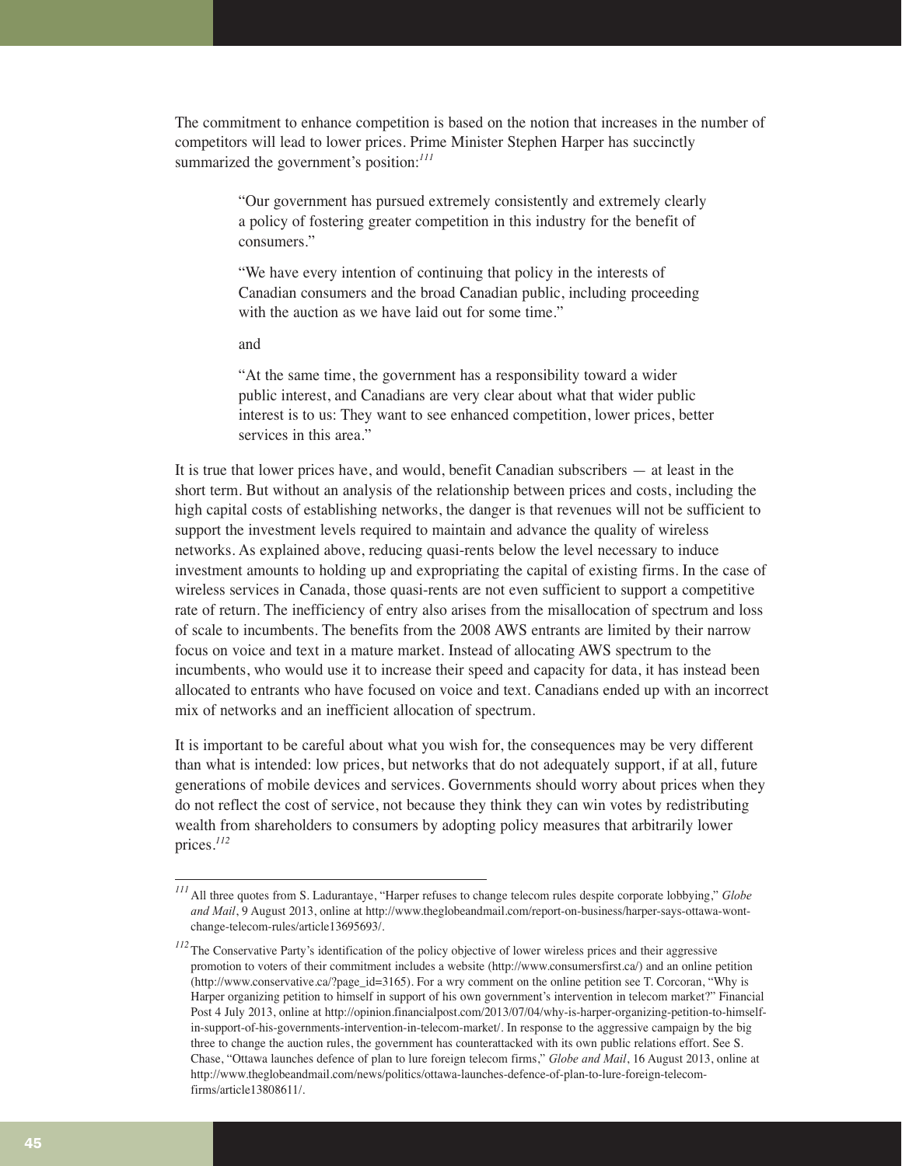The commitment to enhance competition is based on the notion that increases in the number of competitors will lead to lower prices. Prime Minister Stephen Harper has succinctly summarized the government's position:<sup>111</sup>

> "Our government has pursued extremely consistently and extremely clearly a policy of fostering greater competition in this industry for the benefit of consumers."

"We have every intention of continuing that policy in the interests of Canadian consumers and the broad Canadian public, including proceeding with the auction as we have laid out for some time."

and

"At the same time, the government has a responsibility toward a wider public interest, and Canadians are very clear about what that wider public interest is to us: They want to see enhanced competition, lower prices, better services in this area."

It is true that lower prices have, and would, benefit Canadian subscribers — at least in the short term. But without an analysis of the relationship between prices and costs, including the high capital costs of establishing networks, the danger is that revenues will not be sufficient to support the investment levels required to maintain and advance the quality of wireless networks. As explained above, reducing quasi-rents below the level necessary to induce investment amounts to holding up and expropriating the capital of existing firms. In the case of wireless services in Canada, those quasi-rents are not even sufficient to support a competitive rate of return. The inefficiency of entry also arises from the misallocation of spectrum and loss of scale to incumbents. The benefits from the 2008 AWS entrants are limited by their narrow focus on voice and text in a mature market. Instead of allocating AWS spectrum to the incumbents, who would use it to increase their speed and capacity for data, it has instead been allocated to entrants who have focused on voice and text. Canadians ended up with an incorrect mix of networks and an inefficient allocation of spectrum.

It is important to be careful about what you wish for, the consequences may be very different than what is intended: low prices, but networks that do not adequately support, if at all, future generations of mobile devices and services. Governments should worry about prices when they do not reflect the cost of service, not because they think they can win votes by redistributing wealth from shareholders to consumers by adopting policy measures that arbitrarily lower prices.*<sup>112</sup>*

*<sup>111</sup>* All three quotes from S. Ladurantaye, "Harper refuses to change telecom rules despite corporate lobbying," *Globe and Mail*, 9 August 2013, online at http://www.theglobeandmail.com/report-on-business/harper-says-ottawa-wontchange-telecom-rules/article13695693/.

<sup>&</sup>lt;sup>112</sup> The Conservative Party's identification of the policy objective of lower wireless prices and their aggressive promotion to voters of their commitment includes a website (http://www.consumersfirst.ca/) and an online petition (http://www.conservative.ca/?page\_id=3165). For a wry comment on the online petition see T. Corcoran, "Why is Harper organizing petition to himself in support of his own government's intervention in telecom market?" Financial Post 4 July 2013, online at http://opinion.financialpost.com/2013/07/04/why-is-harper-organizing-petition-to-himselfin-support-of-his-governments-intervention-in-telecom-market/. In response to the aggressive campaign by the big three to change the auction rules, the government has counterattacked with its own public relations effort. See S. Chase, "Ottawa launches defence of plan to lure foreign telecom firms," *Globe and Mail*, 16 August 2013, online at http://www.theglobeandmail.com/news/politics/ottawa-launches-defence-of-plan-to-lure-foreign-telecomfirms/article13808611/.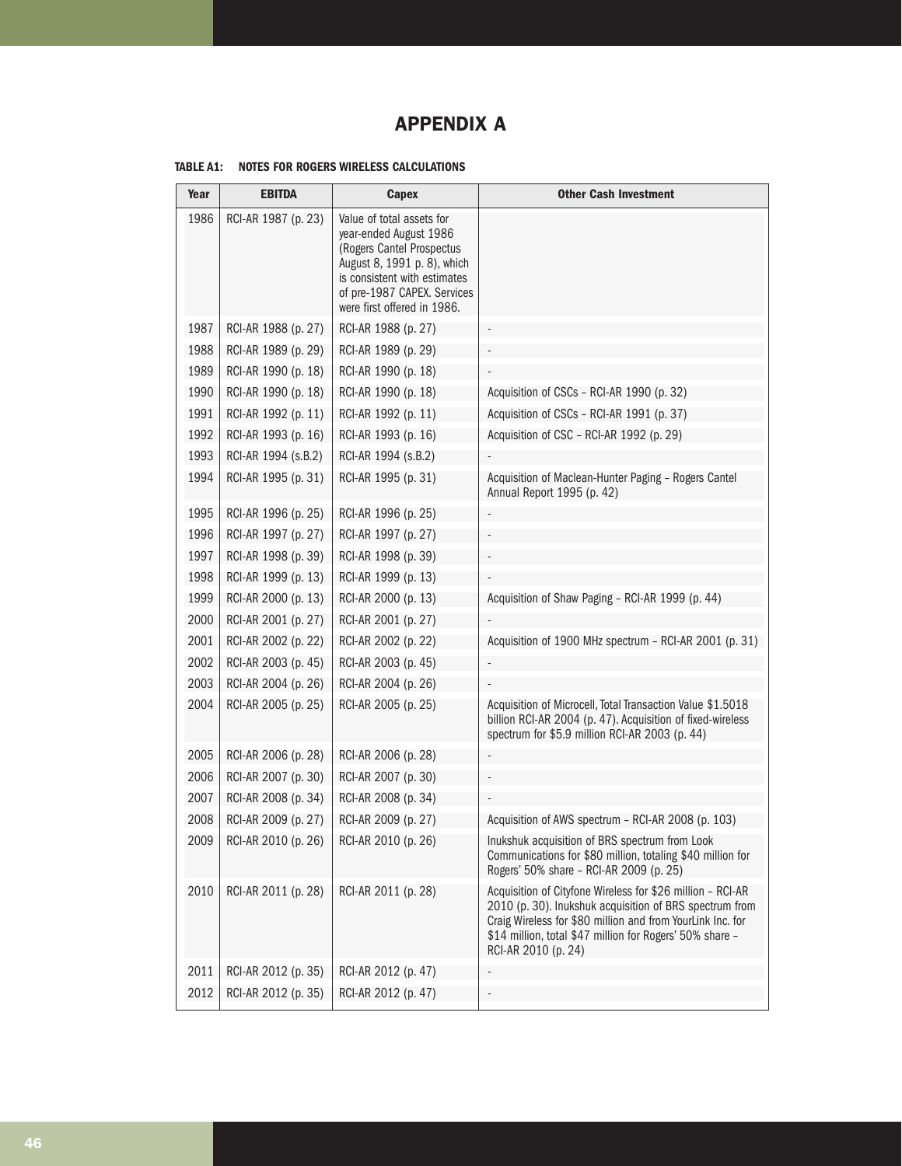### APPENDIX A

| <b>TABLE A1:</b> | NOTES FOR ROGERS WIRELESS CALCULATIONS |  |  |  |  |
|------------------|----------------------------------------|--|--|--|--|
|------------------|----------------------------------------|--|--|--|--|

| Year | <b>EBITDA</b>       | Capex                                                                                                                                                                                                         | <b>Other Cash Investment</b>                                                                                                                                                                                                                                           |
|------|---------------------|---------------------------------------------------------------------------------------------------------------------------------------------------------------------------------------------------------------|------------------------------------------------------------------------------------------------------------------------------------------------------------------------------------------------------------------------------------------------------------------------|
| 1986 | RCI-AR 1987 (p. 23) | Value of total assets for<br>year-ended August 1986<br>(Rogers Cantel Prospectus<br>August 8, 1991 p. 8), which<br>is consistent with estimates<br>of pre-1987 CAPEX. Services<br>were first offered in 1986. |                                                                                                                                                                                                                                                                        |
| 1987 | RCI-AR 1988 (p. 27) | RCI-AR 1988 (p. 27)                                                                                                                                                                                           |                                                                                                                                                                                                                                                                        |
| 1988 | RCI-AR 1989 (p. 29) | RCI-AR 1989 (p. 29)                                                                                                                                                                                           |                                                                                                                                                                                                                                                                        |
| 1989 | RCI-AR 1990 (p. 18) | RCI-AR 1990 (p. 18)                                                                                                                                                                                           |                                                                                                                                                                                                                                                                        |
| 1990 | RCI-AR 1990 (p. 18) | RCI-AR 1990 (p. 18)                                                                                                                                                                                           | Acquisition of CSCs - RCI-AR 1990 (p. 32)                                                                                                                                                                                                                              |
| 1991 | RCI-AR 1992 (p. 11) | RCI-AR 1992 (p. 11)                                                                                                                                                                                           | Acquisition of CSCs - RCI-AR 1991 (p. 37)                                                                                                                                                                                                                              |
| 1992 | RCI-AR 1993 (p. 16) | RCI-AR 1993 (p. 16)                                                                                                                                                                                           | Acquisition of CSC - RCI-AR 1992 (p. 29)                                                                                                                                                                                                                               |
| 1993 | RCI-AR 1994 (s.B.2) | RCI-AR 1994 (s.B.2)                                                                                                                                                                                           |                                                                                                                                                                                                                                                                        |
| 1994 | RCI-AR 1995 (p. 31) | RCI-AR 1995 (p. 31)                                                                                                                                                                                           | Acquisition of Maclean-Hunter Paging - Rogers Cantel<br>Annual Report 1995 (p. 42)                                                                                                                                                                                     |
| 1995 | RCI-AR 1996 (p. 25) | RCI-AR 1996 (p. 25)                                                                                                                                                                                           |                                                                                                                                                                                                                                                                        |
| 1996 | RCI-AR 1997 (p. 27) | RCI-AR 1997 (p. 27)                                                                                                                                                                                           |                                                                                                                                                                                                                                                                        |
| 1997 | RCI-AR 1998 (p. 39) | RCI-AR 1998 (p. 39)                                                                                                                                                                                           |                                                                                                                                                                                                                                                                        |
| 1998 | RCI-AR 1999 (p. 13) | RCI-AR 1999 (p. 13)                                                                                                                                                                                           |                                                                                                                                                                                                                                                                        |
| 1999 | RCI-AR 2000 (p. 13) | RCI-AR 2000 (p. 13)                                                                                                                                                                                           | Acquisition of Shaw Paging - RCI-AR 1999 (p. 44)                                                                                                                                                                                                                       |
| 2000 | RCI-AR 2001 (p. 27) | RCI-AR 2001 (p. 27)                                                                                                                                                                                           |                                                                                                                                                                                                                                                                        |
| 2001 | RCI-AR 2002 (p. 22) | RCI-AR 2002 (p. 22)                                                                                                                                                                                           | Acquisition of 1900 MHz spectrum - RCI-AR 2001 (p. 31)                                                                                                                                                                                                                 |
| 2002 | RCI-AR 2003 (p. 45) | RCI-AR 2003 (p. 45)                                                                                                                                                                                           |                                                                                                                                                                                                                                                                        |
| 2003 | RCI-AR 2004 (p. 26) | RCI-AR 2004 (p. 26)                                                                                                                                                                                           |                                                                                                                                                                                                                                                                        |
| 2004 | RCI-AR 2005 (p. 25) | RCI-AR 2005 (p. 25)                                                                                                                                                                                           | Acquisition of Microcell, Total Transaction Value \$1.5018<br>billion RCI-AR 2004 (p. 47). Acquisition of fixed-wireless<br>spectrum for \$5.9 million RCI-AR 2003 (p. 44)                                                                                             |
| 2005 | RCI-AR 2006 (p. 28) | RCI-AR 2006 (p. 28)                                                                                                                                                                                           |                                                                                                                                                                                                                                                                        |
| 2006 | RCI-AR 2007 (p. 30) | RCI-AR 2007 (p. 30)                                                                                                                                                                                           |                                                                                                                                                                                                                                                                        |
| 2007 | RCI-AR 2008 (p. 34) | RCI-AR 2008 (p. 34)                                                                                                                                                                                           |                                                                                                                                                                                                                                                                        |
| 2008 | RCI-AR 2009 (p. 27) | RCI-AR 2009 (p. 27)                                                                                                                                                                                           | Acquisition of AWS spectrum - RCI-AR 2008 (p. 103)                                                                                                                                                                                                                     |
| 2009 | RCI-AR 2010 (p. 26) | RCI-AR 2010 (p. 26)                                                                                                                                                                                           | Inukshuk acquisition of BRS spectrum from Look<br>Communications for \$80 million, totaling \$40 million for<br>Rogers' 50% share - RCI-AR 2009 (p. 25)                                                                                                                |
| 2010 | RCI-AR 2011 (p. 28) | RCI-AR 2011 (p. 28)                                                                                                                                                                                           | Acquisition of Cityfone Wireless for \$26 million - RCI-AR<br>2010 (p. 30). Inukshuk acquisition of BRS spectrum from<br>Craig Wireless for \$80 million and from YourLink Inc. for<br>\$14 million, total \$47 million for Rogers' 50% share -<br>RCI-AR 2010 (p. 24) |
| 2011 | RCI-AR 2012 (p. 35) | RCI-AR 2012 (p. 47)                                                                                                                                                                                           |                                                                                                                                                                                                                                                                        |
| 2012 | RCI-AR 2012 (p. 35) | RCI-AR 2012 (p. 47)                                                                                                                                                                                           |                                                                                                                                                                                                                                                                        |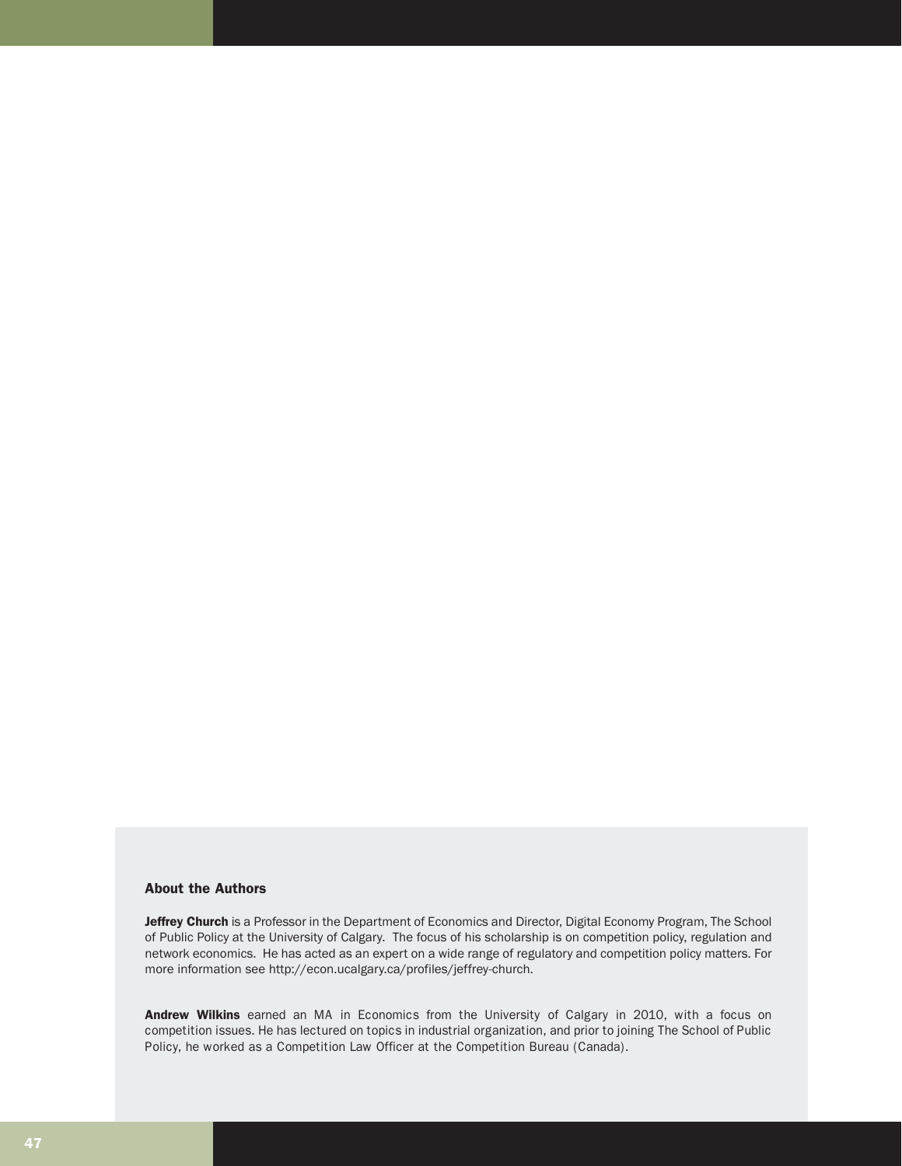#### About the Authors

Jeffrey Church is a Professor in the Department of Economics and Director, Digital Economy Program, The School of Public Policy at the University of Calgary. The focus of his scholarship is on competition policy, regulation and network economics. He has acted as an expert on a wide range of regulatory and competition policy matters. For more information see http://econ.ucalgary.ca/profiles/jeffrey-church.

Andrew Wilkins earned an MA in Economics from the University of Calgary in 2010, with a focus on competition issues. He has lectured on topics in industrial organization, and prior to joining The School of Public Policy, he worked as a Competition Law Officer at the Competition Bureau (Canada).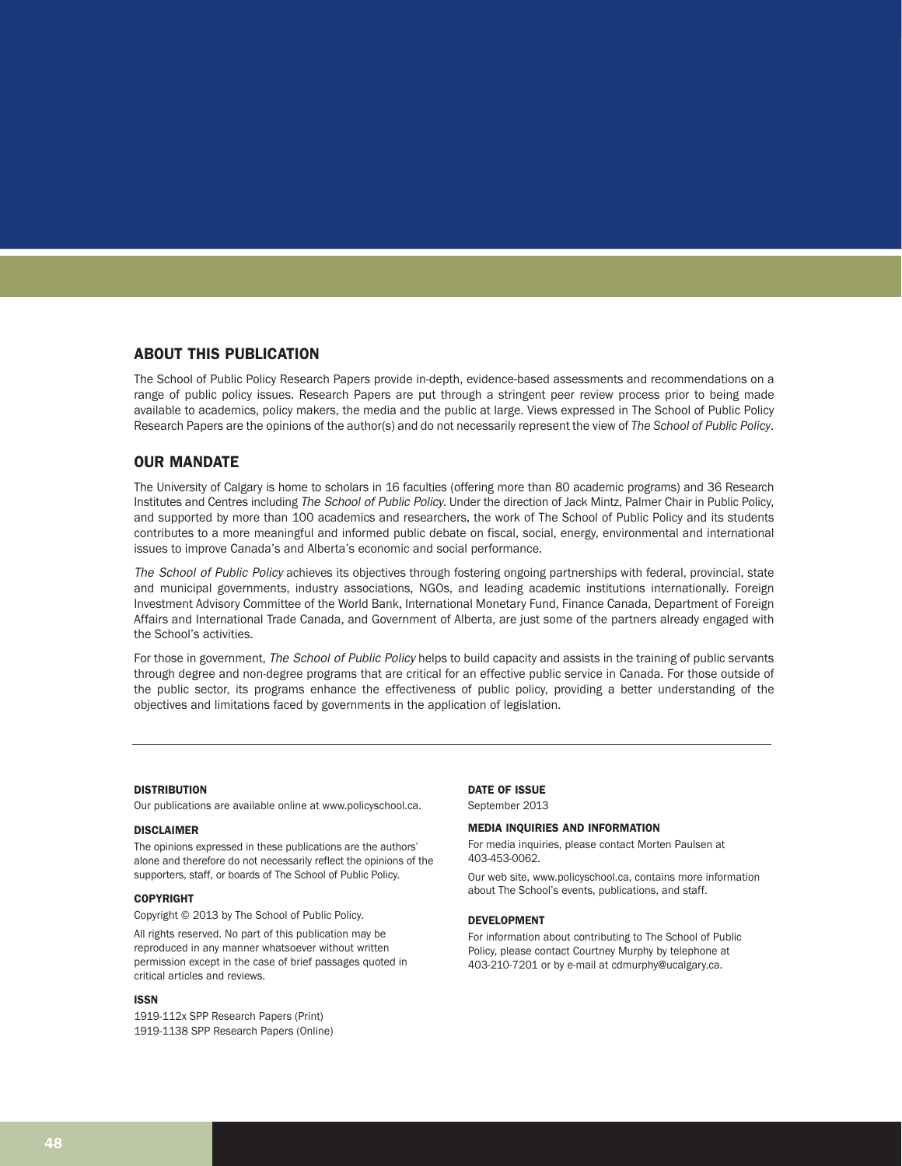#### ABOUT THIS PUBLICATION

The School of Public Policy Research Papers provide in-depth, evidence-based assessments and recommendations on a range of public policy issues. Research Papers are put through a stringent peer review process prior to being made available to academics, policy makers, the media and the public at large. Views expressed in The School of Public Policy Research Papers are the opinions of the author(s) and do not necessarily represent the view of *The School of Public Policy*.

#### OUR MANDATE

The University of Calgary is home to scholars in 16 faculties (offering more than 80 academic programs) and 36 Research Institutes and Centres including The School of Public Policy. Under the direction of Jack Mintz, Palmer Chair in Public Policy, and supported by more than 100 academics and researchers, the work of The School of Public Policy and its students contributes to a more meaningful and informed public debate on fiscal, social, energy, environmental and international issues to improve Canada's and Alberta's economic and social performance.

The School of Public Policy achieves its objectives through fostering ongoing partnerships with federal, provincial, state and municipal governments, industry associations, NGOs, and leading academic institutions internationally. Foreign Investment Advisory Committee of the World Bank, International Monetary Fund, Finance Canada, Department of Foreign Affairs and International Trade Canada, and Government of Alberta, are just some of the partners already engaged with the School's activities.

For those in government, The School of Public Policy helps to build capacity and assists in the training of public servants through degree and non-degree programs that are critical for an effective public service in Canada. For those outside of the public sector, its programs enhance the effectiveness of public policy, providing a better understanding of the objectives and limitations faced by governments in the application of legislation.

#### **DISTRIBUTION**

Our publications are available online at www.policyschool.ca.

#### DISCLAIMER

The opinions expressed in these publications are the authors' alone and therefore do not necessarily reflect the opinions of the supporters, staff, or boards of The School of Public Policy.

#### COPYRIGHT

Copyright © 2013 by The School of Public Policy.

All rights reserved. No part of this publication may be reproduced in any manner whatsoever without written permission except in the case of brief passages quoted in critical articles and reviews.

#### ISSN

1919-112x SPP Research Papers (Print) 1919-1138 SPP Research Papers (Online)

#### DATE OF ISSUE

September 2013

#### MEDIA INQUIRIES AND INFORMATION

For media inquiries, please contact Morten Paulsen at 403-453-0062.

Our web site, www.policyschool.ca, contains more information about The School's events, publications, and staff.

#### DEVELOPMENT

For information about contributing to The School of Public Policy, please contact Courtney Murphy by telephone at 403-210-7201 or by e-mail at cdmurphy@ucalgary.ca.